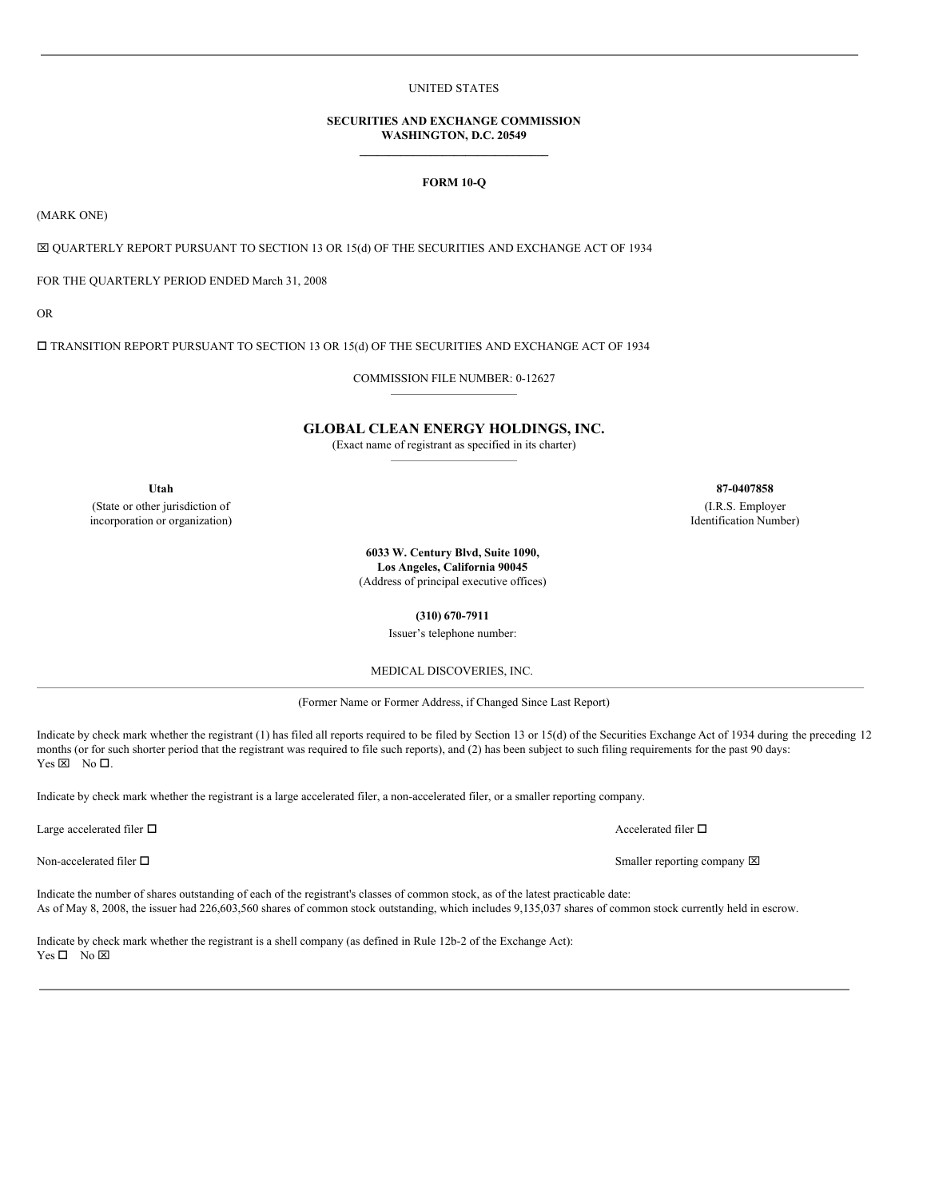## UNITED STATES

## **SECURITIES AND EXCHANGE COMMISSION WASHINGTON, D.C. 20549 \_\_\_\_\_\_\_\_\_\_\_\_\_\_\_\_\_\_\_\_\_\_\_\_\_\_\_\_\_\_\_\_**

## **FORM 10-Q**

(MARK ONE)

x QUARTERLY REPORT PURSUANT TO SECTION 13 OR 15(d) OF THE SECURITIES AND EXCHANGE ACT OF 1934

FOR THE QUARTERLY PERIOD ENDED March 31, 2008

OR

 $\square$  TRANSITION REPORT PURSUANT TO SECTION 13 OR 15(d) OF THE SECURITIES AND EXCHANGE ACT OF 1934

COMMISSION FILE NUMBER: 0-12627

## **GLOBAL CLEAN ENERGY HOLDINGS, INC.**

(Exact name of registrant as specified in its charter)

(State or other jurisdiction of incorporation or organization)

**Utah 87-0407858**

(I.R.S. Employer Identification Number)

**6033 W. Century Blvd, Suite 1090, Los Angeles, California 90045** (Address of principal executive offices)

**(310) 670-7911**

Issuer's telephone number:

MEDICAL DISCOVERIES, INC.

(Former Name or Former Address, if Changed Since Last Report)

Indicate by check mark whether the registrant (1) has filed all reports required to be filed by Section 13 or 15(d) of the Securities Exchange Act of 1934 during the preceding 12 months (or for such shorter period that the registrant was required to file such reports), and (2) has been subject to such filing requirements for the past 90 days:  $Yes \boxtimes No \Box.$ 

Indicate by check mark whether the registrant is a large accelerated filer, a non-accelerated filer, or a smaller reporting company.

Large accelerated filer  $\Box$  Accelerated filer  $\Box$  Accelerated filer  $\Box$ 

Indicate the number of shares outstanding of each of the registrant's classes of common stock, as of the latest practicable date: As of May 8, 2008, the issuer had 226,603,560 shares of common stock outstanding, which includes 9,135,037 shares of common stock currently held in escrow.

Indicate by check mark whether the registrant is a shell company (as defined in Rule 12b-2 of the Exchange Act):  $Yes \Box No \boxtimes$ 

Non-accelerated filer  $\square$  Smaller reporting company  $\boxtimes$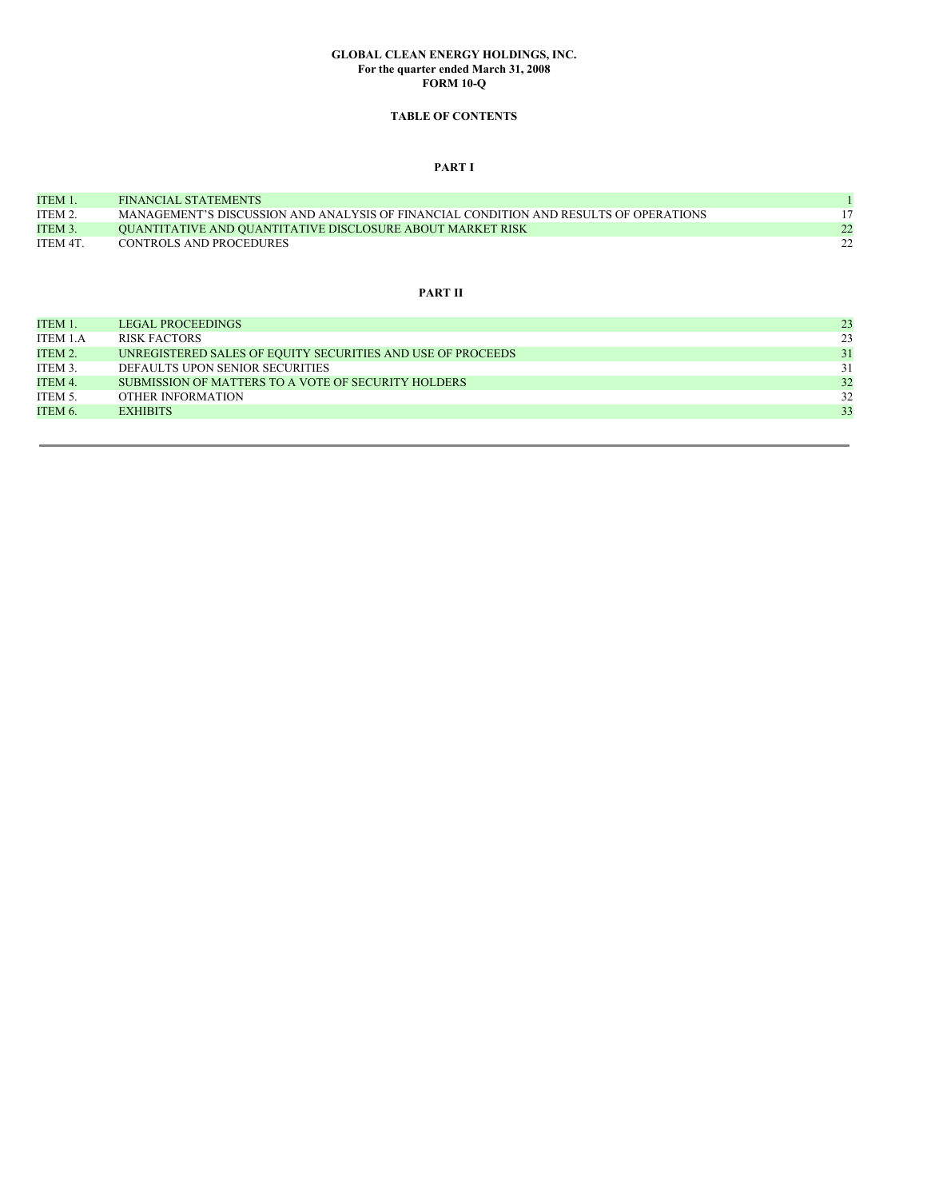### **GLOBAL CLEAN ENERGY HOLDINGS, INC. For the quarter ended March 31, 2008 FORM 10-Q**

# **TABLE OF CONTENTS**

## **PART I**

| ITEM 1.  | <b>FINANCIAL STATEMENTS</b>                                                           |              |
|----------|---------------------------------------------------------------------------------------|--------------|
| ITEM 2   | MANAGEMENT'S DISCUSSION AND ANALYSIS OF FINANCIAL CONDITION AND RESULTS OF OPERATIONS |              |
| ITEM 3.  | <b>OUANTITATIVE AND QUANTITATIVE DISCLOSURE ABOUT MARKET RISK</b>                     | 22           |
| ITEM 4T. | CONTROLS AND PROCEDURES                                                               | $22^{\circ}$ |

# **PART II**

| ITEM 1.  | <b>LEGAL PROCEEDINGS</b>                                    | 23 |
|----------|-------------------------------------------------------------|----|
| ITEM 1.A | RISK FACTORS                                                | 23 |
| ITEM 2.  | UNREGISTERED SALES OF EQUITY SECURITIES AND USE OF PROCEEDS | 31 |
| ITEM 3.  | DEFAULTS UPON SENIOR SECURITIES                             | 31 |
| ITEM 4.  | SUBMISSION OF MATTERS TO A VOTE OF SECURITY HOLDERS         | 32 |
| ITEM 5.  | OTHER INFORMATION                                           | 32 |
| ITEM 6.  | <b>EXHIBITS</b>                                             | 33 |
|          |                                                             |    |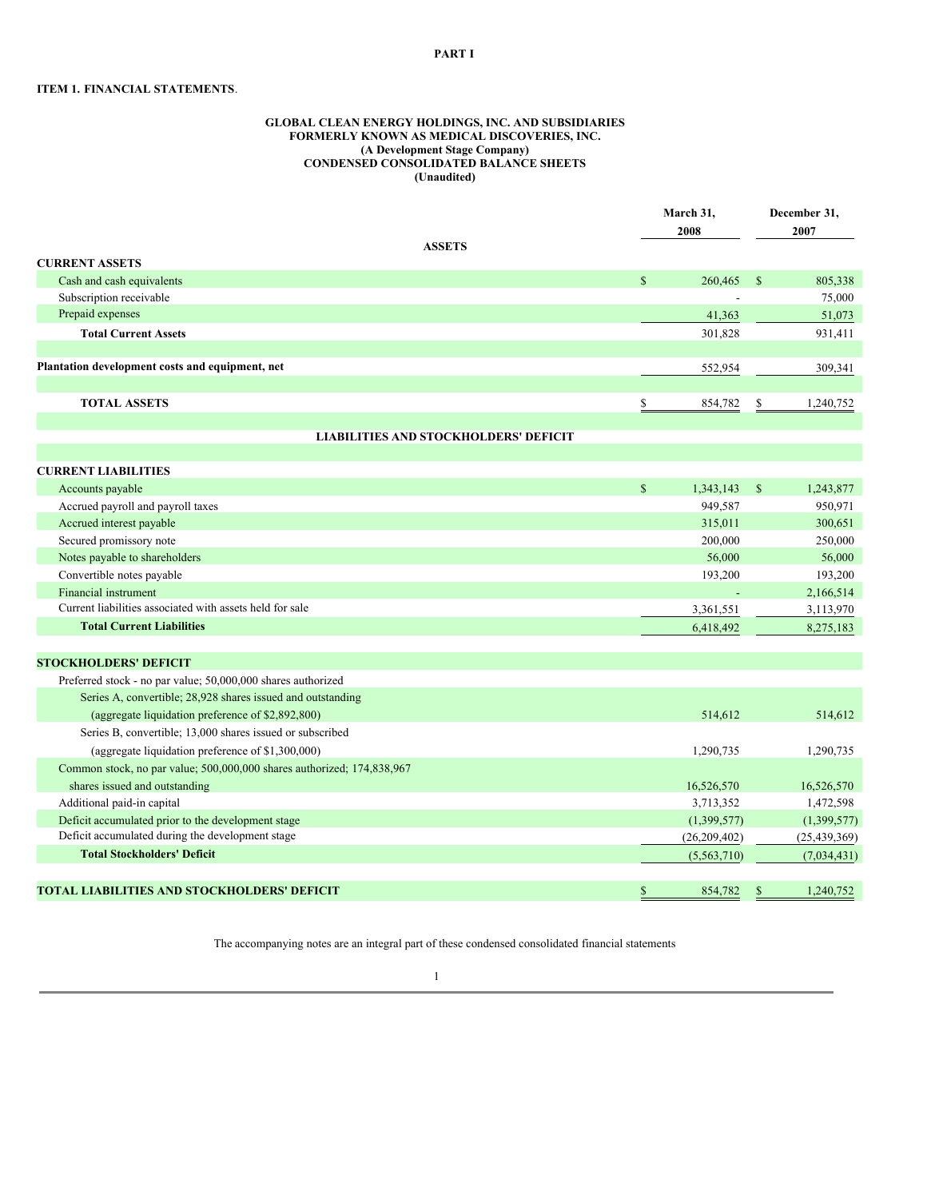## **ITEM 1. FINANCIAL STATEMENTS**.

#### **GLOBAL CLEAN ENERGY HOLDINGS, INC. AND SUBSIDIARIES FORMERLY KNOWN AS MEDICAL DISCOVERIES, INC. (A Development Stage Company) CONDENSED CONSOLIDATED BALANCE SHEETS (Unaudited)**

|                                                                        |              | March 31,<br>2008 |              | December 31,<br>2007 |  |
|------------------------------------------------------------------------|--------------|-------------------|--------------|----------------------|--|
| <b>ASSETS</b><br><b>CURRENT ASSETS</b>                                 |              |                   |              |                      |  |
| Cash and cash equivalents                                              | $\mathbb{S}$ | 260,465           | -S           | 805,338              |  |
| Subscription receivable                                                |              |                   |              | 75,000               |  |
| Prepaid expenses                                                       |              | 41,363            |              |                      |  |
| <b>Total Current Assets</b>                                            |              | 301,828           |              | 51,073<br>931,411    |  |
|                                                                        |              |                   |              |                      |  |
| Plantation development costs and equipment, net                        |              | 552,954           |              | 309,341              |  |
|                                                                        |              |                   |              |                      |  |
| <b>TOTAL ASSETS</b>                                                    | \$           | 854,782           | \$           | 1,240,752            |  |
|                                                                        |              |                   |              |                      |  |
| <b>LIABILITIES AND STOCKHOLDERS' DEFICIT</b>                           |              |                   |              |                      |  |
| <b>CURRENT LIABILITIES</b>                                             |              |                   |              |                      |  |
| Accounts payable                                                       | $\mathbb{S}$ | 1,343,143         | $\mathbb{S}$ | 1,243,877            |  |
| Accrued payroll and payroll taxes                                      |              | 949,587           |              | 950,971              |  |
| Accrued interest payable                                               |              | 315,011           |              | 300,651              |  |
| Secured promissory note                                                |              | 200,000           |              | 250,000              |  |
| Notes payable to shareholders                                          |              | 56,000            |              | 56,000               |  |
| Convertible notes payable                                              |              | 193,200           |              | 193,200              |  |
| <b>Financial instrument</b>                                            |              |                   |              | 2,166,514            |  |
| Current liabilities associated with assets held for sale               |              | 3,361,551         |              | 3,113,970            |  |
| <b>Total Current Liabilities</b>                                       |              | 6,418,492         |              | 8,275,183            |  |
|                                                                        |              |                   |              |                      |  |
| <b>STOCKHOLDERS' DEFICIT</b>                                           |              |                   |              |                      |  |
| Preferred stock - no par value; 50,000,000 shares authorized           |              |                   |              |                      |  |
| Series A, convertible; 28,928 shares issued and outstanding            |              |                   |              |                      |  |
| (aggregate liquidation preference of \$2,892,800)                      |              | 514,612           |              | 514,612              |  |
| Series B, convertible; 13,000 shares issued or subscribed              |              |                   |              |                      |  |
| (aggregate liquidation preference of \$1,300,000)                      |              | 1,290,735         |              | 1,290,735            |  |
| Common stock, no par value; 500,000,000 shares authorized; 174,838,967 |              |                   |              |                      |  |
| shares issued and outstanding                                          |              | 16,526,570        |              | 16,526,570           |  |
| Additional paid-in capital                                             |              | 3,713,352         |              | 1,472,598            |  |
|                                                                        |              | (1,399,577)       |              | (1,399,577)          |  |
| Deficit accumulated prior to the development stage                     |              |                   |              |                      |  |
| Deficit accumulated during the development stage                       |              | (26, 209, 402)    |              | (25, 439, 369)       |  |
| <b>Total Stockholders' Deficit</b>                                     |              | (5,563,710)       |              | (7,034,431)          |  |

The accompanying notes are an integral part of these condensed consolidated financial statements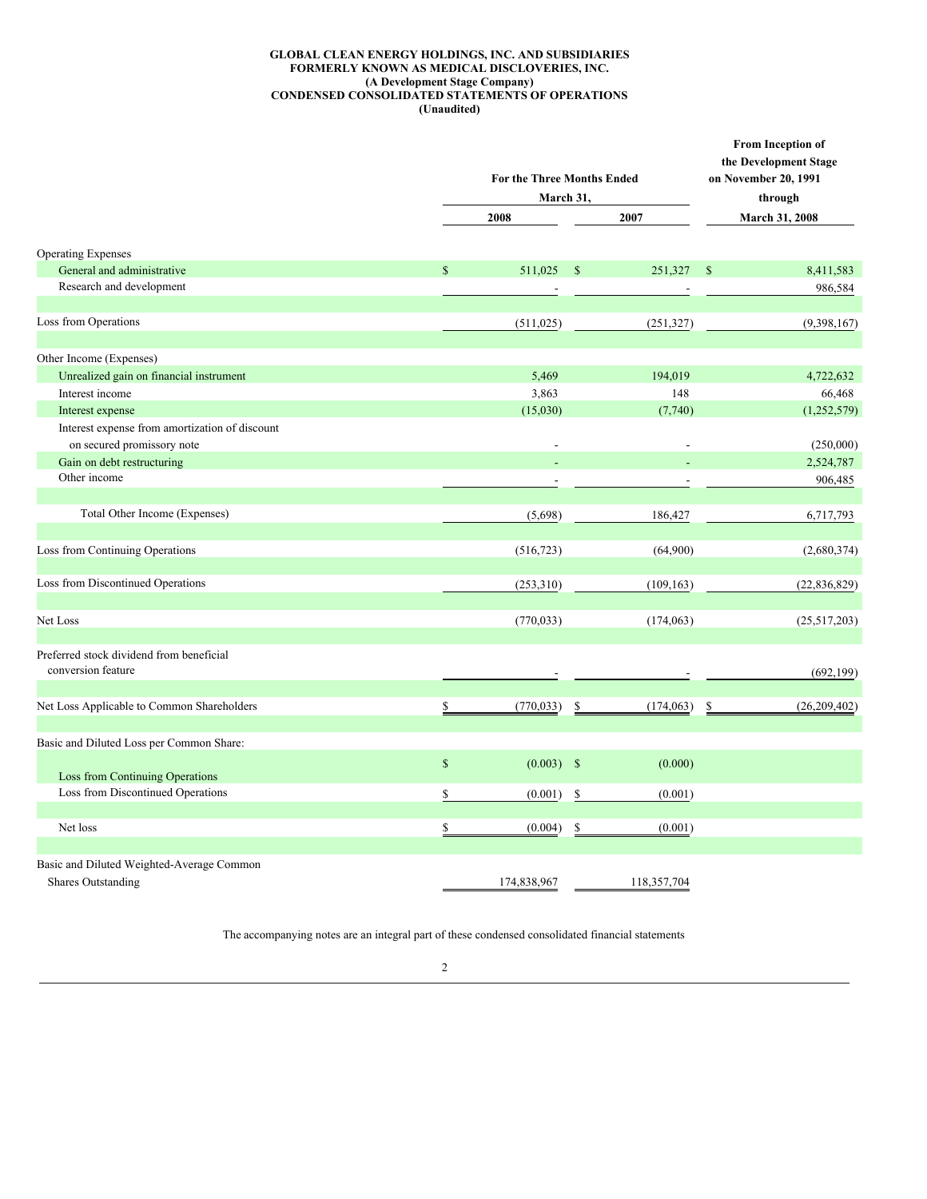## **GLOBAL CLEAN ENERGY HOLDINGS, INC. AND SUBSIDIARIES FORMERLY KNOWN AS MEDICAL DISCLOVERIES, INC. (A Development Stage Company) CONDENSED CONSOLIDATED STATEMENTS OF OPERATIONS (Unaudited)**

|                                                                              |              | <b>For the Three Months Ended</b><br>March 31, |                  |                |                       | From Inception of<br>the Development Stage<br>on November 20, 1991<br>through |  |
|------------------------------------------------------------------------------|--------------|------------------------------------------------|------------------|----------------|-----------------------|-------------------------------------------------------------------------------|--|
|                                                                              |              | 2008                                           |                  |                | <b>March 31, 2008</b> |                                                                               |  |
| <b>Operating Expenses</b>                                                    |              |                                                |                  |                |                       |                                                                               |  |
| General and administrative                                                   | $\mathbb{S}$ | 511,025                                        | $\mathbb{S}$     | 251,327        | - \$                  | 8,411,583                                                                     |  |
| Research and development                                                     |              |                                                |                  | $\overline{a}$ |                       | 986,584                                                                       |  |
| Loss from Operations                                                         |              | (511, 025)                                     |                  | (251, 327)     |                       | (9,398,167)                                                                   |  |
| Other Income (Expenses)                                                      |              |                                                |                  |                |                       |                                                                               |  |
| Unrealized gain on financial instrument                                      |              | 5,469                                          |                  | 194,019        |                       | 4,722,632                                                                     |  |
| Interest income                                                              |              | 3,863                                          |                  | 148            |                       | 66,468                                                                        |  |
| Interest expense                                                             |              | (15,030)                                       |                  | (7,740)        |                       | (1,252,579)                                                                   |  |
| Interest expense from amortization of discount<br>on secured promissory note |              | $\overline{a}$                                 |                  | L,             |                       | (250,000)                                                                     |  |
| Gain on debt restructuring                                                   |              |                                                |                  |                |                       | 2,524,787                                                                     |  |
| Other income                                                                 |              |                                                |                  |                |                       | 906,485                                                                       |  |
|                                                                              |              |                                                |                  |                |                       |                                                                               |  |
| Total Other Income (Expenses)                                                |              | (5,698)                                        |                  | 186,427        |                       | 6,717,793                                                                     |  |
| Loss from Continuing Operations                                              |              | (516, 723)                                     |                  | (64,900)       |                       | (2,680,374)                                                                   |  |
| Loss from Discontinued Operations                                            |              | (253,310)                                      |                  | (109, 163)     |                       | (22, 836, 829)                                                                |  |
| Net Loss                                                                     |              | (770, 033)                                     |                  | (174, 063)     |                       | (25,517,203)                                                                  |  |
| Preferred stock dividend from beneficial<br>conversion feature               |              |                                                |                  |                |                       | (692, 199)                                                                    |  |
| Net Loss Applicable to Common Shareholders                                   | \$           | (770, 033)                                     | \$               | (174, 063)     | \$                    | (26, 209, 402)                                                                |  |
| Basic and Diluted Loss per Common Share:                                     |              |                                                |                  |                |                       |                                                                               |  |
| Loss from Continuing Operations                                              | $\mathbb S$  | $(0.003)$ \$                                   |                  | (0.000)        |                       |                                                                               |  |
| Loss from Discontinued Operations                                            | \$           | (0.001)                                        | \$               | (0.001)        |                       |                                                                               |  |
| Net loss                                                                     | \$           | (0.004)                                        | $\underline{\$}$ | (0.001)        |                       |                                                                               |  |
|                                                                              |              |                                                |                  |                |                       |                                                                               |  |
| Basic and Diluted Weighted-Average Common<br><b>Shares Outstanding</b>       |              | 174,838,967                                    |                  | 118,357,704    |                       |                                                                               |  |

The accompanying notes are an integral part of these condensed consolidated financial statements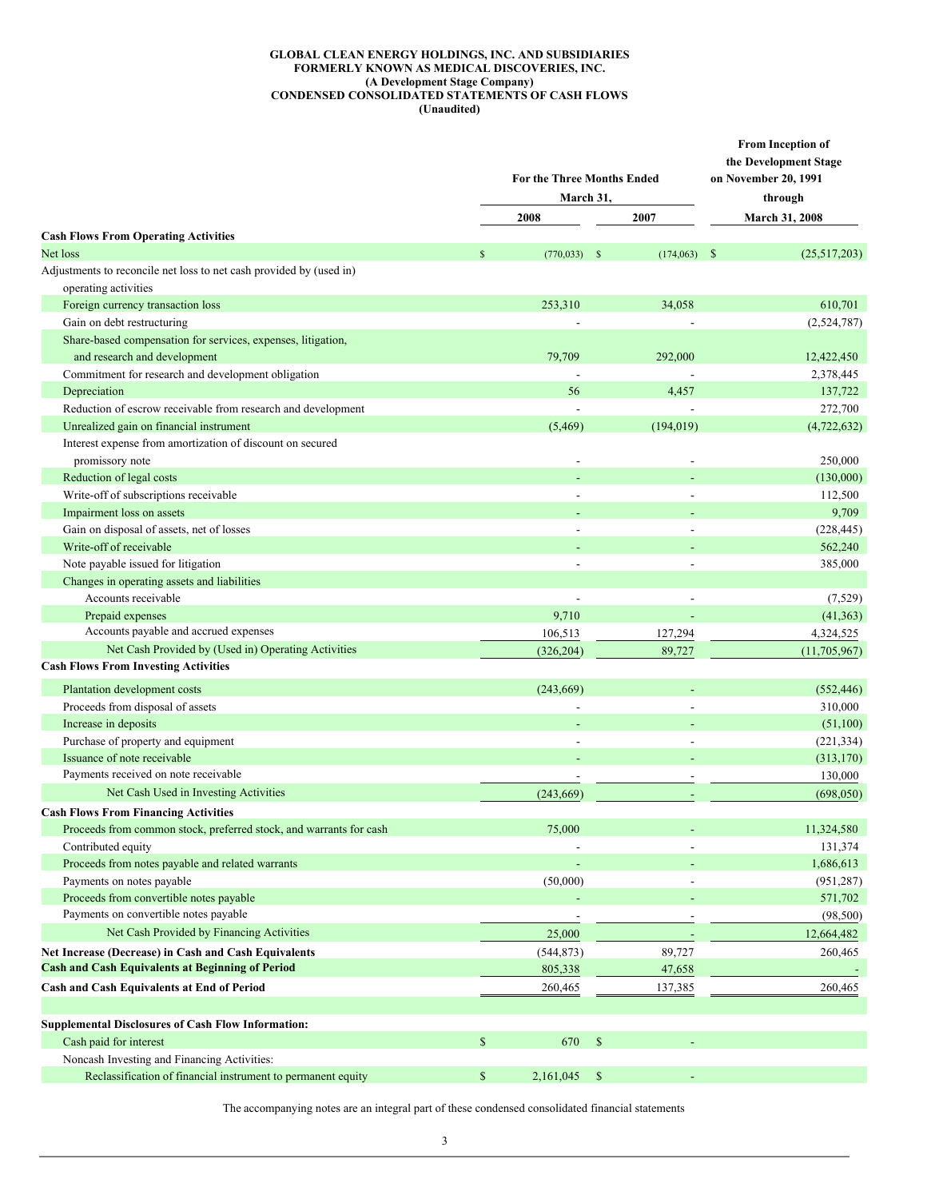## **GLOBAL CLEAN ENERGY HOLDINGS, INC. AND SUBSIDIARIES FORMERLY KNOWN AS MEDICAL DISCOVERIES, INC. (A Development Stage Company) CONDENSED CONSOLIDATED STATEMENTS OF CASH FLOWS (Unaudited)**

|                                                                                                    | <b>For the Three Months Ended</b><br>March 31, | From Inception of<br>the Development Stage<br>on November 20, 1991<br>through |                          |                              |
|----------------------------------------------------------------------------------------------------|------------------------------------------------|-------------------------------------------------------------------------------|--------------------------|------------------------------|
|                                                                                                    |                                                | 2008                                                                          | 2007                     | March 31, 2008               |
| <b>Cash Flows From Operating Activities</b>                                                        |                                                |                                                                               |                          |                              |
| Net loss                                                                                           | $\mathbb{S}$                                   | (770, 033)                                                                    | - \$<br>(174,063)        | $\mathbb{S}$<br>(25,517,203) |
| Adjustments to reconcile net loss to net cash provided by (used in)                                |                                                |                                                                               |                          |                              |
| operating activities                                                                               |                                                |                                                                               |                          |                              |
| Foreign currency transaction loss                                                                  |                                                | 253,310                                                                       | 34,058                   | 610,701                      |
| Gain on debt restructuring                                                                         |                                                |                                                                               |                          | (2,524,787)                  |
| Share-based compensation for services, expenses, litigation,                                       |                                                |                                                                               |                          |                              |
| and research and development                                                                       |                                                | 79,709                                                                        | 292,000                  | 12,422,450                   |
| Commitment for research and development obligation                                                 |                                                |                                                                               |                          | 2,378,445                    |
| Depreciation                                                                                       |                                                | 56                                                                            | 4,457                    | 137,722                      |
| Reduction of escrow receivable from research and development                                       |                                                |                                                                               |                          | 272,700                      |
| Unrealized gain on financial instrument                                                            |                                                | (5, 469)                                                                      | (194, 019)               | (4, 722, 632)                |
| Interest expense from amortization of discount on secured                                          |                                                |                                                                               |                          |                              |
| promissory note                                                                                    |                                                |                                                                               |                          | 250,000                      |
| Reduction of legal costs                                                                           |                                                |                                                                               |                          | (130,000)                    |
| Write-off of subscriptions receivable                                                              |                                                |                                                                               |                          | 112,500                      |
| Impairment loss on assets                                                                          |                                                |                                                                               |                          | 9,709                        |
| Gain on disposal of assets, net of losses                                                          |                                                | $\overline{\phantom{a}}$                                                      |                          | (228, 445)                   |
| Write-off of receivable                                                                            |                                                |                                                                               |                          | 562,240                      |
| Note payable issued for litigation                                                                 |                                                |                                                                               |                          | 385,000                      |
| Changes in operating assets and liabilities                                                        |                                                |                                                                               |                          |                              |
| Accounts receivable                                                                                |                                                | $\overline{\phantom{a}}$                                                      | $\overline{\phantom{a}}$ | (7,529)                      |
| Prepaid expenses                                                                                   |                                                | 9,710                                                                         |                          | (41, 363)                    |
| Accounts payable and accrued expenses                                                              |                                                | 106,513                                                                       | 127,294                  | 4,324,525                    |
| Net Cash Provided by (Used in) Operating Activities<br><b>Cash Flows From Investing Activities</b> |                                                | (326, 204)                                                                    | 89,727                   | (11,705,967)                 |
|                                                                                                    |                                                |                                                                               |                          |                              |
| Plantation development costs                                                                       |                                                | (243, 669)                                                                    |                          | (552, 446)                   |
| Proceeds from disposal of assets                                                                   |                                                | $\overline{\phantom{a}}$                                                      |                          | 310,000                      |
| Increase in deposits                                                                               |                                                |                                                                               |                          | (51,100)                     |
| Purchase of property and equipment                                                                 |                                                |                                                                               |                          | (221, 334)                   |
| Issuance of note receivable                                                                        |                                                |                                                                               |                          | (313, 170)                   |
| Payments received on note receivable                                                               |                                                |                                                                               |                          | 130,000                      |
| Net Cash Used in Investing Activities                                                              |                                                | (243, 669)                                                                    |                          | (698, 050)                   |
| <b>Cash Flows From Financing Activities</b>                                                        |                                                |                                                                               |                          |                              |
| Proceeds from common stock, preferred stock, and warrants for cash                                 |                                                | 75,000                                                                        |                          | 11,324,580                   |
| Contributed equity                                                                                 |                                                |                                                                               |                          | 131,374                      |
| Proceeds from notes payable and related warrants                                                   |                                                |                                                                               |                          | 1,686,613                    |
| Payments on notes payable                                                                          |                                                | (50,000)                                                                      |                          | (951, 287)                   |
| Proceeds from convertible notes payable                                                            |                                                |                                                                               |                          | 571,702                      |
| Payments on convertible notes payable                                                              |                                                | $\overline{\phantom{a}}$                                                      |                          | (98, 500)                    |
| Net Cash Provided by Financing Activities                                                          |                                                | 25,000                                                                        | $\overline{\phantom{a}}$ | 12,664,482                   |
| Net Increase (Decrease) in Cash and Cash Equivalents                                               |                                                | (544, 873)                                                                    | 89,727                   | 260,465                      |
| <b>Cash and Cash Equivalents at Beginning of Period</b>                                            |                                                | 805,338                                                                       | 47,658                   |                              |
| Cash and Cash Equivalents at End of Period                                                         |                                                | 260,465                                                                       | 137,385                  | 260,465                      |
| <b>Supplemental Disclosures of Cash Flow Information:</b>                                          |                                                |                                                                               |                          |                              |
| Cash paid for interest                                                                             | \$                                             | 670                                                                           | $\mathbb{S}$             |                              |
| Noncash Investing and Financing Activities:                                                        |                                                |                                                                               |                          |                              |
| Reclassification of financial instrument to permanent equity                                       | \$                                             | 2,161,045                                                                     | -\$                      |                              |

The accompanying notes are an integral part of these condensed consolidated financial statements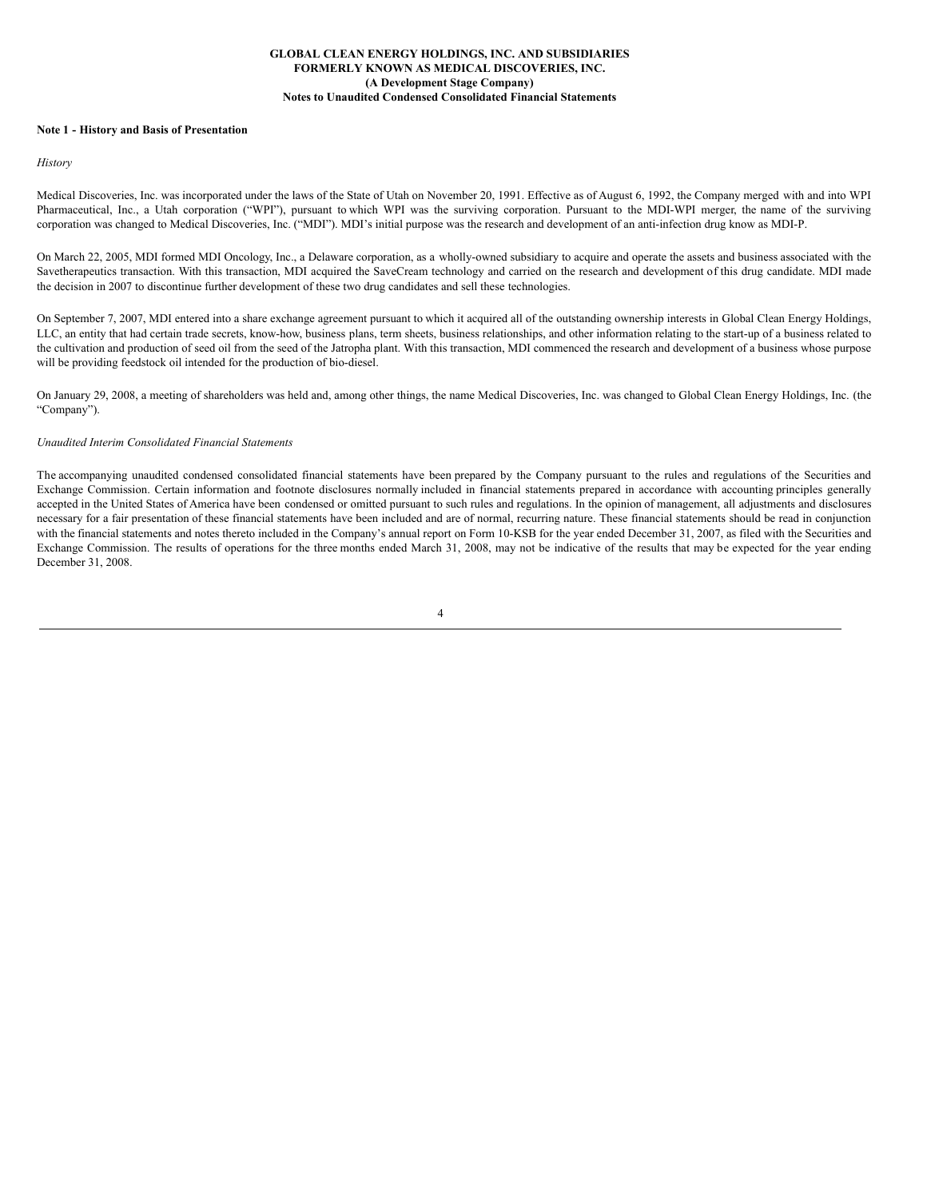#### **Note 1 - History and Basis of Presentation**

#### *History*

Medical Discoveries, Inc. was incorporated under the laws of the State of Utah on November 20, 1991. Effective as of August 6, 1992, the Company merged with and into WPI Pharmaceutical, Inc., a Utah corporation ("WPI"), pursuant to which WPI was the surviving corporation. Pursuant to the MDI-WPI merger, the name of the surviving corporation was changed to Medical Discoveries, Inc. ("MDI"). MDI's initial purpose was the research and development of an anti-infection drug know as MDI-P.

On March 22, 2005, MDI formed MDI Oncology, Inc., a Delaware corporation, as a wholly-owned subsidiary to acquire and operate the assets and business associated with the Savetherapeutics transaction. With this transaction, MDI acquired the SaveCream technology and carried on the research and development of this drug candidate. MDI made the decision in 2007 to discontinue further development of these two drug candidates and sell these technologies.

On September 7, 2007, MDI entered into a share exchange agreement pursuant to which it acquired all of the outstanding ownership interests in Global Clean Energy Holdings, LLC, an entity that had certain trade secrets, know-how, business plans, term sheets, business relationships, and other information relating to the start-up of a business related to the cultivation and production of seed oil from the seed of the Jatropha plant. With this transaction, MDI commenced the research and development of a business whose purpose will be providing feedstock oil intended for the production of bio-diesel.

On January 29, 2008, a meeting of shareholders was held and, among other things, the name Medical Discoveries, Inc. was changed to Global Clean Energy Holdings, Inc. (the "Company").

#### *Unaudited Interim Consolidated Financial Statements*

The accompanying unaudited condensed consolidated financial statements have been prepared by the Company pursuant to the rules and regulations of the Securities and Exchange Commission. Certain information and footnote disclosures normally included in financial statements prepared in accordance with accounting principles generally accepted in the United States of America have been condensed or omitted pursuant to such rules and regulations. In the opinion of management, all adjustments and disclosures necessary for a fair presentation of these financial statements have been included and are of normal, recurring nature. These financial statements should be read in conjunction with the financial statements and notes thereto included in the Company's annual report on Form 10-KSB for the year ended December 31, 2007, as filed with the Securities and Exchange Commission. The results of operations for the three months ended March 31, 2008, may not be indicative of the results that may be expected for the year ending December 31, 2008.

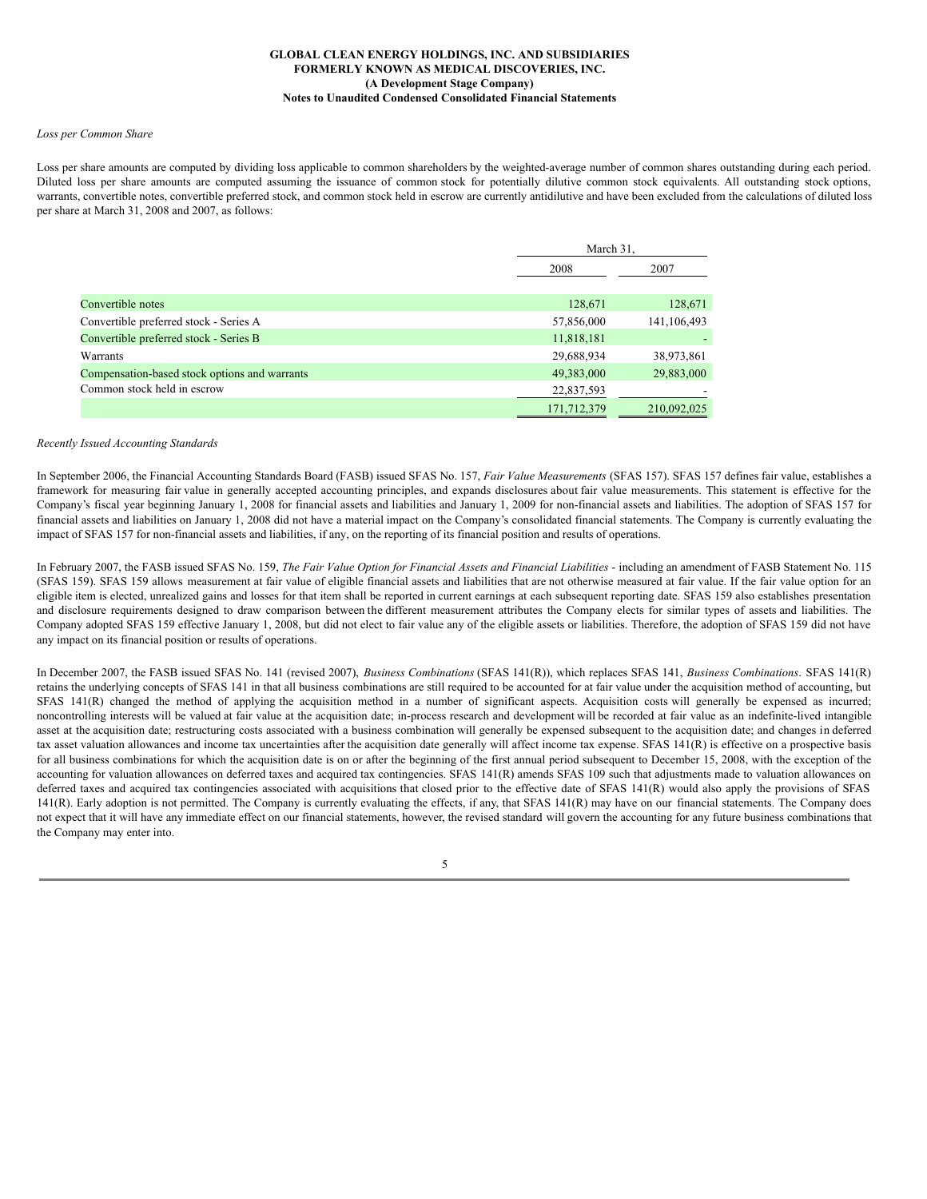#### *Loss per Common Share*

Loss per share amounts are computed by dividing loss applicable to common shareholders by the weighted-average number of common shares outstanding during each period. Diluted loss per share amounts are computed assuming the issuance of common stock for potentially dilutive common stock equivalents. All outstanding stock options, warrants, convertible notes, convertible preferred stock, and common stock held in escrow are currently antidilutive and have been excluded from the calculations of diluted loss per share at March 31, 2008 and 2007, as follows:

|                                               | March 31,   |             |
|-----------------------------------------------|-------------|-------------|
|                                               | 2008        | 2007        |
| Convertible notes                             | 128,671     | 128,671     |
| Convertible preferred stock - Series A        | 57,856,000  | 141,106,493 |
| Convertible preferred stock - Series B        | 11,818,181  |             |
| Warrants                                      | 29,688,934  | 38,973,861  |
| Compensation-based stock options and warrants | 49,383,000  | 29,883,000  |
| Common stock held in escrow                   | 22,837,593  |             |
|                                               | 171,712,379 | 210,092,025 |

#### *Recently Issued Accounting Standards*

In September 2006, the Financial Accounting Standards Board (FASB) issued SFAS No. 157, *Fair Value Measurements* (SFAS 157). SFAS 157 defines fair value, establishes a framework for measuring fair value in generally accepted accounting principles, and expands disclosures about fair value measurements. This statement is effective for the Company's fiscal year beginning January 1, 2008 for financial assets and liabilities and January 1, 2009 for non-financial assets and liabilities. The adoption of SFAS 157 for financial assets and liabilities on January 1, 2008 did not have a material impact on the Company's consolidated financial statements. The Company is currently evaluating the impact of SFAS 157 for non-financial assets and liabilities, if any, on the reporting of its financial position and results of operations.

In February 2007, the FASB issued SFAS No. 159, The Fair Value Option for Financial Assets and Financial Liabilities - including an amendment of FASB Statement No. 115 (SFAS 159). SFAS 159 allows measurement at fair value of eligible financial assets and liabilities that are not otherwise measured at fair value. If the fair value option for an eligible item is elected, unrealized gains and losses for that item shall be reported in current earnings at each subsequent reporting date. SFAS 159 also establishes presentation and disclosure requirements designed to draw comparison between the different measurement attributes the Company elects for similar types of assets and liabilities. The Company adopted SFAS 159 effective January 1, 2008, but did not elect to fair value any of the eligible assets or liabilities. Therefore, the adoption of SFAS 159 did not have any impact on its financial position or results of operations.

In December 2007, the FASB issued SFAS No. 141 (revised 2007), *Business Combinations* (SFAS 141(R)), which replaces SFAS 141, *Business Combinations*. SFAS 141(R) retains the underlying concepts of SFAS 141 in that all business combinations are still required to be accounted for at fair value under the acquisition method of accounting, but SFAS 141(R) changed the method of applying the acquisition method in a number of significant aspects. Acquisition costs will generally be expensed as incurred; noncontrolling interests will be valued at fair value at the acquisition date; in-process research and development will be recorded at fair value as an indefinite-lived intangible asset at the acquisition date; restructuring costs associated with a business combination will generally be expensed subsequent to the acquisition date; and changes in deferred tax asset valuation allowances and income tax uncertainties after the acquisition date generally will affect income tax expense. SFAS 141(R) is effective on a prospective basis for all business combinations for which the acquisition date is on or after the beginning of the first annual period subsequent to December 15, 2008, with the exception of the accounting for valuation allowances on deferred taxes and acquired tax contingencies. SFAS 141(R) amends SFAS 109 such that adjustments made to valuation allowances on deferred taxes and acquired tax contingencies associated with acquisitions that closed prior to the effective date of SFAS 141(R) would also apply the provisions of SFAS  $141(R)$ . Early adoption is not permitted. The Company is currently evaluating the effects, if any, that SFAS  $141(R)$  may have on our financial statements. The Company does not expect that it will have any immediate effect on our financial statements, however, the revised standard will govern the accounting for any future business combinations that the Company may enter into.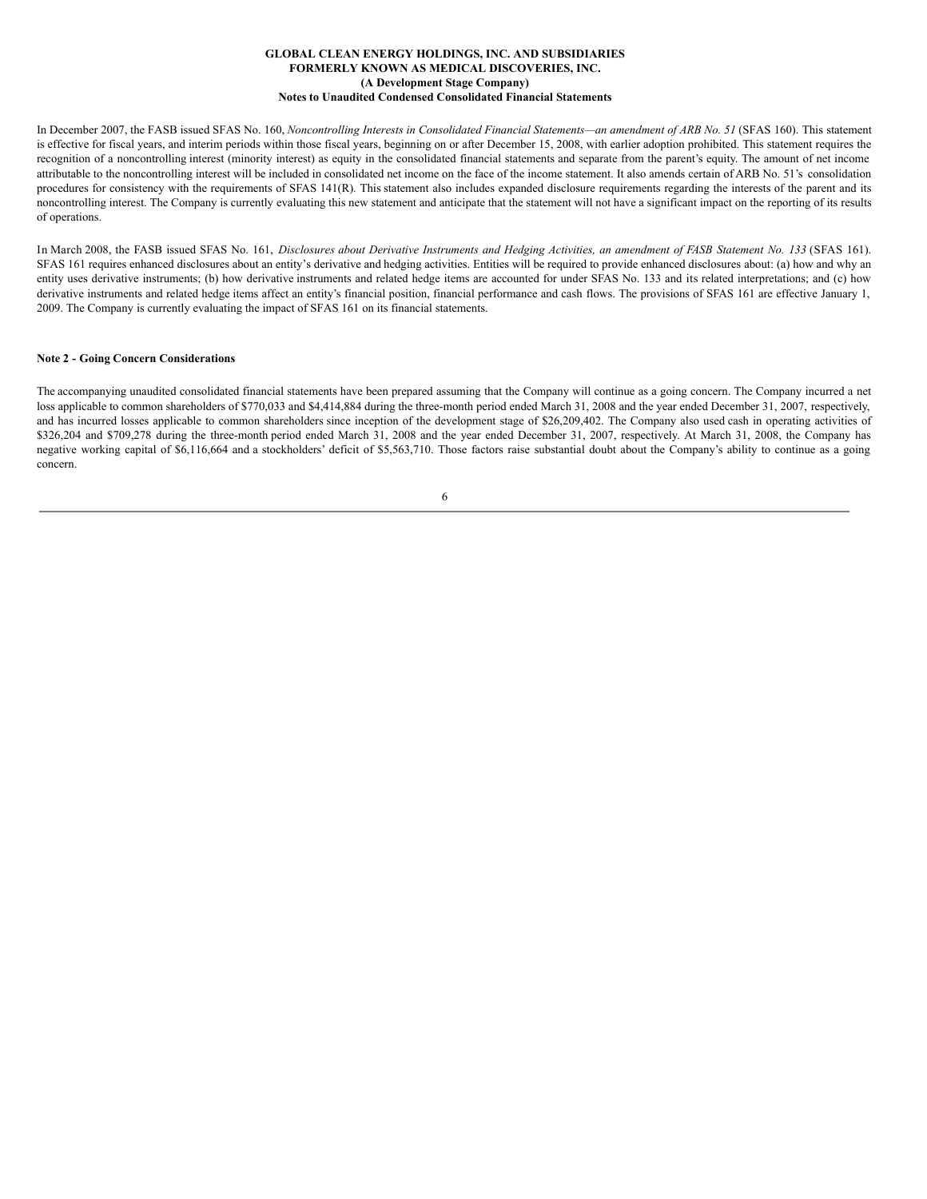In December 2007, the FASB issued SFAS No. 160, Noncontrolling Interests in Consolidated Financial Statements-an amendment of ARB No. 51 (SFAS 160). This statement is effective for fiscal years, and interim periods within those fiscal years, beginning on or after December 15, 2008, with earlier adoption prohibited. This statement requires the recognition of a noncontrolling interest (minority interest) as equity in the consolidated financial statements and separate from the parent's equity. The amount of net income attributable to the noncontrolling interest will be included in consolidated net income on the face of the income statement. It also amends certain of ARB No. 51's consolidation procedures for consistency with the requirements of SFAS 141(R)*.* This statement also includes expanded disclosure requirements regarding the interests of the parent and its noncontrolling interest. The Company is currently evaluating this new statement and anticipate that the statement will not have a significant impact on the reporting of its results of operations.

In March 2008, the FASB issued SFAS No. 161, Disclosures about Derivative Instruments and Hedging Activities, an amendment of FASB Statement No. 133 (SFAS 161). SFAS 161 requires enhanced disclosures about an entity's derivative and hedging activities. Entities will be required to provide enhanced disclosures about: (a) how and why an entity uses derivative instruments; (b) how derivative instruments and related hedge items are accounted for under SFAS No. 133 and its related interpretations; and (c) how derivative instruments and related hedge items affect an entity's financial position, financial performance and cash flows. The provisions of SFAS 161 are effective January 1, 2009. The Company is currently evaluating the impact of SFAS 161 on its financial statements.

## **Note 2 - Going Concern Considerations**

The accompanying unaudited consolidated financial statements have been prepared assuming that the Company will continue as a going concern. The Company incurred a net loss applicable to common shareholders of \$770,033 and \$4,414,884 during the three-month period ended March 31, 2008 and the year ended December 31, 2007, respectively, and has incurred losses applicable to common shareholders since inception of the development stage of \$26,209,402. The Company also used cash in operating activities of \$326,204 and \$709,278 during the three-month period ended March 31, 2008 and the year ended December 31, 2007, respectively. At March 31, 2008, the Company has negative working capital of \$6,116,664 and a stockholders' deficit of \$5,563,710. Those factors raise substantial doubt about the Company's ability to continue as a going concern.

| ., | I<br>٦<br>۰, |  |  |
|----|--------------|--|--|
|    |              |  |  |
|    |              |  |  |
|    |              |  |  |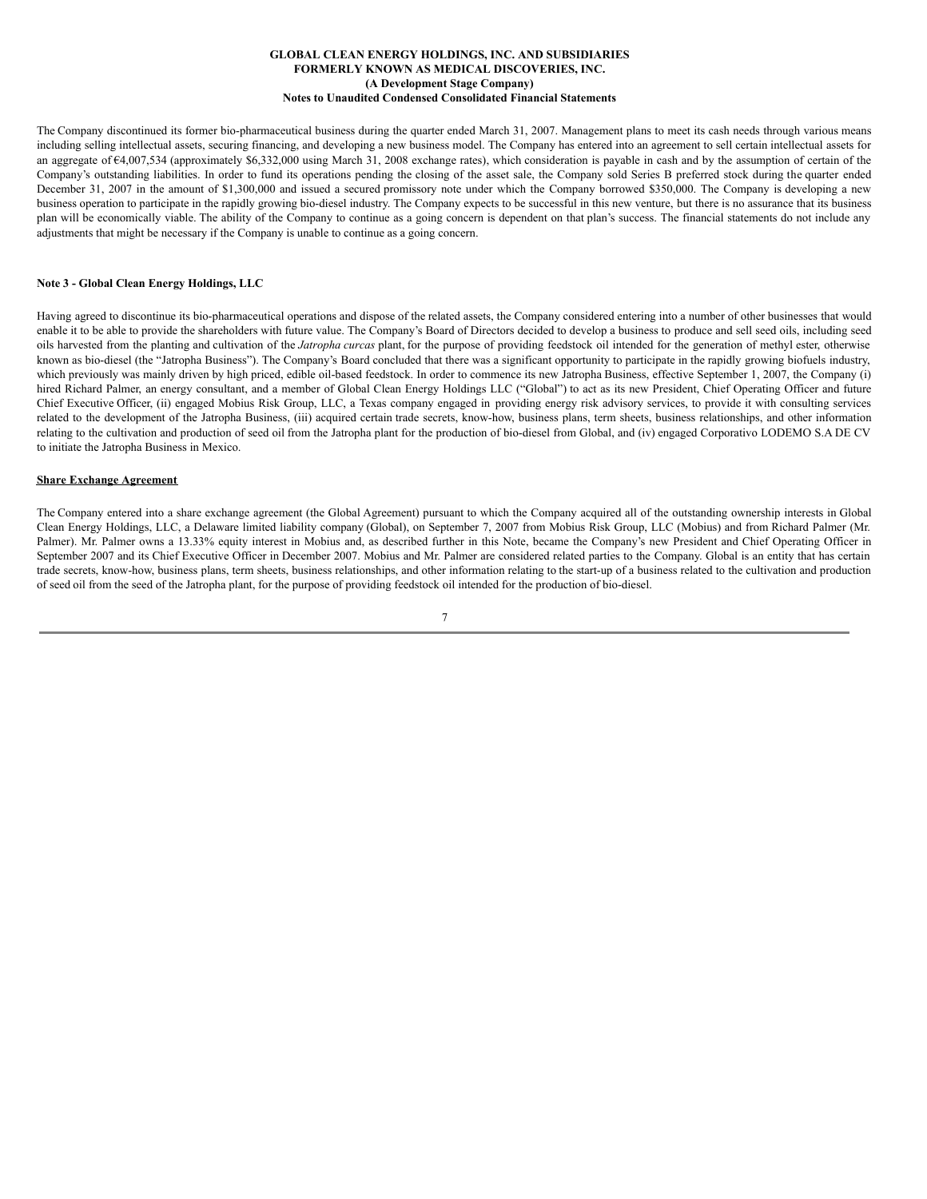The Company discontinued its former bio-pharmaceutical business during the quarter ended March 31, 2007. Management plans to meet its cash needs through various means including selling intellectual assets, securing financing, and developing a new business model. The Company has entered into an agreement to sell certain intellectual assets for an aggregate of  $64,007,534$  (approximately \$6,332,000 using March 31, 2008 exchange rates), which consideration is payable in cash and by the assumption of certain of the Company's outstanding liabilities. In order to fund its operations pending the closing of the asset sale, the Company sold Series B preferred stock during the quarter ended December 31, 2007 in the amount of \$1,300,000 and issued a secured promissory note under which the Company borrowed \$350,000. The Company is developing a new business operation to participate in the rapidly growing bio-diesel industry. The Company expects to be successful in this new venture, but there is no assurance that its business plan will be economically viable. The ability of the Company to continue as a going concern is dependent on that plan's success. The financial statements do not include any adjustments that might be necessary if the Company is unable to continue as a going concern.

## **Note 3 - Global Clean Energy Holdings, LLC**

Having agreed to discontinue its bio-pharmaceutical operations and dispose of the related assets, the Company considered entering into a number of other businesses that would enable it to be able to provide the shareholders with future value. The Company's Board of Directors decided to develop a business to produce and sell seed oils, including seed oils harvested from the planting and cultivation of the *Jatropha curcas* plant, for the purpose of providing feedstock oil intended for the generation of methyl ester, otherwise known as bio-diesel (the "Jatropha Business"). The Company's Board concluded that there was a significant opportunity to participate in the rapidly growing biofuels industry, which previously was mainly driven by high priced, edible oil-based feedstock. In order to commence its new Jatropha Business, effective September 1, 2007, the Company (i) hired Richard Palmer, an energy consultant, and a member of Global Clean Energy Holdings LLC ("Global") to act as its new President, Chief Operating Officer and future Chief Executive Officer, (ii) engaged Mobius Risk Group, LLC, a Texas company engaged in providing energy risk advisory services, to provide it with consulting services related to the development of the Jatropha Business, (iii) acquired certain trade secrets, know-how, business plans, term sheets, business relationships, and other information relating to the cultivation and production of seed oil from the Jatropha plant for the production of bio-diesel from Global, and (iv) engaged Corporativo LODEMO S.A DE CV to initiate the Jatropha Business in Mexico.

### **Share Exchange Agreement**

The Company entered into a share exchange agreement (the Global Agreement) pursuant to which the Company acquired all of the outstanding ownership interests in Global Clean Energy Holdings, LLC, a Delaware limited liability company (Global), on September 7, 2007 from Mobius Risk Group, LLC (Mobius) and from Richard Palmer (Mr. Palmer). Mr. Palmer owns a 13.33% equity interest in Mobius and, as described further in this Note, became the Company's new President and Chief Operating Officer in September 2007 and its Chief Executive Officer in December 2007. Mobius and Mr. Palmer are considered related parties to the Company. Global is an entity that has certain trade secrets, know-how, business plans, term sheets, business relationships, and other information relating to the start-up of a business related to the cultivation and production of seed oil from the seed of the Jatropha plant, for the purpose of providing feedstock oil intended for the production of bio-diesel.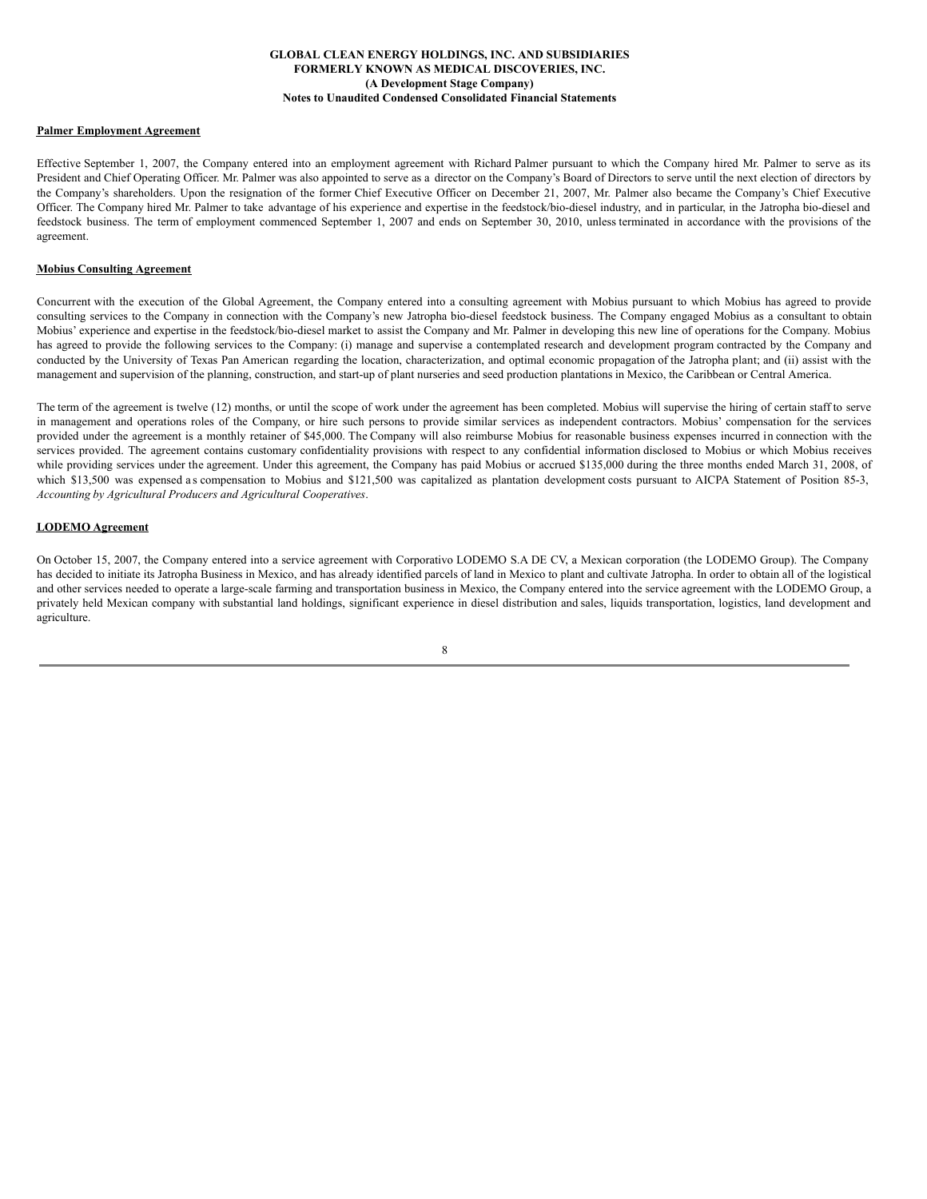## **Palmer Employment Agreement**

Effective September 1, 2007, the Company entered into an employment agreement with Richard Palmer pursuant to which the Company hired Mr. Palmer to serve as its President and Chief Operating Officer. Mr. Palmer was also appointed to serve as a director on the Company's Board of Directors to serve until the next election of directors by the Company's shareholders. Upon the resignation of the former Chief Executive Officer on December 21, 2007, Mr. Palmer also became the Company's Chief Executive Officer. The Company hired Mr. Palmer to take advantage of his experience and expertise in the feedstock/bio-diesel industry, and in particular, in the Jatropha bio-diesel and feedstock business. The term of employment commenced September 1, 2007 and ends on September 30, 2010, unless terminated in accordance with the provisions of the agreement.

### **Mobius Consulting Agreement**

Concurrent with the execution of the Global Agreement, the Company entered into a consulting agreement with Mobius pursuant to which Mobius has agreed to provide consulting services to the Company in connection with the Company's new Jatropha bio-diesel feedstock business. The Company engaged Mobius as a consultant to obtain Mobius' experience and expertise in the feedstock/bio-diesel market to assist the Company and Mr. Palmer in developing this new line of operations for the Company. Mobius has agreed to provide the following services to the Company: (i) manage and supervise a contemplated research and development program contracted by the Company and conducted by the University of Texas Pan American regarding the location, characterization, and optimal economic propagation of the Jatropha plant; and (ii) assist with the management and supervision of the planning, construction, and start-up of plant nurseries and seed production plantations in Mexico, the Caribbean or Central America.

The term of the agreement is twelve (12) months, or until the scope of work under the agreement has been completed. Mobius will supervise the hiring of certain staff to serve in management and operations roles of the Company, or hire such persons to provide similar services as independent contractors. Mobius' compensation for the services provided under the agreement is a monthly retainer of \$45,000. The Company will also reimburse Mobius for reasonable business expenses incurred in connection with the services provided. The agreement contains customary confidentiality provisions with respect to any confidential information disclosed to Mobius or which Mobius receives while providing services under the agreement. Under this agreement, the Company has paid Mobius or accrued \$135,000 during the three months ended March 31, 2008, of which \$13,500 was expensed as compensation to Mobius and \$121,500 was capitalized as plantation development costs pursuant to AICPA Statement of Position 85-3, *Accounting by Agricultural Producers and Agricultural Cooperatives*.

### **LODEMO Agreement**

On October 15, 2007, the Company entered into a service agreement with Corporativo LODEMO S.A DE CV, a Mexican corporation (the LODEMO Group). The Company has decided to initiate its Jatropha Business in Mexico, and has already identified parcels of land in Mexico to plant and cultivate Jatropha. In order to obtain all of the logistical and other services needed to operate a large-scale farming and transportation business in Mexico, the Company entered into the service agreement with the LODEMO Group, a privately held Mexican company with substantial land holdings, significant experience in diesel distribution and sales, liquids transportation, logistics, land development and agriculture.

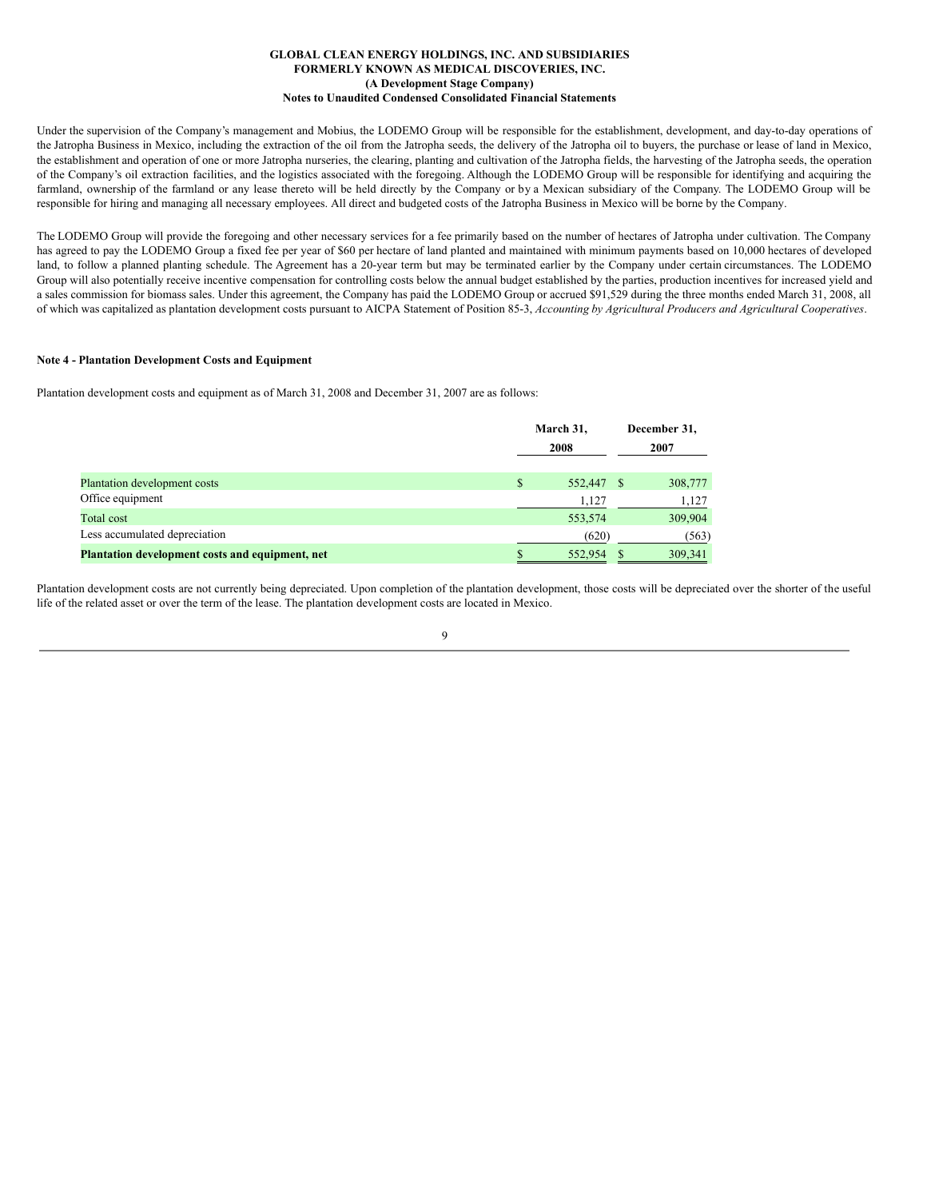Under the supervision of the Company's management and Mobius, the LODEMO Group will be responsible for the establishment, development, and day-to-day operations of the Jatropha Business in Mexico, including the extraction of the oil from the Jatropha seeds, the delivery of the Jatropha oil to buyers, the purchase or lease of land in Mexico, the establishment and operation of one or more Jatropha nurseries, the clearing, planting and cultivation of the Jatropha fields, the harvesting of the Jatropha seeds, the operation of the Company's oil extraction facilities, and the logistics associated with the foregoing. Although the LODEMO Group will be responsible for identifying and acquiring the farmland, ownership of the farmland or any lease thereto will be held directly by the Company or by a Mexican subsidiary of the Company. The LODEMO Group will be responsible for hiring and managing all necessary employees. All direct and budgeted costs of the Jatropha Business in Mexico will be borne by the Company.

The LODEMO Group will provide the foregoing and other necessary services for a fee primarily based on the number of hectares of Jatropha under cultivation. The Company has agreed to pay the LODEMO Group a fixed fee per year of \$60 per hectare of land planted and maintained with minimum payments based on 10,000 hectares of developed land, to follow a planned planting schedule. The Agreement has a 20-year term but may be terminated earlier by the Company under certain circumstances. The LODEMO Group will also potentially receive incentive compensation for controlling costs below the annual budget established by the parties, production incentives for increased yield and a sales commission for biomass sales. Under this agreement, the Company has paid the LODEMO Group or accrued \$91,529 during the three months ended March 31, 2008, all of which was capitalized as plantation development costs pursuant to AICPA Statement of Position 85-3, *Accounting by Agricultural Producers and Agricultural Cooperatives*.

## **Note 4 - Plantation Development Costs and Equipment**

Plantation development costs and equipment as of March 31, 2008 and December 31, 2007 are as follows:

|                                                 |   | March 31,<br>2008 |     | December 31,<br>2007 |
|-------------------------------------------------|---|-------------------|-----|----------------------|
| Plantation development costs                    | S | 552,447           | - 8 | 308,777              |
| Office equipment                                |   | 1,127             |     | 1,127                |
| Total cost                                      |   | 553,574           |     | 309,904              |
| Less accumulated depreciation                   |   | (620)             |     | (563)                |
| Plantation development costs and equipment, net |   | 552,954           |     | 309,341              |

Plantation development costs are not currently being depreciated. Upon completion of the plantation development, those costs will be depreciated over the shorter of the useful life of the related asset or over the term of the lease. The plantation development costs are located in Mexico.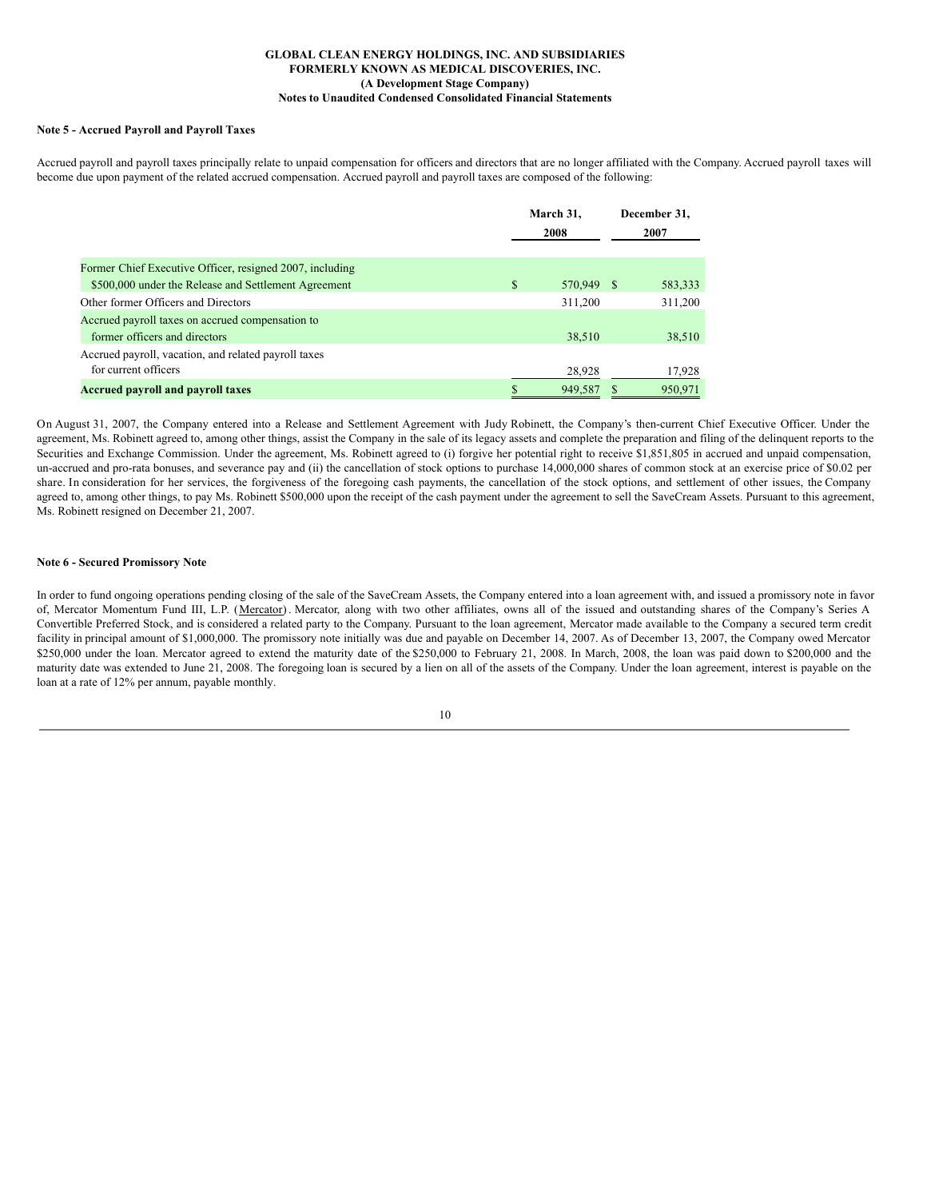#### **Note 5 - Accrued Payroll and Payroll Taxes**

Accrued payroll and payroll taxes principally relate to unpaid compensation for officers and directors that are no longer affiliated with the Company. Accrued payroll taxes will become due upon payment of the related accrued compensation. Accrued payroll and payroll taxes are composed of the following:

|                                                          | March 31, | December 31,<br>2007 |     |         |
|----------------------------------------------------------|-----------|----------------------|-----|---------|
| Former Chief Executive Officer, resigned 2007, including |           |                      |     |         |
| \$500,000 under the Release and Settlement Agreement     | \$        | 570.949              | - S | 583,333 |
| Other former Officers and Directors                      |           | 311.200              |     | 311,200 |
| Accrued payroll taxes on accrued compensation to         |           |                      |     |         |
| former officers and directors                            |           | 38,510               |     | 38,510  |
| Accrued payroll, vacation, and related payroll taxes     |           |                      |     |         |
| for current officers                                     |           | 28,928               |     | 17,928  |
| <b>Accrued payroll and payroll taxes</b>                 |           | 949,587              |     | 950,971 |

On August 31, 2007, the Company entered into a Release and Settlement Agreement with Judy Robinett, the Company's then-current Chief Executive Officer. Under the agreement, Ms. Robinett agreed to, among other things, assist the Company in the sale of its legacy assets and complete the preparation and filing of the delinquent reports to the Securities and Exchange Commission. Under the agreement, Ms. Robinett agreed to (i) forgive her potential right to receive \$1,851,805 in accrued and unpaid compensation, un-accrued and pro-rata bonuses, and severance pay and (ii) the cancellation of stock options to purchase 14,000,000 shares of common stock at an exercise price of \$0.02 per share. In consideration for her services, the forgiveness of the foregoing cash payments, the cancellation of the stock options, and settlement of other issues, the Company agreed to, among other things, to pay Ms. Robinett \$500,000 upon the receipt of the cash payment under the agreement to sell the SaveCream Assets. Pursuant to this agreement, Ms. Robinett resigned on December 21, 2007.

#### **Note 6 - Secured Promissory Note**

In order to fund ongoing operations pending closing of the sale of the SaveCream Assets, the Company entered into a loan agreement with, and issued a promissory note in favor of, Mercator Momentum Fund III, L.P. (Mercator). Mercator, along with two other affiliates, owns all of the issued and outstanding shares of the Company's Series A Convertible Preferred Stock, and is considered a related party to the Company. Pursuant to the loan agreement, Mercator made available to the Company a secured term credit facility in principal amount of \$1,000,000. The promissory note initially was due and payable on December 14, 2007. As of December 13, 2007, the Company owed Mercator \$250,000 under the loan. Mercator agreed to extend the maturity date of the \$250,000 to February 21, 2008. In March, 2008, the loan was paid down to \$200,000 and the maturity date was extended to June 21, 2008. The foregoing loan is secured by a lien on all of the assets of the Company. Under the loan agreement, interest is payable on the loan at a rate of 12% per annum, payable monthly.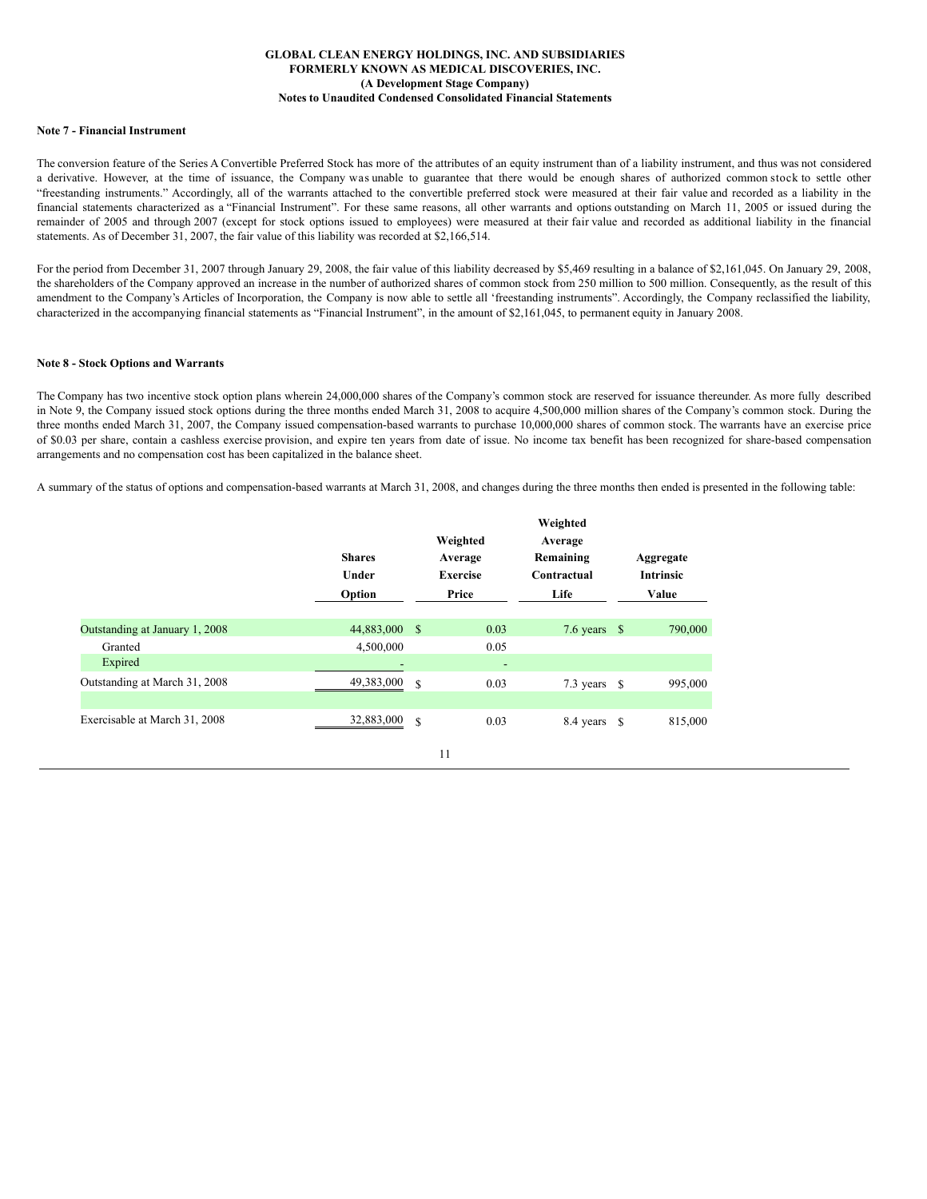### **Note 7 - Financial Instrument**

The conversion feature of the Series A Convertible Preferred Stock has more of the attributes of an equity instrument than of a liability instrument, and thus was not considered a derivative. However, at the time of issuance, the Company was unable to guarantee that there would be enough shares of authorized common stock to settle other "freestanding instruments." Accordingly, all of the warrants attached to the convertible preferred stock were measured at their fair value and recorded as a liability in the financial statements characterized as a "Financial Instrument". For these same reasons, all other warrants and options outstanding on March 11, 2005 or issued during the remainder of 2005 and through 2007 (except for stock options issued to employees) were measured at their fair value and recorded as additional liability in the financial statements. As of December 31, 2007, the fair value of this liability was recorded at \$2,166,514.

For the period from December 31, 2007 through January 29, 2008, the fair value of this liability decreased by \$5,469 resulting in a balance of \$2,161,045. On January 29, 2008, the shareholders of the Company approved an increase in the number of authorized shares of common stock from 250 million to 500 million. Consequently, as the result of this amendment to the Company's Articles of Incorporation, the Company is now able to settle all 'freestanding instruments". Accordingly, the Company reclassified the liability, characterized in the accompanying financial statements as "Financial Instrument", in the amount of \$2,161,045, to permanent equity in January 2008.

## **Note 8 - Stock Options and Warrants**

The Company has two incentive stock option plans wherein 24,000,000 shares of the Company's common stock are reserved for issuance thereunder. As more fully described in Note 9, the Company issued stock options during the three months ended March 31, 2008 to acquire 4,500,000 million shares of the Company's common stock. During the three months ended March 31, 2007, the Company issued compensation-based warrants to purchase 10,000,000 shares of common stock. The warrants have an exercise price of \$0.03 per share, contain a cashless exercise provision, and expire ten years from date of issue. No income tax benefit has been recognized for share-based compensation arrangements and no compensation cost has been capitalized in the balance sheet.

A summary of the status of options and compensation-based warrants at March 31, 2008, and changes during the three months then ended is presented in the following table:

|                                | <b>Shares</b><br>Under<br>Option |      | Weighted<br>Average<br><b>Exercise</b><br>Price | Weighted<br>Average<br>Remaining<br>Contractual<br>Life | Aggregate<br><b>Intrinsic</b><br>Value |
|--------------------------------|----------------------------------|------|-------------------------------------------------|---------------------------------------------------------|----------------------------------------|
| Outstanding at January 1, 2008 | 44,883,000                       | - \$ | 0.03                                            | 7.6 years $$$                                           | 790,000                                |
| Granted                        | 4,500,000                        |      | 0.05                                            |                                                         |                                        |
| Expired                        |                                  |      | ٠                                               |                                                         |                                        |
| Outstanding at March 31, 2008  | 49,383,000                       | S    | 0.03                                            | 7.3 years $\delta$                                      | 995,000                                |
|                                |                                  |      |                                                 |                                                         |                                        |
| Exercisable at March 31, 2008  | 32,883,000                       | S    | 0.03                                            | 8.4 years \$                                            | 815,000                                |
|                                |                                  |      | 11                                              |                                                         |                                        |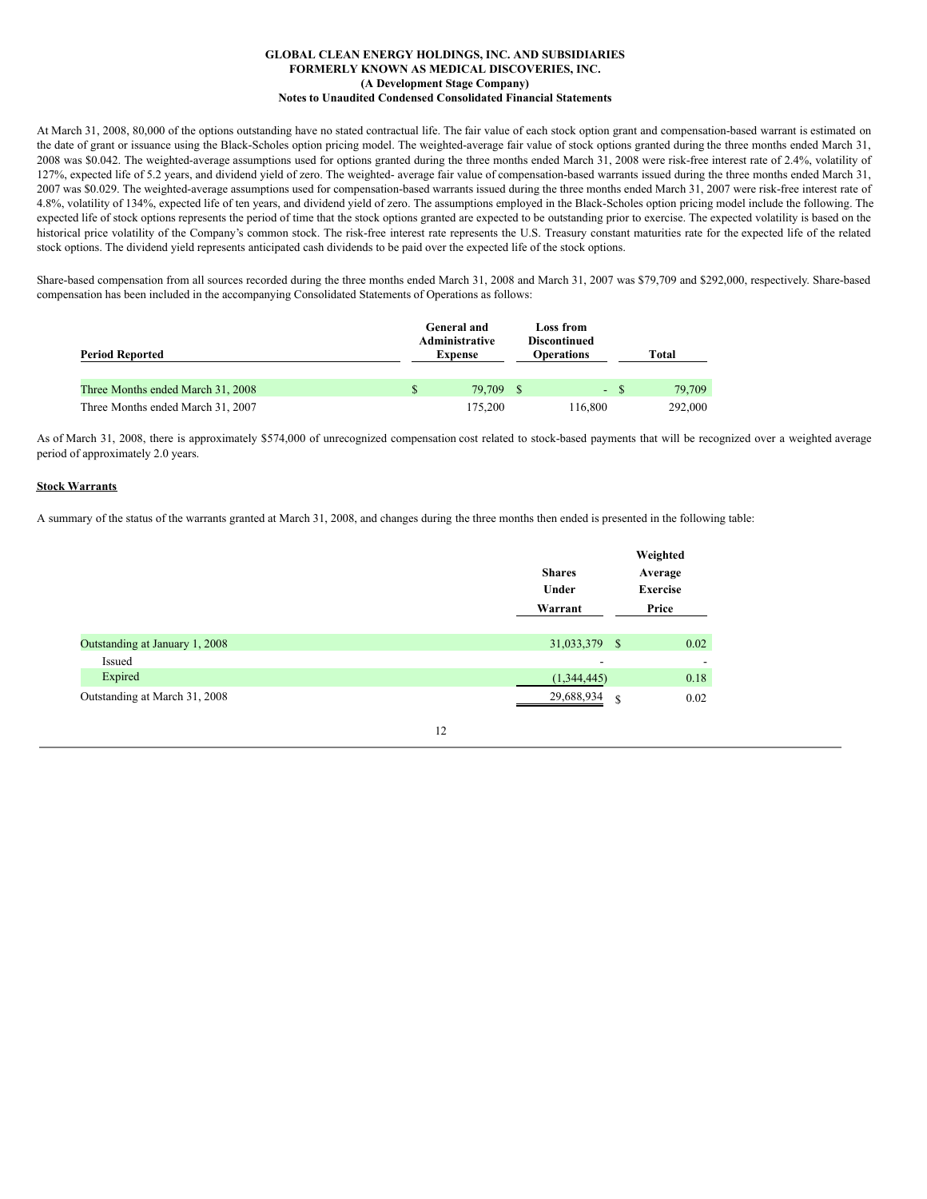At March 31, 2008, 80,000 of the options outstanding have no stated contractual life. The fair value of each stock option grant and compensation-based warrant is estimated on the date of grant or issuance using the Black-Scholes option pricing model. The weighted-average fair value of stock options granted during the three months ended March 31, 2008 was \$0.042. The weighted-average assumptions used for options granted during the three months ended March 31, 2008 were risk-free interest rate of 2.4%, volatility of 127%, expected life of 5.2 years, and dividend yield of zero. The weighted- average fair value of compensation-based warrants issued during the three months ended March 31, 2007 was \$0.029. The weighted-average assumptions used for compensation-based warrants issued during the three months ended March 31, 2007 were risk-free interest rate of 4.8%, volatility of 134%, expected life of ten years, and dividend yield of zero. The assumptions employed in the Black-Scholes option pricing model include the following. The expected life of stock options represents the period of time that the stock options granted are expected to be outstanding prior to exercise. The expected volatility is based on the historical price volatility of the Company's common stock. The risk-free interest rate represents the U.S. Treasury constant maturities rate for the expected life of the related stock options. The dividend yield represents anticipated cash dividends to be paid over the expected life of the stock options.

Share-based compensation from all sources recorded during the three months ended March 31, 2008 and March 31, 2007 was \$79,709 and \$292,000, respectively. Share-based compensation has been included in the accompanying Consolidated Statements of Operations as follows:

| <b>Period Reported</b>            | <b>General and</b><br>Administrative<br><b>Expense</b> | Loss from<br><b>Discontinued</b><br><b>Operations</b> |        | Total   |
|-----------------------------------|--------------------------------------------------------|-------------------------------------------------------|--------|---------|
| Three Months ended March 31, 2008 | 79,709 \$                                              |                                                       | $-$ \$ | 79.709  |
| Three Months ended March 31, 2007 | 175,200                                                | 116,800                                               |        | 292,000 |

As of March 31, 2008, there is approximately \$574,000 of unrecognized compensation cost related to stock-based payments that will be recognized over a weighted average period of approximately 2.0 years.

## **Stock Warrants**

A summary of the status of the warrants granted at March 31, 2008, and changes during the three months then ended is presented in the following table:

|                                | <b>Shares</b><br>Under<br>Warrant |   | Weighted<br>Average<br><b>Exercise</b><br>Price |
|--------------------------------|-----------------------------------|---|-------------------------------------------------|
| Outstanding at January 1, 2008 | 31,033,379 \$                     |   | 0.02                                            |
| Issued                         | -                                 |   | $\overline{\phantom{a}}$                        |
| Expired                        | (1,344,445)                       |   | 0.18                                            |
| Outstanding at March 31, 2008  | 29,688,934                        | S | 0.02                                            |

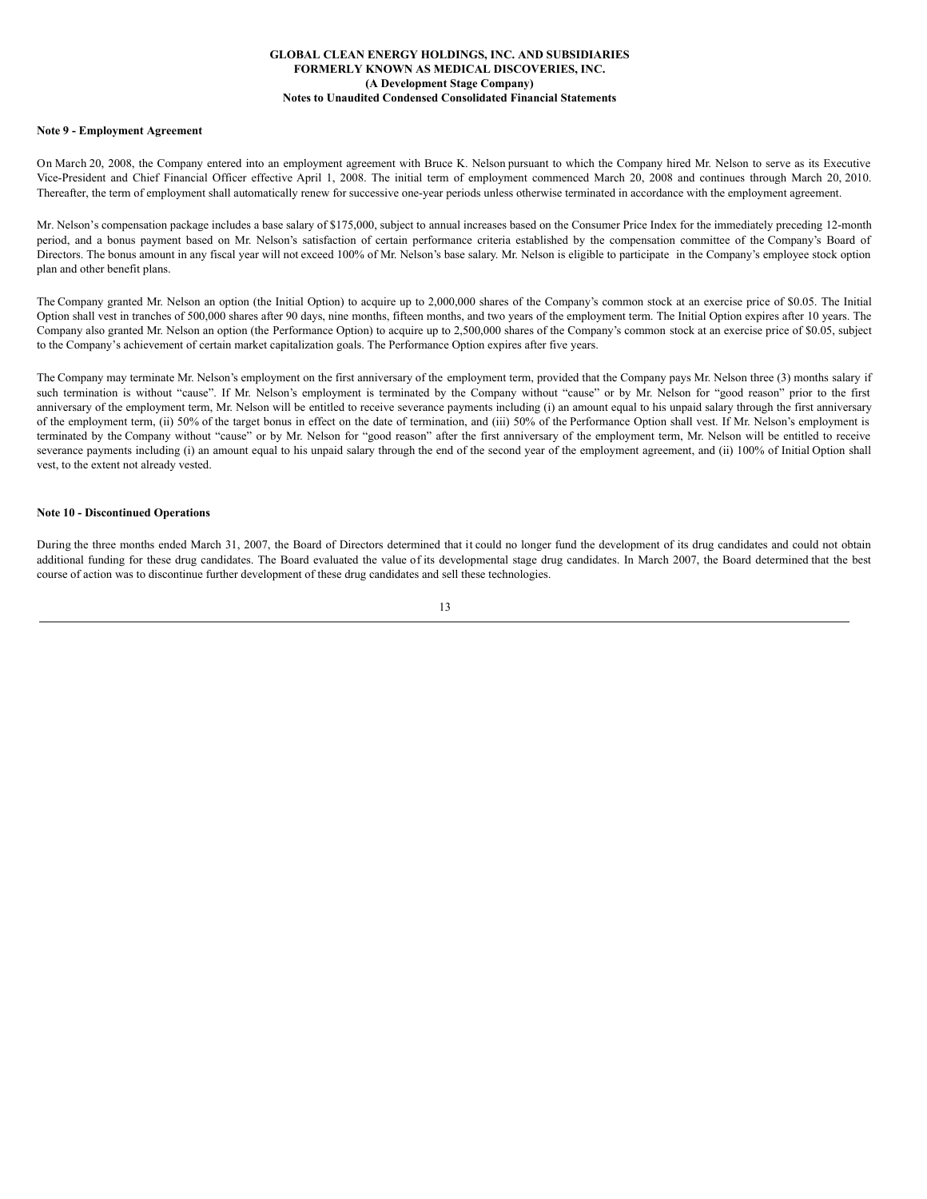## **Note 9 - Employment Agreement**

On March 20, 2008, the Company entered into an employment agreement with Bruce K. Nelson pursuant to which the Company hired Mr. Nelson to serve as its Executive Vice-President and Chief Financial Officer effective April 1, 2008. The initial term of employment commenced March 20, 2008 and continues through March 20, 2010. Thereafter, the term of employment shall automatically renew for successive one-year periods unless otherwise terminated in accordance with the employment agreement.

Mr. Nelson's compensation package includes a base salary of \$175,000, subject to annual increases based on the Consumer Price Index for the immediately preceding 12-month period, and a bonus payment based on Mr. Nelson's satisfaction of certain performance criteria established by the compensation committee of the Company's Board of Directors. The bonus amount in any fiscal year will not exceed 100% of Mr. Nelson's base salary. Mr. Nelson is eligible to participate in the Company's employee stock option plan and other benefit plans.

The Company granted Mr. Nelson an option (the Initial Option) to acquire up to 2,000,000 shares of the Company's common stock at an exercise price of \$0.05. The Initial Option shall vest in tranches of 500,000 shares after 90 days, nine months, fifteen months, and two years of the employment term. The Initial Option expires after 10 years. The Company also granted Mr. Nelson an option (the Performance Option) to acquire up to 2,500,000 shares of the Company's common stock at an exercise price of \$0.05, subject to the Company's achievement of certain market capitalization goals. The Performance Option expires after five years.

The Company may terminate Mr. Nelson's employment on the first anniversary of the employment term, provided that the Company pays Mr. Nelson three (3) months salary if such termination is without "cause". If Mr. Nelson's employment is terminated by the Company without "cause" or by Mr. Nelson for "good reason" prior to the first anniversary of the employment term, Mr. Nelson will be entitled to receive severance payments including (i) an amount equal to his unpaid salary through the first anniversary of the employment term, (ii) 50% of the target bonus in effect on the date of termination, and (iii) 50% of the Performance Option shall vest. If Mr. Nelson's employment is terminated by the Company without "cause" or by Mr. Nelson for "good reason" after the first anniversary of the employment term, Mr. Nelson will be entitled to receive severance payments including (i) an amount equal to his unpaid salary through the end of the second year of the employment agreement, and (ii) 100% of Initial Option shall vest, to the extent not already vested.

#### **Note 10 - Discontinued Operations**

During the three months ended March 31, 2007, the Board of Directors determined that it could no longer fund the development of its drug candidates and could not obtain additional funding for these drug candidates. The Board evaluated the value of its developmental stage drug candidates. In March 2007, the Board determined that the best course of action was to discontinue further development of these drug candidates and sell these technologies.

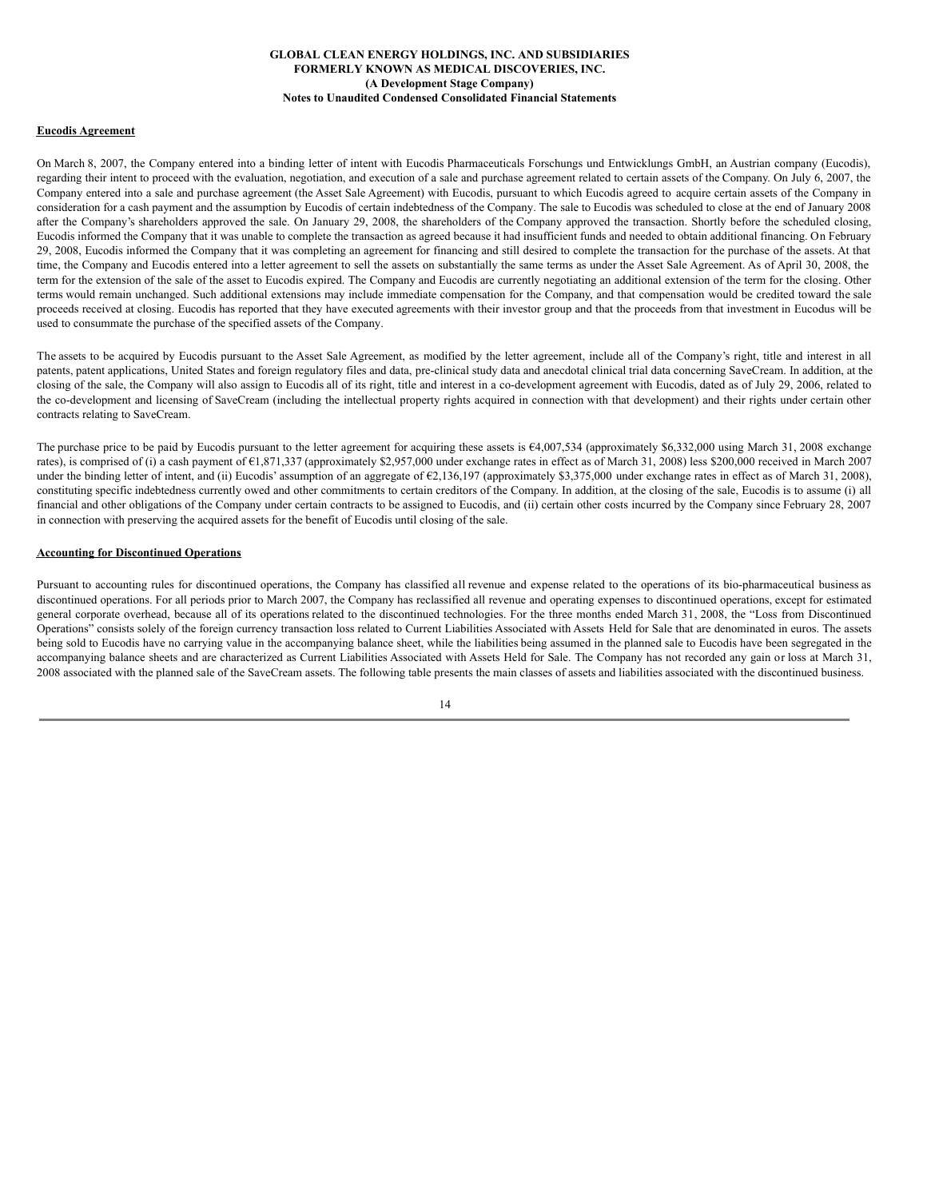#### **Eucodis Agreement**

On March 8, 2007, the Company entered into a binding letter of intent with Eucodis Pharmaceuticals Forschungs und Entwicklungs GmbH, an Austrian company (Eucodis), regarding their intent to proceed with the evaluation, negotiation, and execution of a sale and purchase agreement related to certain assets of the Company. On July 6, 2007, the Company entered into a sale and purchase agreement (the Asset Sale Agreement) with Eucodis, pursuant to which Eucodis agreed to acquire certain assets of the Company in consideration for a cash payment and the assumption by Eucodis of certain indebtedness of the Company. The sale to Eucodis was scheduled to close at the end of January 2008 after the Company's shareholders approved the sale. On January 29, 2008, the shareholders of the Company approved the transaction. Shortly before the scheduled closing, Eucodis informed the Company that it was unable to complete the transaction as agreed because it had insufficient funds and needed to obtain additional financing. On February 29, 2008, Eucodis informed the Company that it was completing an agreement for financing and still desired to complete the transaction for the purchase of the assets. At that time, the Company and Eucodis entered into a letter agreement to sell the assets on substantially the same terms as under the Asset Sale Agreement. As of April 30, 2008, the term for the extension of the sale of the asset to Eucodis expired. The Company and Eucodis are currently negotiating an additional extension of the term for the closing. Other terms would remain unchanged. Such additional extensions may include immediate compensation for the Company, and that compensation would be credited toward the sale proceeds received at closing. Eucodis has reported that they have executed agreements with their investor group and that the proceeds from that investment in Eucodus will be used to consummate the purchase of the specified assets of the Company.

The assets to be acquired by Eucodis pursuant to the Asset Sale Agreement, as modified by the letter agreement, include all of the Company's right, title and interest in all patents, patent applications, United States and foreign regulatory files and data, pre-clinical study data and anecdotal clinical trial data concerning SaveCream. In addition, at the closing of the sale, the Company will also assign to Eucodis all of its right, title and interest in a co-development agreement with Eucodis, dated as of July 29, 2006, related to the co-development and licensing of SaveCream (including the intellectual property rights acquired in connection with that development) and their rights under certain other contracts relating to SaveCream.

The purchase price to be paid by Eucodis pursuant to the letter agreement for acquiring these assets is  $64,007,534$  (approximately \$6,332,000 using March 31, 2008 exchange rates), is comprised of (i) a cash payment of €1,871,337 (approximately \$2,957,000 under exchange rates in effect as of March 31, 2008) less \$200,000 received in March 2007 under the binding letter of intent, and (ii) Eucodis' assumption of an aggregate of  $\epsilon$ 2,136,197 (approximately \$3,375,000 under exchange rates in effect as of March 31, 2008), constituting specific indebtedness currently owed and other commitments to certain creditors of the Company. In addition, at the closing of the sale, Eucodis is to assume (i) all financial and other obligations of the Company under certain contracts to be assigned to Eucodis, and (ii) certain other costs incurred by the Company since February 28, 2007 in connection with preserving the acquired assets for the benefit of Eucodis until closing of the sale.

## **Accounting for Discontinued Operations**

Pursuant to accounting rules for discontinued operations, the Company has classified all revenue and expense related to the operations of its bio-pharmaceutical business as discontinued operations. For all periods prior to March 2007, the Company has reclassified all revenue and operating expenses to discontinued operations, except for estimated general corporate overhead, because all of its operations related to the discontinued technologies. For the three months ended March 31, 2008, the "Loss from Discontinued Operations" consists solely of the foreign currency transaction loss related to Current Liabilities Associated with Assets Held for Sale that are denominated in euros. The assets being sold to Eucodis have no carrying value in the accompanying balance sheet, while the liabilities being assumed in the planned sale to Eucodis have been segregated in the accompanying balance sheets and are characterized as Current Liabilities Associated with Assets Held for Sale. The Company has not recorded any gain or loss at March 31, 2008 associated with the planned sale of the SaveCream assets. The following table presents the main classes of assets and liabilities associated with the discontinued business.

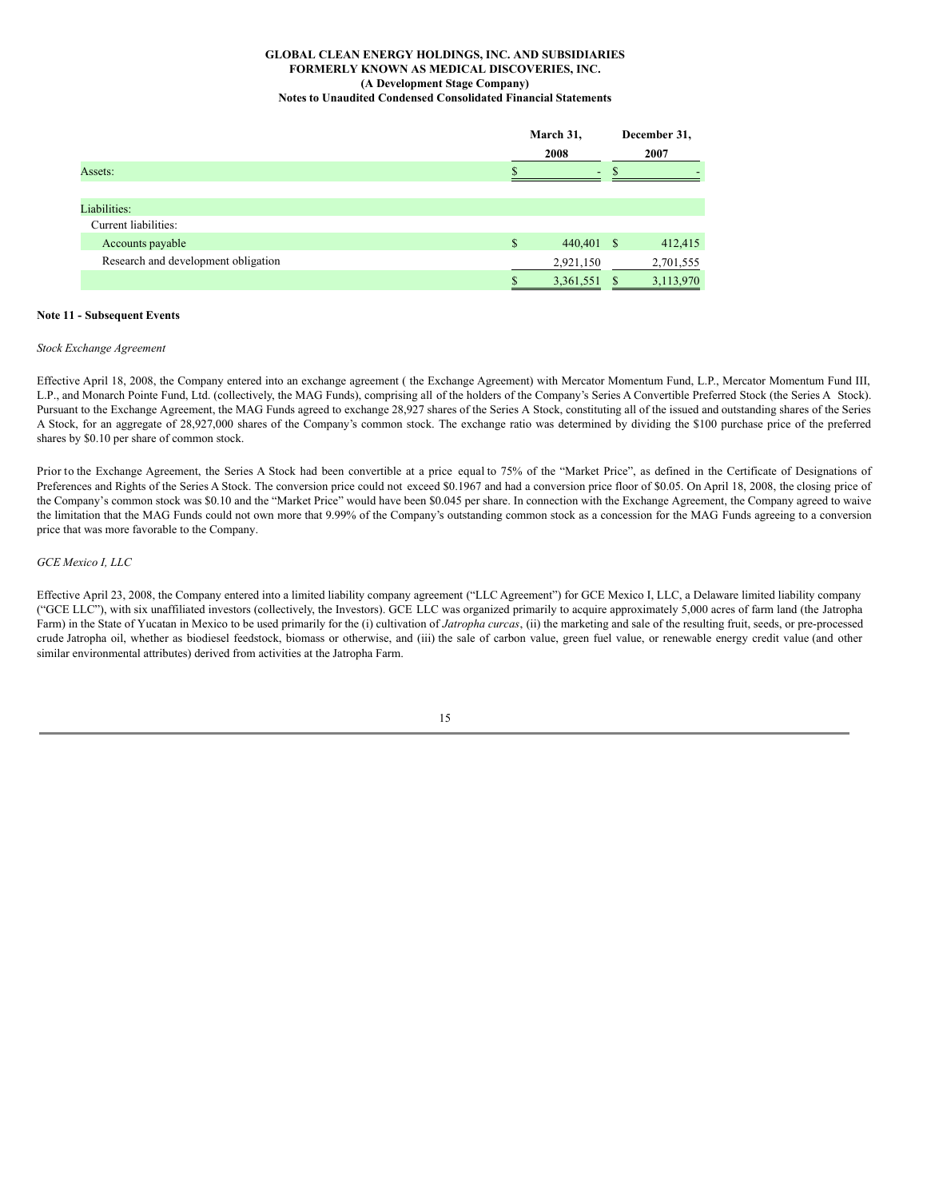|                                     | March 31,<br>2008<br>2007 |   | December 31, |
|-------------------------------------|---------------------------|---|--------------|
| Assets:                             |                           |   |              |
|                                     |                           |   |              |
| Liabilities:                        |                           |   |              |
| Current liabilities:                |                           |   |              |
| Accounts payable                    | \$<br>440,401 \$          |   | 412,415      |
| Research and development obligation | 2,921,150                 |   | 2,701,555    |
|                                     | \$<br>3,361,551           | S | 3,113,970    |

## **Note 11 - Subsequent Events**

## *Stock Exchange Agreement*

Effective April 18, 2008, the Company entered into an exchange agreement ( the Exchange Agreement) with Mercator Momentum Fund, L.P., Mercator Momentum Fund III, L.P., and Monarch Pointe Fund, Ltd. (collectively, the MAG Funds), comprising all of the holders of the Company's Series A Convertible Preferred Stock (the Series A Stock). Pursuant to the Exchange Agreement, the MAG Funds agreed to exchange 28,927 shares of the Series A Stock, constituting all of the issued and outstanding shares of the Series A Stock, for an aggregate of 28,927,000 shares of the Company's common stock. The exchange ratio was determined by dividing the \$100 purchase price of the preferred shares by \$0.10 per share of common stock.

Prior to the Exchange Agreement, the Series A Stock had been convertible at a price equal to 75% of the "Market Price", as defined in the Certificate of Designations of Preferences and Rights of the Series A Stock. The conversion price could not exceed \$0.1967 and had a conversion price floor of \$0.05. On April 18, 2008, the closing price of the Company's common stock was \$0.10 and the "Market Price" would have been \$0.045 per share. In connection with the Exchange Agreement, the Company agreed to waive the limitation that the MAG Funds could not own more that 9.99% of the Company's outstanding common stock as a concession for the MAG Funds agreeing to a conversion price that was more favorable to the Company.

#### *GCE Mexico I, LLC*

Effective April 23, 2008, the Company entered into a limited liability company agreement ("LLC Agreement") for GCE Mexico I, LLC, a Delaware limited liability company ("GCE LLC"), with six unaffiliated investors (collectively, the Investors). GCE LLC was organized primarily to acquire approximately 5,000 acres of farm land (the Jatropha Farm) in the State of Yucatan in Mexico to be used primarily for the (i) cultivation of *Jatropha curcas*, (ii) the marketing and sale of the resulting fruit, seeds, or pre-processed crude Jatropha oil, whether as biodiesel feedstock, biomass or otherwise, and (iii) the sale of carbon value, green fuel value, or renewable energy credit value (and other similar environmental attributes) derived from activities at the Jatropha Farm.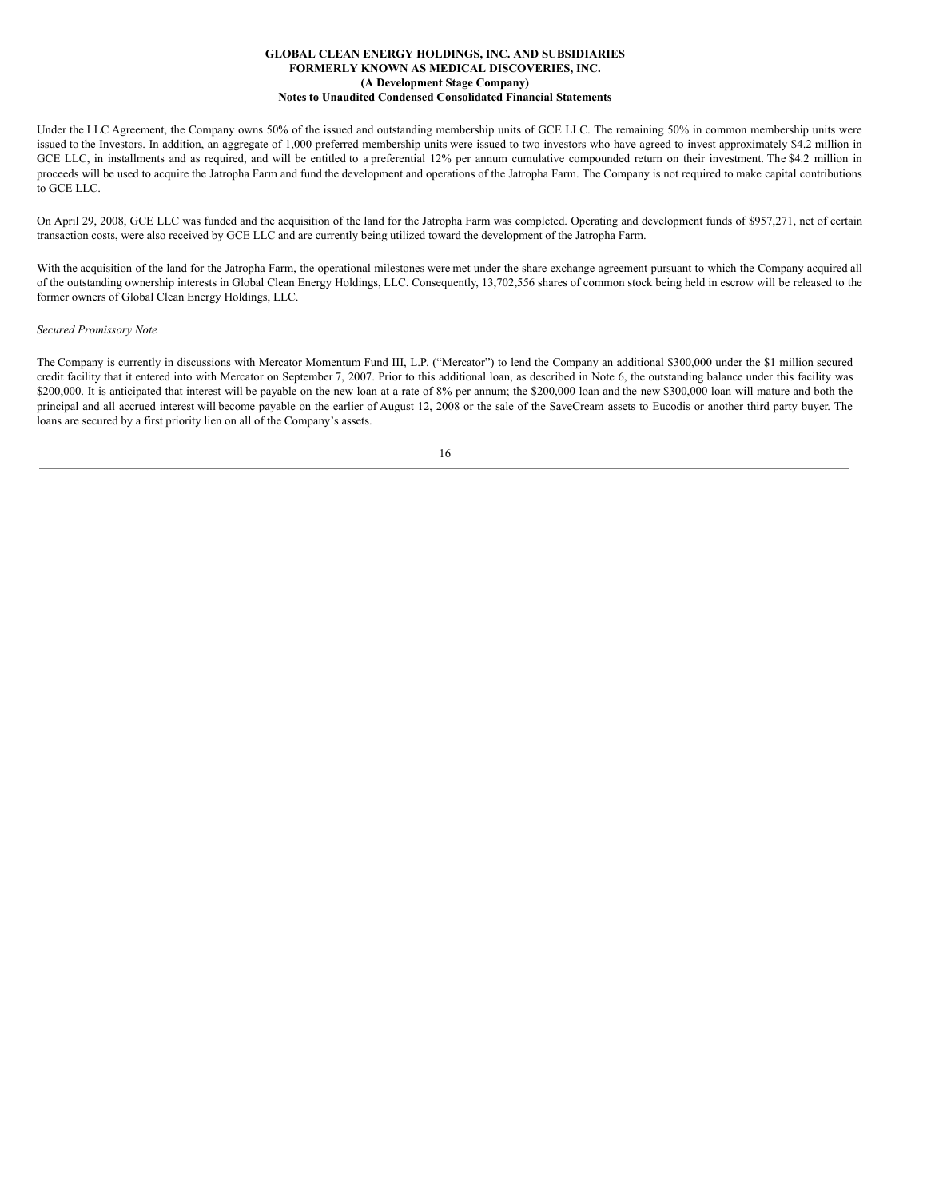Under the LLC Agreement, the Company owns 50% of the issued and outstanding membership units of GCE LLC. The remaining 50% in common membership units were issued to the Investors. In addition, an aggregate of 1,000 preferred membership units were issued to two investors who have agreed to invest approximately \$4.2 million in GCE LLC, in installments and as required, and will be entitled to a preferential 12% per annum cumulative compounded return on their investment. The \$4.2 million in proceeds will be used to acquire the Jatropha Farm and fund the development and operations of the Jatropha Farm. The Company is not required to make capital contributions to GCE LLC.

On April 29, 2008, GCE LLC was funded and the acquisition of the land for the Jatropha Farm was completed. Operating and development funds of \$957,271, net of certain transaction costs, were also received by GCE LLC and are currently being utilized toward the development of the Jatropha Farm.

With the acquisition of the land for the Jatropha Farm, the operational milestones were met under the share exchange agreement pursuant to which the Company acquired all of the outstanding ownership interests in Global Clean Energy Holdings, LLC. Consequently, 13,702,556 shares of common stock being held in escrow will be released to the former owners of Global Clean Energy Holdings, LLC.

#### *Secured Promissory Note*

The Company is currently in discussions with Mercator Momentum Fund III, L.P. ("Mercator") to lend the Company an additional \$300,000 under the \$1 million secured credit facility that it entered into with Mercator on September 7, 2007. Prior to this additional loan, as described in Note 6, the outstanding balance under this facility was \$200,000. It is anticipated that interest will be payable on the new loan at a rate of 8% per annum; the \$200,000 loan and the new \$300,000 loan will mature and both the principal and all accrued interest will become payable on the earlier of August 12, 2008 or the sale of the SaveCream assets to Eucodis or another third party buyer. The loans are secured by a first priority lien on all of the Company's assets.

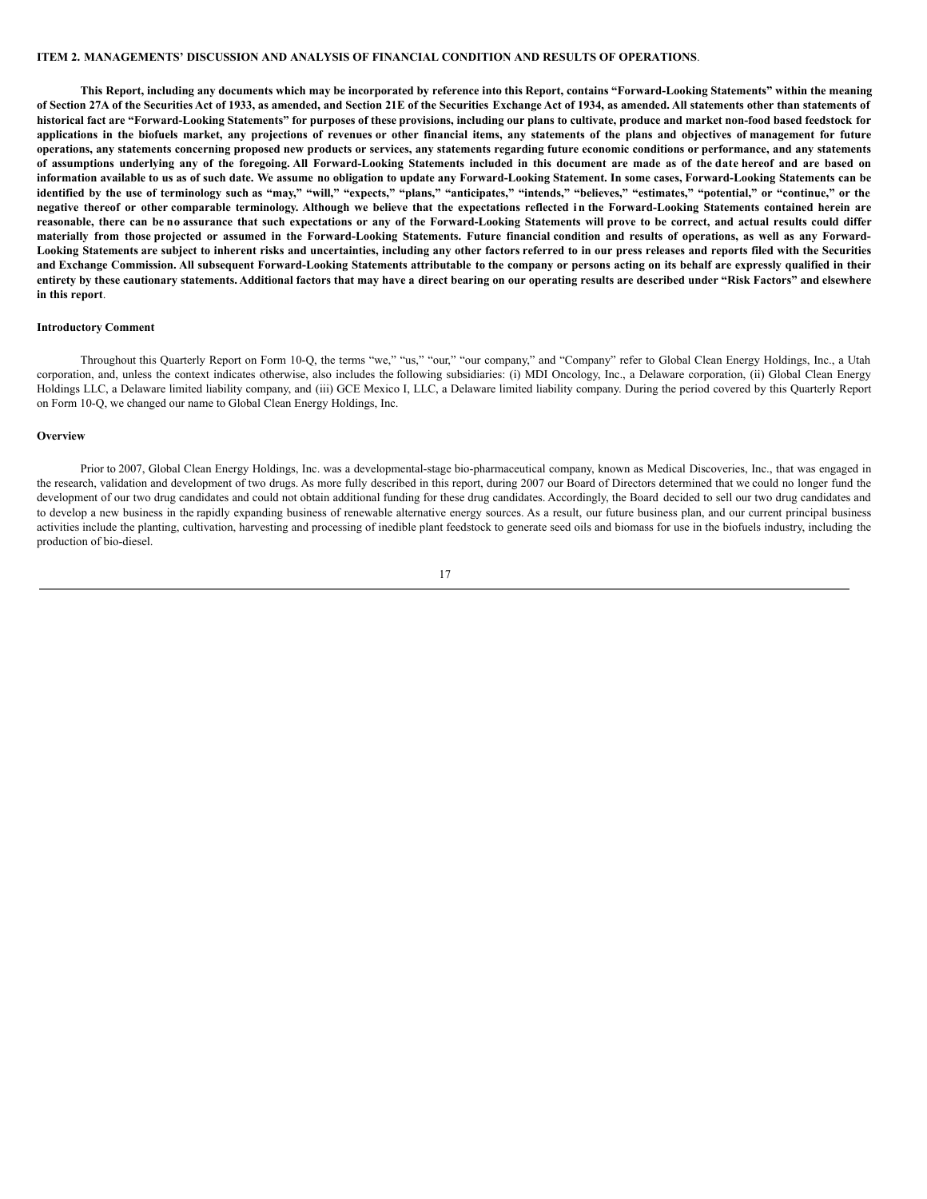## **ITEM 2. MANAGEMENTS' DISCUSSION AND ANALYSIS OF FINANCIAL CONDITION AND RESULTS OF OPERATIONS**.

This Report, including any documents which may be incorporated by reference into this Report, contains "Forward-Looking Statements" within the meaning of Section 27A of the Securities Act of 1933, as amended, and Section 21E of the Securities Exchange Act of 1934, as amended. All statements other than statements of historical fact are "Forward-Looking Statements" for purposes of these provisions, including our plans to cultivate, produce and market non-food based feedstock for applications in the biofuels market, any projections of revenues or other financial items, any statements of the plans and objectives of management for future operations, any statements concerning proposed new products or services, any statements regarding future economic conditions or performance, and any statements of assumptions underlying any of the foregoing. All Forward-Looking Statements included in this document are made as of the date hereof and are based on information available to us as of such date. We assume no obligation to update any Forward-Looking Statement. In some cases, Forward-Looking Statements can be identified by the use of terminology such as "may," "will," "expects," "plans," "anticipates," "intends," "believes," "estimates," "potential," or "continue," or the negative thereof or other comparable terminology. Although we believe that the expectations reflected in the Forward-Looking Statements contained herein are reasonable, there can be no assurance that such expectations or any of the Forward-Looking Statements will prove to be correct, and actual results could differ materially from those projected or assumed in the Forward-Looking Statements. Future financial condition and results of operations, as well as any Forward-Looking Statements are subject to inherent risks and uncertainties, including any other factors referred to in our press releases and reports filed with the Securities and Exchange Commission. All subsequent Forward-Looking Statements attributable to the company or persons acting on its behalf are expressly qualified in their entirety by these cautionary statements. Additional factors that may have a direct bearing on our operating results are described under "Risk Factors" and elsewhere **in this report**.

### **Introductory Comment**

Throughout this Quarterly Report on Form 10-Q, the terms "we," "us," "our," "our company," and "Company" refer to Global Clean Energy Holdings, Inc., a Utah corporation, and, unless the context indicates otherwise, also includes the following subsidiaries: (i) MDI Oncology, Inc., a Delaware corporation, (ii) Global Clean Energy Holdings LLC, a Delaware limited liability company, and (iii) GCE Mexico I, LLC, a Delaware limited liability company. During the period covered by this Quarterly Report on Form 10-Q, we changed our name to Global Clean Energy Holdings, Inc.

#### **Overview**

Prior to 2007, Global Clean Energy Holdings, Inc. was a developmental-stage bio-pharmaceutical company, known as Medical Discoveries, Inc., that was engaged in the research, validation and development of two drugs. As more fully described in this report, during 2007 our Board of Directors determined that we could no longer fund the development of our two drug candidates and could not obtain additional funding for these drug candidates. Accordingly, the Board decided to sell our two drug candidates and to develop a new business in the rapidly expanding business of renewable alternative energy sources. As a result, our future business plan, and our current principal business activities include the planting, cultivation, harvesting and processing of inedible plant feedstock to generate seed oils and biomass for use in the biofuels industry, including the production of bio-diesel.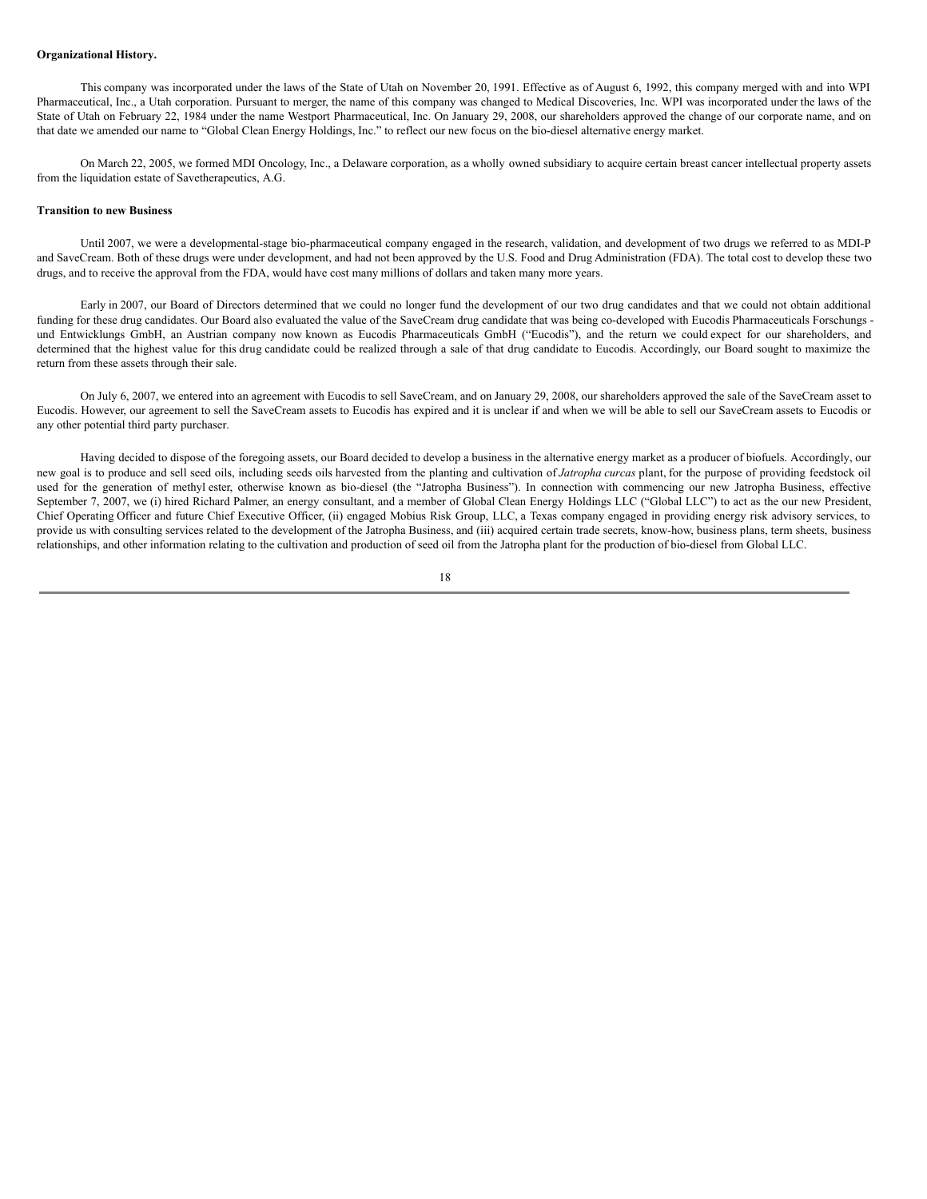#### **Organizational History.**

This company was incorporated under the laws of the State of Utah on November 20, 1991. Effective as of August 6, 1992, this company merged with and into WPI Pharmaceutical, Inc., a Utah corporation. Pursuant to merger, the name of this company was changed to Medical Discoveries, Inc. WPI was incorporated under the laws of the State of Utah on February 22, 1984 under the name Westport Pharmaceutical, Inc. On January 29, 2008, our shareholders approved the change of our corporate name, and on that date we amended our name to "Global Clean Energy Holdings, Inc." to reflect our new focus on the bio-diesel alternative energy market.

On March 22, 2005, we formed MDI Oncology, Inc., a Delaware corporation, as a wholly owned subsidiary to acquire certain breast cancer intellectual property assets from the liquidation estate of Savetherapeutics, A.G.

#### **Transition to new Business**

Until 2007, we were a developmental-stage bio-pharmaceutical company engaged in the research, validation, and development of two drugs we referred to as MDI-P and SaveCream. Both of these drugs were under development, and had not been approved by the U.S. Food and Drug Administration (FDA). The total cost to develop these two drugs, and to receive the approval from the FDA, would have cost many millions of dollars and taken many more years.

Early in 2007, our Board of Directors determined that we could no longer fund the development of our two drug candidates and that we could not obtain additional funding for these drug candidates. Our Board also evaluated the value of the SaveCream drug candidate that was being co-developed with Eucodis Pharmaceuticals Forschungs und Entwicklungs GmbH, an Austrian company now known as Eucodis Pharmaceuticals GmbH ("Eucodis"), and the return we could expect for our shareholders, and determined that the highest value for this drug candidate could be realized through a sale of that drug candidate to Eucodis. Accordingly, our Board sought to maximize the return from these assets through their sale.

On July 6, 2007, we entered into an agreement with Eucodis to sell SaveCream, and on January 29, 2008, our shareholders approved the sale of the SaveCream asset to Eucodis. However, our agreement to sell the SaveCream assets to Eucodis has expired and it is unclear if and when we will be able to sell our SaveCream assets to Eucodis or any other potential third party purchaser.

Having decided to dispose of the foregoing assets, our Board decided to develop a business in the alternative energy market as a producer of biofuels. Accordingly, our new goal is to produce and sell seed oils, including seeds oils harvested from the planting and cultivation of *Jatropha curcas* plant, for the purpose of providing feedstock oil used for the generation of methyl ester, otherwise known as bio-diesel (the "Jatropha Business"). In connection with commencing our new Jatropha Business, effective September 7, 2007, we (i) hired Richard Palmer, an energy consultant, and a member of Global Clean Energy Holdings LLC ("Global LLC") to act as the our new President, Chief Operating Officer and future Chief Executive Officer, (ii) engaged Mobius Risk Group, LLC, a Texas company engaged in providing energy risk advisory services, to provide us with consulting services related to the development of the Jatropha Business, and (iii) acquired certain trade secrets, know-how, business plans, term sheets, business relationships, and other information relating to the cultivation and production of seed oil from the Jatropha plant for the production of bio-diesel from Global LLC.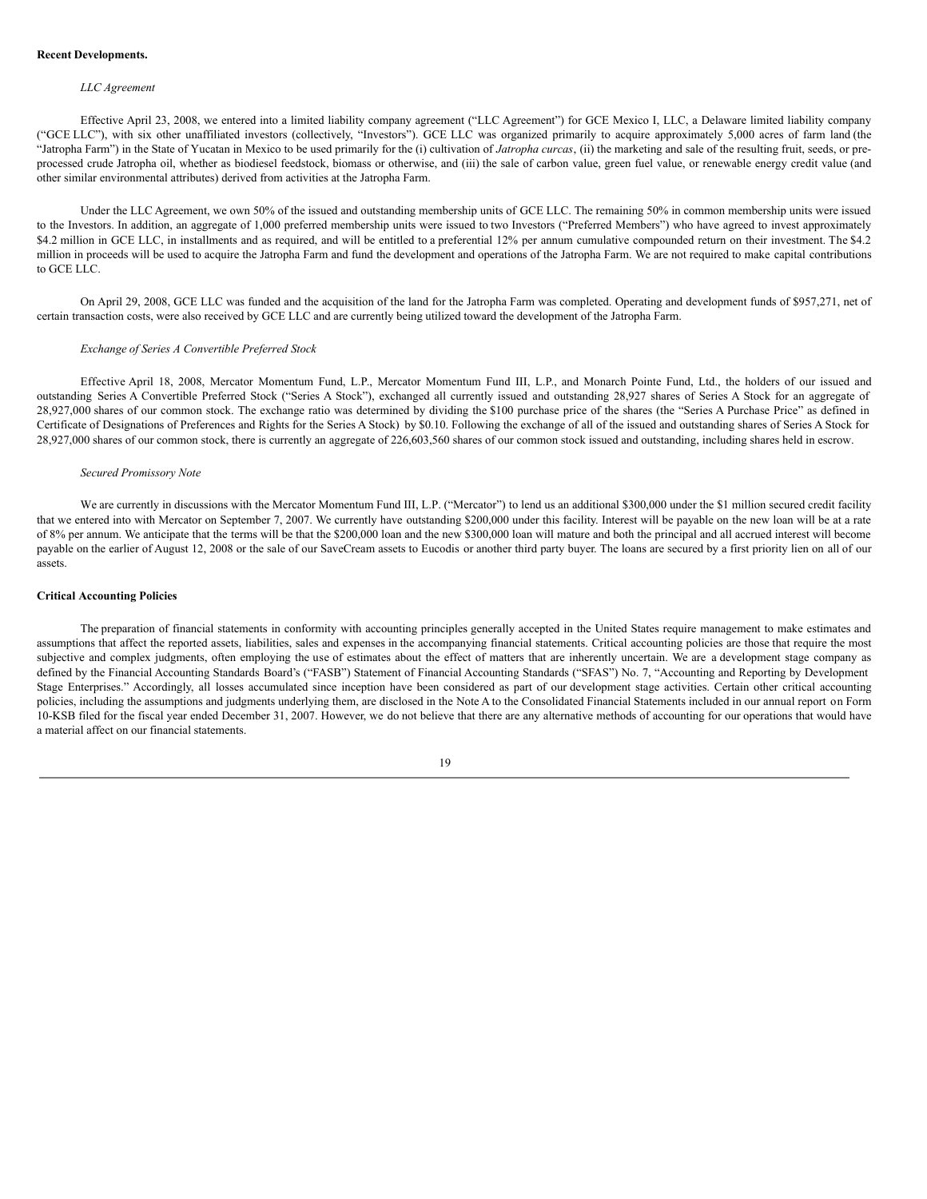#### **Recent Developments.**

#### *LLC Agreement*

Effective April 23, 2008, we entered into a limited liability company agreement ("LLC Agreement") for GCE Mexico I, LLC, a Delaware limited liability company ("GCE LLC"), with six other unaffiliated investors (collectively, "Investors"). GCE LLC was organized primarily to acquire approximately 5,000 acres of farm land (the "Jatropha Farm") in the State of Yucatan in Mexico to be used primarily for the (i) cultivation of *Jatropha curcas*, (ii) the marketing and sale of the resulting fruit, seeds, or preprocessed crude Jatropha oil, whether as biodiesel feedstock, biomass or otherwise, and (iii) the sale of carbon value, green fuel value, or renewable energy credit value (and other similar environmental attributes) derived from activities at the Jatropha Farm.

Under the LLC Agreement, we own 50% of the issued and outstanding membership units of GCE LLC. The remaining 50% in common membership units were issued to the Investors. In addition, an aggregate of 1,000 preferred membership units were issued to two Investors ("Preferred Members") who have agreed to invest approximately \$4.2 million in GCE LLC, in installments and as required, and will be entitled to a preferential 12% per annum cumulative compounded return on their investment. The \$4.2 million in proceeds will be used to acquire the Jatropha Farm and fund the development and operations of the Jatropha Farm. We are not required to make capital contributions to GCE LLC.

On April 29, 2008, GCE LLC was funded and the acquisition of the land for the Jatropha Farm was completed. Operating and development funds of \$957,271, net of certain transaction costs, were also received by GCE LLC and are currently being utilized toward the development of the Jatropha Farm.

### *Exchange of Series A Convertible Preferred Stock*

Effective April 18, 2008, Mercator Momentum Fund, L.P., Mercator Momentum Fund III, L.P., and Monarch Pointe Fund, Ltd., the holders of our issued and outstanding Series A Convertible Preferred Stock ("Series A Stock"), exchanged all currently issued and outstanding 28,927 shares of Series A Stock for an aggregate of 28,927,000 shares of our common stock. The exchange ratio was determined by dividing the \$100 purchase price of the shares (the "Series A Purchase Price" as defined in Certificate of Designations of Preferences and Rights for the Series A Stock) by \$0.10. Following the exchange of all of the issued and outstanding shares of Series A Stock for 28,927,000 shares of our common stock, there is currently an aggregate of 226,603,560 shares of our common stock issued and outstanding, including shares held in escrow.

#### *Secured Promissory Note*

We are currently in discussions with the Mercator Momentum Fund III, L.P. ("Mercator") to lend us an additional \$300,000 under the \$1 million secured credit facility that we entered into with Mercator on September 7, 2007. We currently have outstanding \$200,000 under this facility. Interest will be payable on the new loan will be at a rate of 8% per annum. We anticipate that the terms will be that the \$200,000 loan and the new \$300,000 loan will mature and both the principal and all accrued interest will become payable on the earlier of August 12, 2008 or the sale of our SaveCream assets to Eucodis or another third party buyer. The loans are secured by a first priority lien on all of our assets.

#### **Critical Accounting Policies**

The preparation of financial statements in conformity with accounting principles generally accepted in the United States require management to make estimates and assumptions that affect the reported assets, liabilities, sales and expenses in the accompanying financial statements. Critical accounting policies are those that require the most subjective and complex judgments, often employing the use of estimates about the effect of matters that are inherently uncertain. We are a development stage company as defined by the Financial Accounting Standards Board's ("FASB") Statement of Financial Accounting Standards ("SFAS") No. 7, "Accounting and Reporting by Development Stage Enterprises." Accordingly, all losses accumulated since inception have been considered as part of our development stage activities. Certain other critical accounting policies, including the assumptions and judgments underlying them, are disclosed in the Note A to the Consolidated Financial Statements included in our annual report on Form 10-KSB filed for the fiscal year ended December 31, 2007. However, we do not believe that there are any alternative methods of accounting for our operations that would have a material affect on our financial statements.

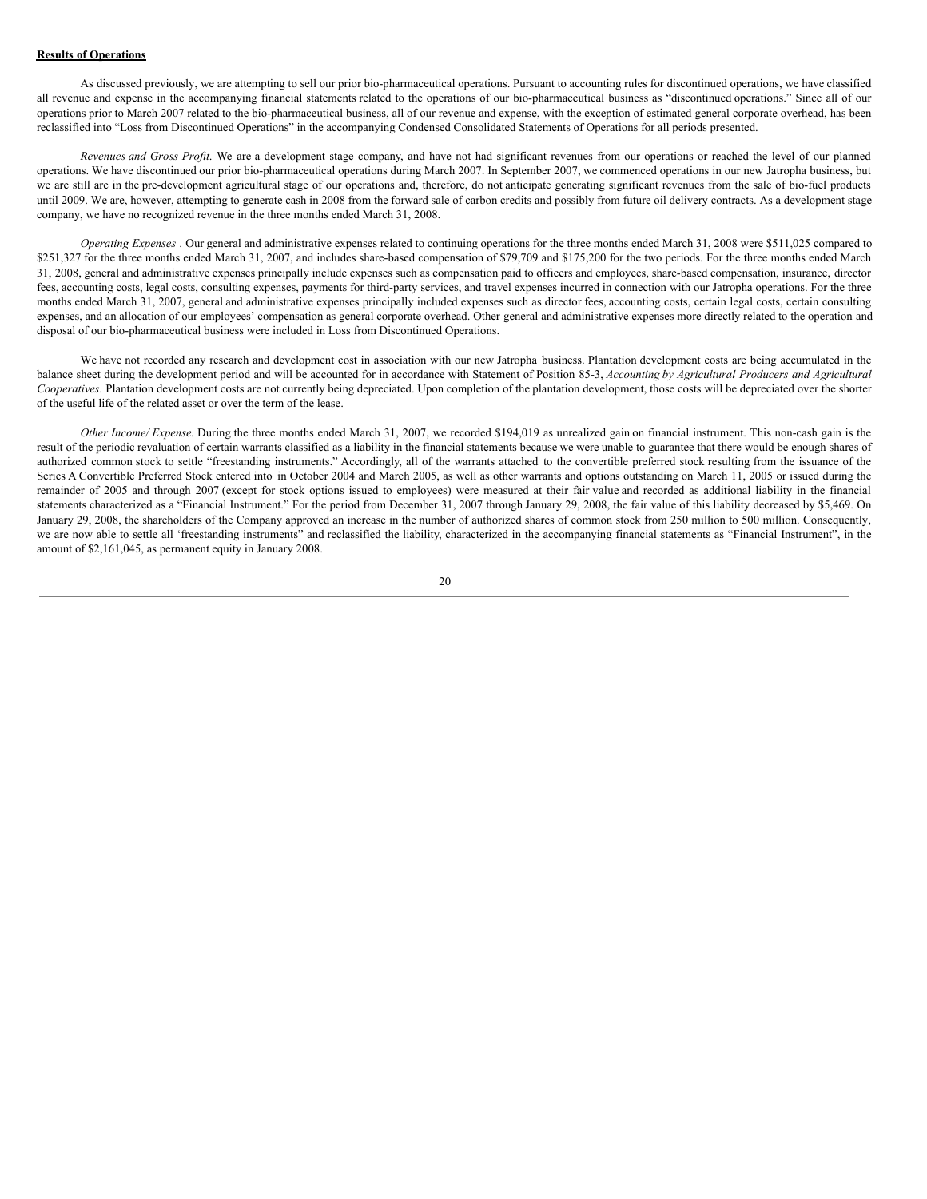#### **Results of Operations**

As discussed previously, we are attempting to sell our prior bio-pharmaceutical operations. Pursuant to accounting rules for discontinued operations, we have classified all revenue and expense in the accompanying financial statements related to the operations of our bio-pharmaceutical business as "discontinued operations." Since all of our operations prior to March 2007 related to the bio-pharmaceutical business, all of our revenue and expense, with the exception of estimated general corporate overhead, has been reclassified into "Loss from Discontinued Operations" in the accompanying Condensed Consolidated Statements of Operations for all periods presented.

*Revenues and Gross Profit*. We are a development stage company, and have not had significant revenues from our operations or reached the level of our planned operations. We have discontinued our prior bio-pharmaceutical operations during March 2007. In September 2007, we commenced operations in our new Jatropha business, but we are still are in the pre-development agricultural stage of our operations and, therefore, do not anticipate generating significant revenues from the sale of bio-fuel products until 2009. We are, however, attempting to generate cash in 2008 from the forward sale of carbon credits and possibly from future oil delivery contracts. As a development stage company, we have no recognized revenue in the three months ended March 31, 2008.

*Operating Expenses* . Our general and administrative expenses related to continuing operations for the three months ended March 31, 2008 were \$511,025 compared to \$251,327 for the three months ended March 31, 2007, and includes share-based compensation of \$79,709 and \$175,200 for the two periods. For the three months ended March 31, 2008, general and administrative expenses principally include expenses such as compensation paid to officers and employees, share-based compensation, insurance, director fees, accounting costs, legal costs, consulting expenses, payments for third-party services, and travel expenses incurred in connection with our Jatropha operations. For the three months ended March 31, 2007, general and administrative expenses principally included expenses such as director fees, accounting costs, certain legal costs, certain consulting expenses, and an allocation of our employees' compensation as general corporate overhead. Other general and administrative expenses more directly related to the operation and disposal of our bio-pharmaceutical business were included in Loss from Discontinued Operations.

We have not recorded any research and development cost in association with our new Jatropha business. Plantation development costs are being accumulated in the balance sheet during the development period and will be accounted for in accordance with Statement of Position 85-3, *Accounting by Agricultural Producers and Agricultural Cooperatives*. Plantation development costs are not currently being depreciated. Upon completion of the plantation development, those costs will be depreciated over the shorter of the useful life of the related asset or over the term of the lease.

*Other Income/ Expense*. During the three months ended March 31, 2007, we recorded \$194,019 as unrealized gain on financial instrument. This non-cash gain is the result of the periodic revaluation of certain warrants classified as a liability in the financial statements because we were unable to guarantee that there would be enough shares of authorized common stock to settle "freestanding instruments." Accordingly, all of the warrants attached to the convertible preferred stock resulting from the issuance of the Series A Convertible Preferred Stock entered into in October 2004 and March 2005, as well as other warrants and options outstanding on March 11, 2005 or issued during the remainder of 2005 and through 2007 (except for stock options issued to employees) were measured at their fair value and recorded as additional liability in the financial statements characterized as a "Financial Instrument." For the period from December 31, 2007 through January 29, 2008, the fair value of this liability decreased by \$5,469. On January 29, 2008, the shareholders of the Company approved an increase in the number of authorized shares of common stock from 250 million to 500 million. Consequently, we are now able to settle all 'freestanding instruments" and reclassified the liability, characterized in the accompanying financial statements as "Financial Instrument", in the amount of \$2,161,045, as permanent equity in January 2008.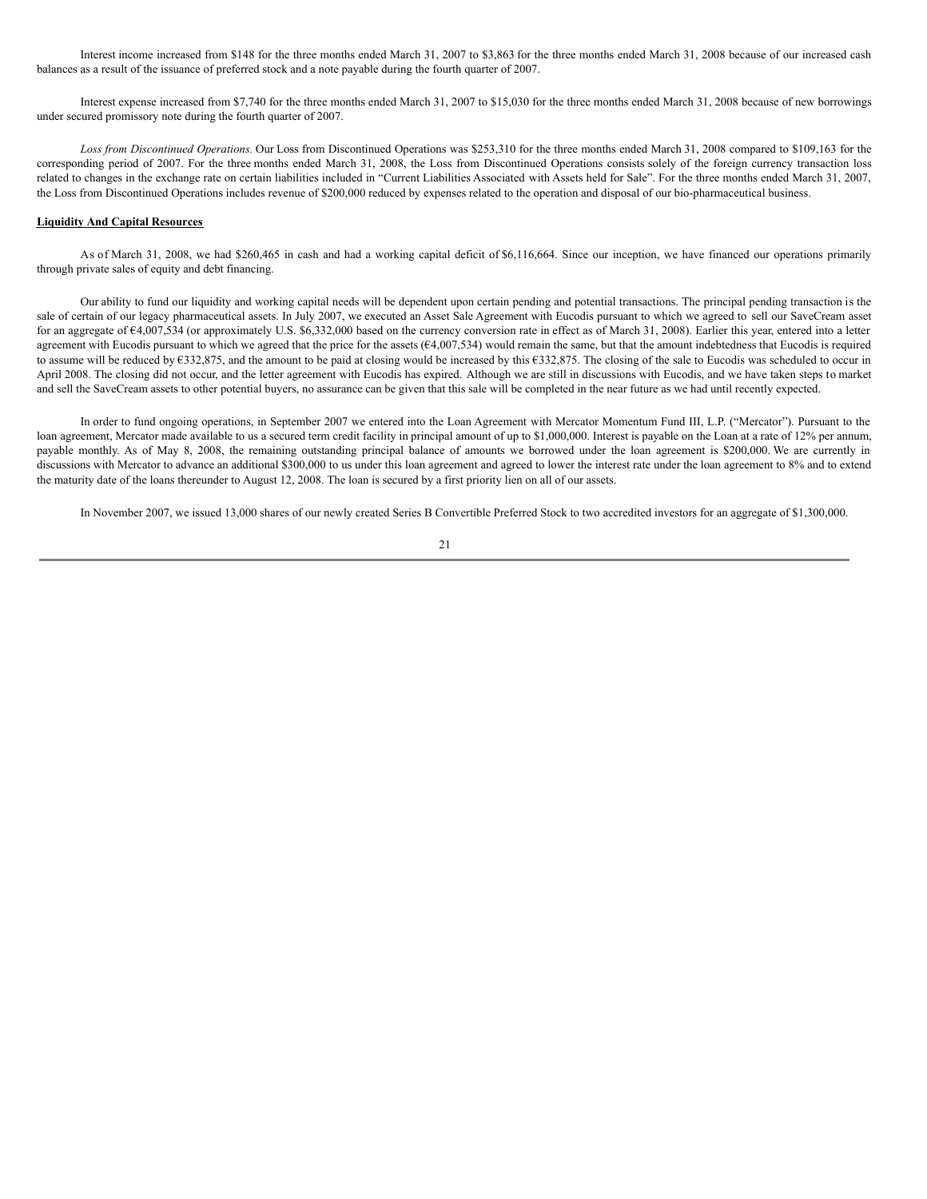Interest income increased from \$148 for the three months ended March 31, 2007 to \$3,863 for the three months ended March 31, 2008 because of our increased cash balances as a result of the issuance of preferred stock and a note payable during the fourth quarter of 2007.

Interest expense increased from \$7,740 for the three months ended March 31, 2007 to \$15,030 for the three months ended March 31, 2008 because of new borrowings under secured promissory note during the fourth quarter of 2007.

*Loss from Discontinued Operations.* Our Loss from Discontinued Operations was \$253,310 for the three months ended March 31, 2008 compared to \$109,163 for the corresponding period of 2007. For the three months ended March 31, 2008, the Loss from Discontinued Operations consists solely of the foreign currency transaction loss related to changes in the exchange rate on certain liabilities included in "Current Liabilities Associated with Assets held for Sale". For the three months ended March 31, 2007, the Loss from Discontinued Operations includes revenue of \$200,000 reduced by expenses related to the operation and disposal of our bio-pharmaceutical business.

### **Liquidity And Capital Resources**

As of March 31, 2008, we had \$260,465 in cash and had a working capital deficit of \$6,116,664. Since our inception, we have financed our operations primarily through private sales of equity and debt financing.

Our ability to fund our liquidity and working capital needs will be dependent upon certain pending and potential transactions. The principal pending transaction is the sale of certain of our legacy pharmaceutical assets. In July 2007, we executed an Asset Sale Agreement with Eucodis pursuant to which we agreed to sell our SaveCream asset for an aggregate of  $64,007,534$  (or approximately U.S. \$6,332,000 based on the currency conversion rate in effect as of March 31, 2008). Earlier this year, entered into a letter agreement with Eucodis pursuant to which we agreed that the price for the assets ( $\epsilon$ 4,007,534) would remain the same, but that the amount indebtedness that Eucodis is required to assume will be reduced by €332,875, and the amount to be paid at closing would be increased by this €332,875. The closing of the sale to Eucodis was scheduled to occur in April 2008. The closing did not occur, and the letter agreement with Eucodis has expired. Although we are still in discussions with Eucodis, and we have taken steps to market and sell the SaveCream assets to other potential buyers, no assurance can be given that this sale will be completed in the near future as we had until recently expected.

In order to fund ongoing operations, in September 2007 we entered into the Loan Agreement with Mercator Momentum Fund III, L.P. ("Mercator"). Pursuant to the loan agreement, Mercator made available to us a secured term credit facility in principal amount of up to \$1,000,000. Interest is payable on the Loan at a rate of 12% per annum, payable monthly. As of May 8, 2008, the remaining outstanding principal balance of amounts we borrowed under the loan agreement is \$200,000. We are currently in discussions with Mercator to advance an additional \$300,000 to us under this loan agreement and agreed to lower the interest rate under the loan agreement to 8% and to extend the maturity date of the loans thereunder to August 12, 2008. The loan is secured by a first priority lien on all of our assets.

In November 2007, we issued 13,000 shares of our newly created Series B Convertible Preferred Stock to two accredited investors for an aggregate of \$1,300,000.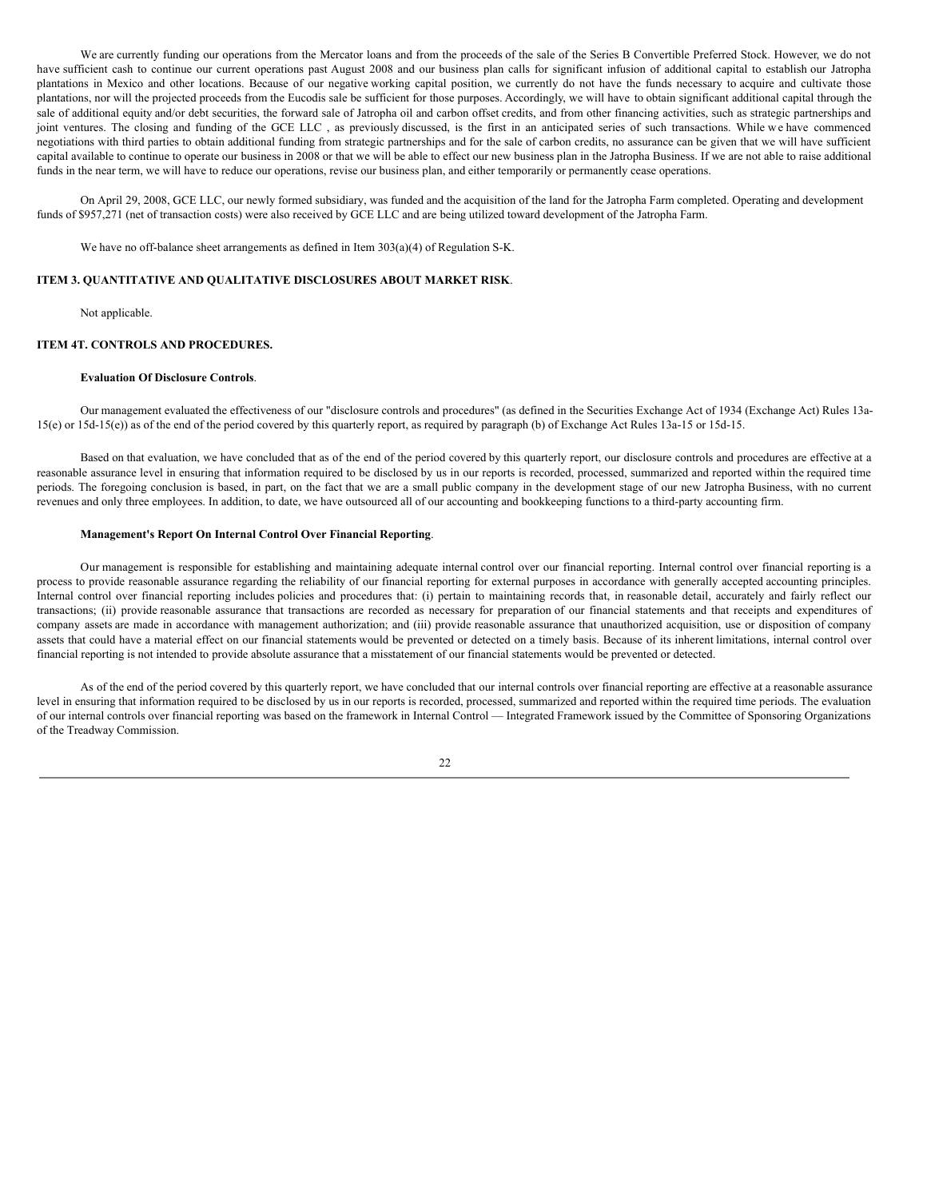We are currently funding our operations from the Mercator loans and from the proceeds of the sale of the Series B Convertible Preferred Stock. However, we do not have sufficient cash to continue our current operations past August 2008 and our business plan calls for significant infusion of additional capital to establish our Jatropha plantations in Mexico and other locations. Because of our negative working capital position, we currently do not have the funds necessary to acquire and cultivate those plantations, nor will the projected proceeds from the Eucodis sale be sufficient for those purposes. Accordingly, we will have to obtain significant additional capital through the sale of additional equity and/or debt securities, the forward sale of Jatropha oil and carbon offset credits, and from other financing activities, such as strategic partnerships and joint ventures. The closing and funding of the GCE LLC , as previously discussed, is the first in an anticipated series of such transactions. While w e have commenced negotiations with third parties to obtain additional funding from strategic partnerships and for the sale of carbon credits, no assurance can be given that we will have sufficient capital available to continue to operate our business in 2008 or that we will be able to effect our new business plan in the Jatropha Business. If we are not able to raise additional funds in the near term, we will have to reduce our operations, revise our business plan, and either temporarily or permanently cease operations.

On April 29, 2008, GCE LLC, our newly formed subsidiary, was funded and the acquisition of the land for the Jatropha Farm completed. Operating and development funds of \$957,271 (net of transaction costs) were also received by GCE LLC and are being utilized toward development of the Jatropha Farm.

We have no off-balance sheet arrangements as defined in Item 303(a)(4) of Regulation S-K.

## **ITEM 3. QUANTITATIVE AND QUALITATIVE DISCLOSURES ABOUT MARKET RISK**.

Not applicable.

## **ITEM 4T. CONTROLS AND PROCEDURES.**

## **Evaluation Of Disclosure Controls**.

Our management evaluated the effectiveness of our "disclosure controls and procedures" (as defined in the Securities Exchange Act of 1934 (Exchange Act) Rules 13a-15(e) or 15d-15(e)) as of the end of the period covered by this quarterly report, as required by paragraph (b) of Exchange Act Rules 13a-15 or 15d-15.

Based on that evaluation, we have concluded that as of the end of the period covered by this quarterly report, our disclosure controls and procedures are effective at a reasonable assurance level in ensuring that information required to be disclosed by us in our reports is recorded, processed, summarized and reported within the required time periods. The foregoing conclusion is based, in part, on the fact that we are a small public company in the development stage of our new Jatropha Business, with no current revenues and only three employees. In addition, to date, we have outsourced all of our accounting and bookkeeping functions to a third-party accounting firm.

## **Management's Report On Internal Control Over Financial Reporting**.

Our management is responsible for establishing and maintaining adequate internal control over our financial reporting. Internal control over financial reporting is a process to provide reasonable assurance regarding the reliability of our financial reporting for external purposes in accordance with generally accepted accounting principles. Internal control over financial reporting includes policies and procedures that: (i) pertain to maintaining records that, in reasonable detail, accurately and fairly reflect our transactions; (ii) provide reasonable assurance that transactions are recorded as necessary for preparation of our financial statements and that receipts and expenditures of company assets are made in accordance with management authorization; and (iii) provide reasonable assurance that unauthorized acquisition, use or disposition of company assets that could have a material effect on our financial statements would be prevented or detected on a timely basis. Because of its inherent limitations, internal control over financial reporting is not intended to provide absolute assurance that a misstatement of our financial statements would be prevented or detected.

As of the end of the period covered by this quarterly report, we have concluded that our internal controls over financial reporting are effective at a reasonable assurance level in ensuring that information required to be disclosed by us in our reports is recorded, processed, summarized and reported within the required time periods. The evaluation of our internal controls over financial reporting was based on the framework in Internal Control — Integrated Framework issued by the Committee of Sponsoring Organizations of the Treadway Commission.

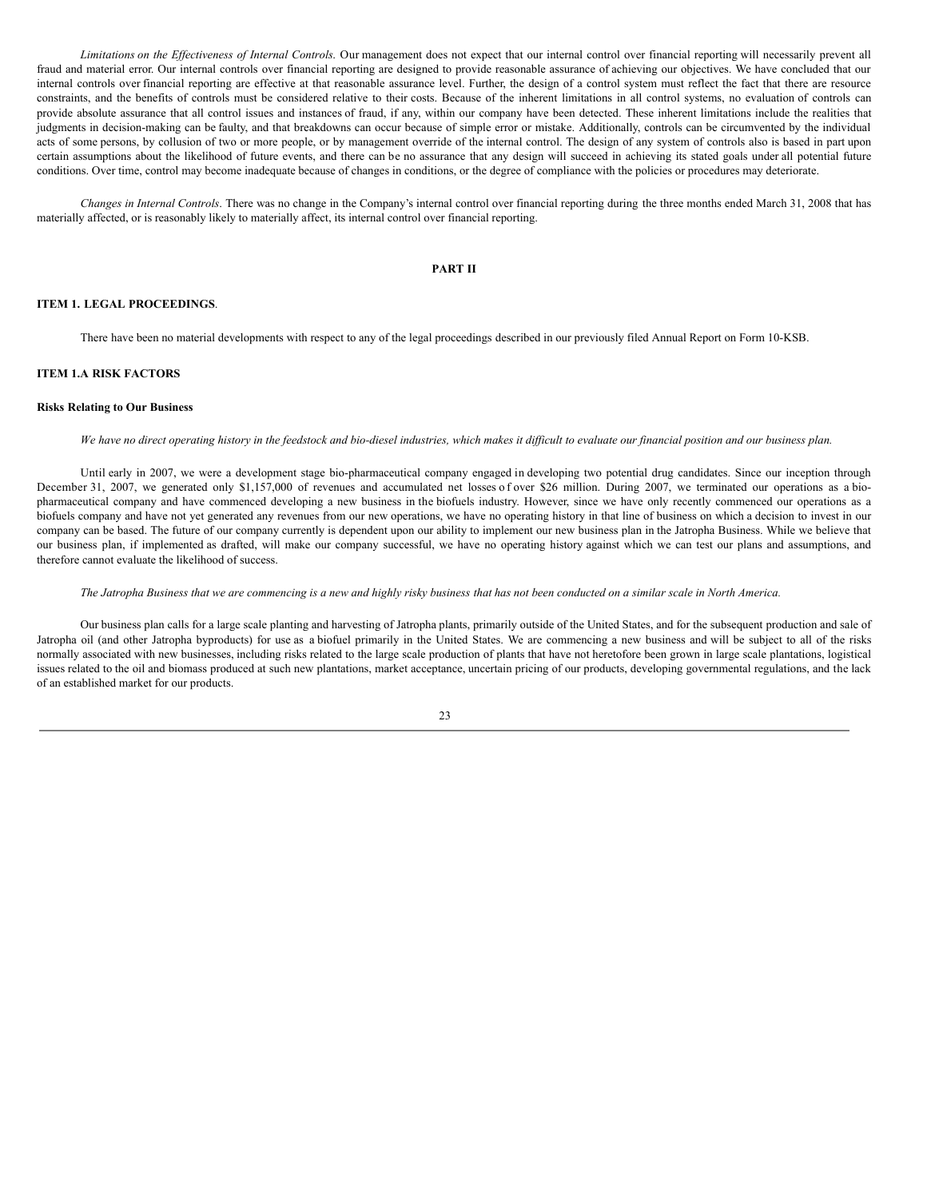*Limitations on the Ef ectiveness of Internal Controls*. Our management does not expect that our internal control over financial reporting will necessarily prevent all fraud and material error. Our internal controls over financial reporting are designed to provide reasonable assurance of achieving our objectives. We have concluded that our internal controls over financial reporting are effective at that reasonable assurance level. Further, the design of a control system must reflect the fact that there are resource constraints, and the benefits of controls must be considered relative to their costs. Because of the inherent limitations in all control systems, no evaluation of controls can provide absolute assurance that all control issues and instances of fraud, if any, within our company have been detected. These inherent limitations include the realities that judgments in decision-making can be faulty, and that breakdowns can occur because of simple error or mistake. Additionally, controls can be circumvented by the individual acts of some persons, by collusion of two or more people, or by management override of the internal control. The design of any system of controls also is based in part upon certain assumptions about the likelihood of future events, and there can be no assurance that any design will succeed in achieving its stated goals under all potential future conditions. Over time, control may become inadequate because of changes in conditions, or the degree of compliance with the policies or procedures may deteriorate.

*Changes in Internal Controls*. There was no change in the Company's internal control over financial reporting during the three months ended March 31, 2008 that has materially affected, or is reasonably likely to materially affect, its internal control over financial reporting.

## **PART II**

## **ITEM 1. LEGAL PROCEEDINGS**.

There have been no material developments with respect to any of the legal proceedings described in our previously filed Annual Report on Form 10-KSB.

# **ITEM 1.A RISK FACTORS**

## **Risks Relating to Our Business**

We have no direct operating history in the feedstock and bio-diesel industries, which makes it difficult to evaluate our financial position and our business plan.

Until early in 2007, we were a development stage bio-pharmaceutical company engaged in developing two potential drug candidates. Since our inception through December 31, 2007, we generated only \$1,157,000 of revenues and accumulated net losses of over \$26 million. During 2007, we terminated our operations as a biopharmaceutical company and have commenced developing a new business in the biofuels industry. However, since we have only recently commenced our operations as a biofuels company and have not yet generated any revenues from our new operations, we have no operating history in that line of business on which a decision to invest in our company can be based. The future of our company currently is dependent upon our ability to implement our new business plan in the Jatropha Business. While we believe that our business plan, if implemented as drafted, will make our company successful, we have no operating history against which we can test our plans and assumptions, and therefore cannot evaluate the likelihood of success.

The Jatropha Business that we are commencing is a new and highly risky business that has not been conducted on a similar scale in North America.

Our business plan calls for a large scale planting and harvesting of Jatropha plants, primarily outside of the United States, and for the subsequent production and sale of Jatropha oil (and other Jatropha byproducts) for use as a biofuel primarily in the United States. We are commencing a new business and will be subject to all of the risks normally associated with new businesses, including risks related to the large scale production of plants that have not heretofore been grown in large scale plantations, logistical issues related to the oil and biomass produced at such new plantations, market acceptance, uncertain pricing of our products, developing governmental regulations, and the lack of an established market for our products.

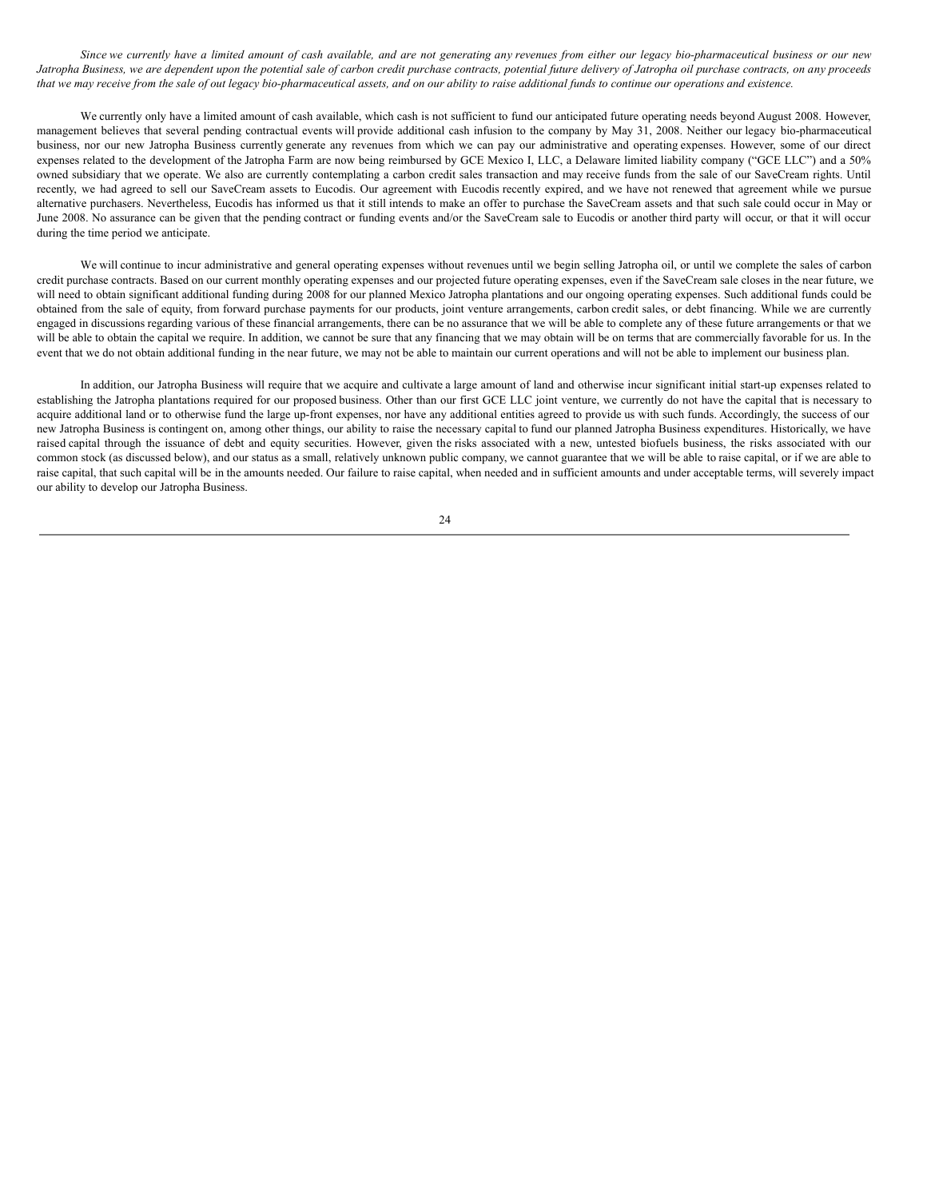Since we currently have a limited amount of cash available, and are not generating any revenues from either our legacy bio-pharmaceutical business or our new Jatropha Business, we are dependent upon the potential sale of carbon credit purchase contracts, potential future delivery of Jatropha oil purchase contracts, on any proceeds that we may receive from the sale of out legacy bio-pharmaceutical assets, and on our ability to raise additional funds to continue our operations and existence.

We currently only have a limited amount of cash available, which cash is not sufficient to fund our anticipated future operating needs beyond August 2008. However, management believes that several pending contractual events will provide additional cash infusion to the company by May 31, 2008. Neither our legacy bio-pharmaceutical business, nor our new Jatropha Business currently generate any revenues from which we can pay our administrative and operating expenses. However, some of our direct expenses related to the development of the Jatropha Farm are now being reimbursed by GCE Mexico I, LLC, a Delaware limited liability company ("GCE LLC") and a 50% owned subsidiary that we operate. We also are currently contemplating a carbon credit sales transaction and may receive funds from the sale of our SaveCream rights. Until recently, we had agreed to sell our SaveCream assets to Eucodis. Our agreement with Eucodis recently expired, and we have not renewed that agreement while we pursue alternative purchasers. Nevertheless, Eucodis has informed us that it still intends to make an offer to purchase the SaveCream assets and that such sale could occur in May or June 2008. No assurance can be given that the pending contract or funding events and/or the SaveCream sale to Eucodis or another third party will occur, or that it will occur during the time period we anticipate.

We will continue to incur administrative and general operating expenses without revenues until we begin selling Jatropha oil, or until we complete the sales of carbon credit purchase contracts. Based on our current monthly operating expenses and our projected future operating expenses, even if the SaveCream sale closes in the near future, we will need to obtain significant additional funding during 2008 for our planned Mexico Jatropha plantations and our ongoing operating expenses. Such additional funds could be obtained from the sale of equity, from forward purchase payments for our products, joint venture arrangements, carbon credit sales, or debt financing. While we are currently engaged in discussions regarding various of these financial arrangements, there can be no assurance that we will be able to complete any of these future arrangements or that we will be able to obtain the capital we require. In addition, we cannot be sure that any financing that we may obtain will be on terms that are commercially favorable for us. In the event that we do not obtain additional funding in the near future, we may not be able to maintain our current operations and will not be able to implement our business plan.

In addition, our Jatropha Business will require that we acquire and cultivate a large amount of land and otherwise incur significant initial start-up expenses related to establishing the Jatropha plantations required for our proposed business. Other than our first GCE LLC joint venture, we currently do not have the capital that is necessary to acquire additional land or to otherwise fund the large up-front expenses, nor have any additional entities agreed to provide us with such funds. Accordingly, the success of our new Jatropha Business is contingent on, among other things, our ability to raise the necessary capital to fund our planned Jatropha Business expenditures. Historically, we have raised capital through the issuance of debt and equity securities. However, given the risks associated with a new, untested biofuels business, the risks associated with our common stock (as discussed below), and our status as a small, relatively unknown public company, we cannot guarantee that we will be able to raise capital, or if we are able to raise capital, that such capital will be in the amounts needed. Our failure to raise capital, when needed and in sufficient amounts and under acceptable terms, will severely impact our ability to develop our Jatropha Business.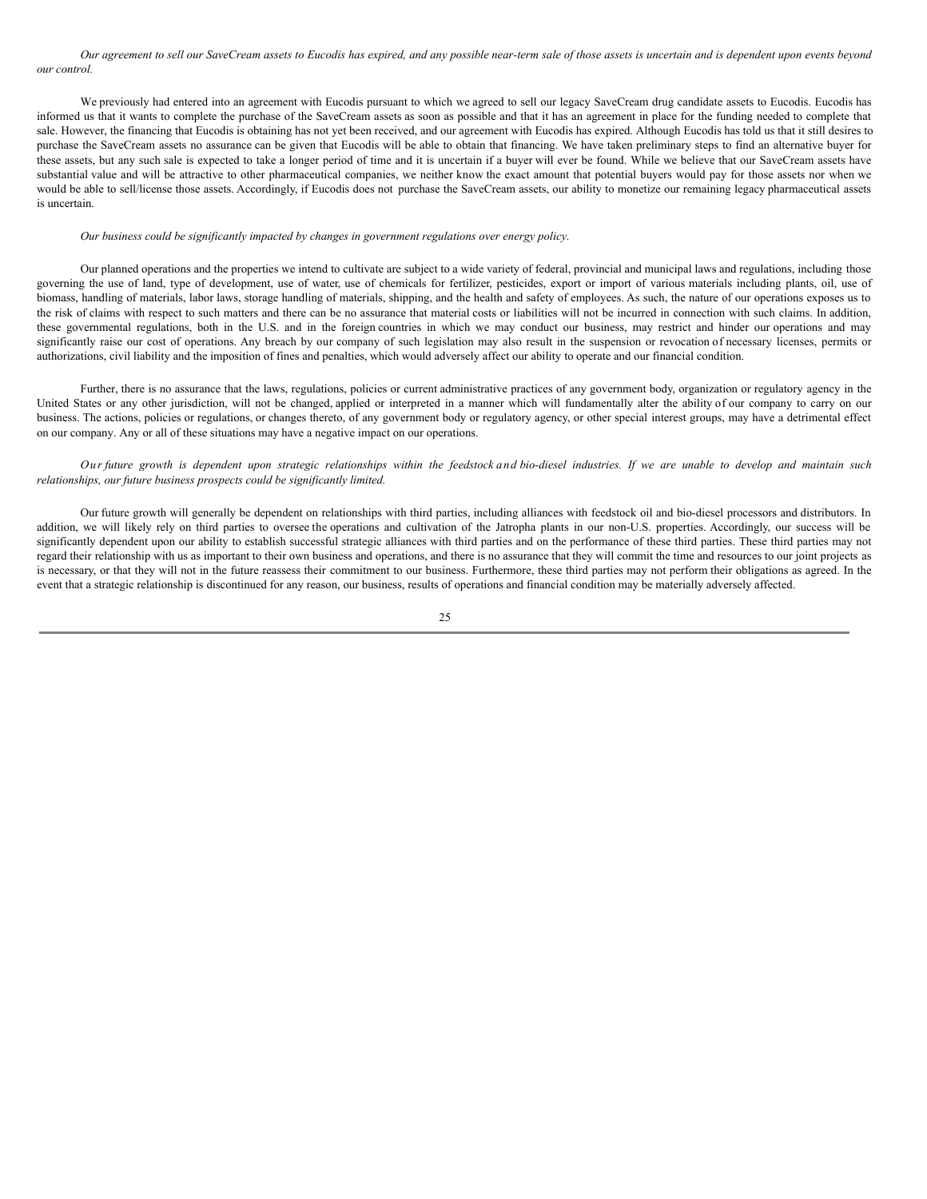Our agreement to sell our SaveCream assets to Eucodis has expired, and any possible near-term sale of those assets is uncertain and is dependent upon events beyond *our control.*

We previously had entered into an agreement with Eucodis pursuant to which we agreed to sell our legacy SaveCream drug candidate assets to Eucodis. Eucodis has informed us that it wants to complete the purchase of the SaveCream assets as soon as possible and that it has an agreement in place for the funding needed to complete that sale. However, the financing that Eucodis is obtaining has not yet been received, and our agreement with Eucodis has expired. Although Eucodis has told us that it still desires to purchase the SaveCream assets no assurance can be given that Eucodis will be able to obtain that financing. We have taken preliminary steps to find an alternative buyer for these assets, but any such sale is expected to take a longer period of time and it is uncertain if a buyer will ever be found. While we believe that our SaveCream assets have substantial value and will be attractive to other pharmaceutical companies, we neither know the exact amount that potential buyers would pay for those assets nor when we would be able to sell/license those assets. Accordingly, if Eucodis does not purchase the SaveCream assets, our ability to monetize our remaining legacy pharmaceutical assets is uncertain.

#### *Our business could be significantly impacted by changes in government regulations over energy policy.*

Our planned operations and the properties we intend to cultivate are subject to a wide variety of federal, provincial and municipal laws and regulations, including those governing the use of land, type of development, use of water, use of chemicals for fertilizer, pesticides, export or import of various materials including plants, oil, use of biomass, handling of materials, labor laws, storage handling of materials, shipping, and the health and safety of employees. As such, the nature of our operations exposes us to the risk of claims with respect to such matters and there can be no assurance that material costs or liabilities will not be incurred in connection with such claims. In addition, these governmental regulations, both in the U.S. and in the foreign countries in which we may conduct our business, may restrict and hinder our operations and may significantly raise our cost of operations. Any breach by our company of such legislation may also result in the suspension or revocation of necessary licenses, permits or authorizations, civil liability and the imposition of fines and penalties, which would adversely affect our ability to operate and our financial condition.

Further, there is no assurance that the laws, regulations, policies or current administrative practices of any government body, organization or regulatory agency in the United States or any other jurisdiction, will not be changed, applied or interpreted in a manner which will fundamentally alter the ability of our company to carry on our business. The actions, policies or regulations, or changes thereto, of any government body or regulatory agency, or other special interest groups, may have a detrimental effect on our company. Any or all of these situations may have a negative impact on our operations.

Our future growth is dependent upon strategic relationships within the feedstock and bio-diesel industries. If we are unable to develop and maintain such *relationships, our future business prospects could be significantly limited.*

Our future growth will generally be dependent on relationships with third parties, including alliances with feedstock oil and bio-diesel processors and distributors. In addition, we will likely rely on third parties to oversee the operations and cultivation of the Jatropha plants in our non-U.S. properties. Accordingly, our success will be significantly dependent upon our ability to establish successful strategic alliances with third parties and on the performance of these third parties. These third parties may not regard their relationship with us as important to their own business and operations, and there is no assurance that they will commit the time and resources to our joint projects as is necessary, or that they will not in the future reassess their commitment to our business. Furthermore, these third parties may not perform their obligations as agreed. In the event that a strategic relationship is discontinued for any reason, our business, results of operations and financial condition may be materially adversely affected.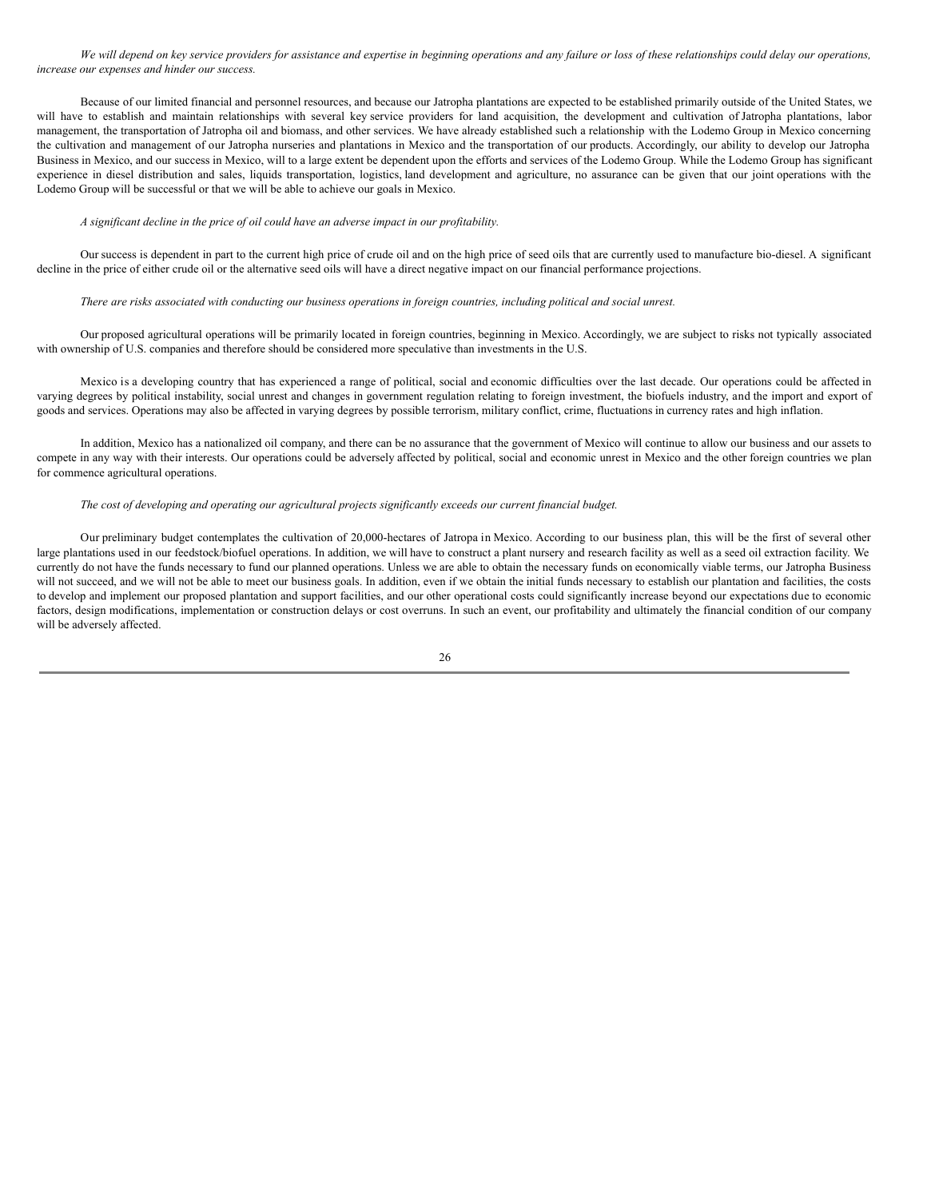We will depend on key service providers for assistance and expertise in beginning operations and any failure or loss of these relationships could delay our operations, *increase our expenses and hinder our success.*

Because of our limited financial and personnel resources, and because our Jatropha plantations are expected to be established primarily outside of the United States, we will have to establish and maintain relationships with several key service providers for land acquisition, the development and cultivation of Jatropha plantations, labor management, the transportation of Jatropha oil and biomass, and other services. We have already established such a relationship with the Lodemo Group in Mexico concerning the cultivation and management of our Jatropha nurseries and plantations in Mexico and the transportation of our products. Accordingly, our ability to develop our Jatropha Business in Mexico, and our success in Mexico, will to a large extent be dependent upon the efforts and services of the Lodemo Group. While the Lodemo Group has significant experience in diesel distribution and sales, liquids transportation, logistics, land development and agriculture, no assurance can be given that our joint operations with the Lodemo Group will be successful or that we will be able to achieve our goals in Mexico.

## *A significant decline in the price of oil could have an adverse impact in our profitability.*

Our success is dependent in part to the current high price of crude oil and on the high price of seed oils that are currently used to manufacture bio-diesel. A significant decline in the price of either crude oil or the alternative seed oils will have a direct negative impact on our financial performance projections.

#### There are risks associated with conducting our business operations in foreign countries, including political and social unrest.

Our proposed agricultural operations will be primarily located in foreign countries, beginning in Mexico. Accordingly, we are subject to risks not typically associated with ownership of U.S. companies and therefore should be considered more speculative than investments in the U.S.

Mexico is a developing country that has experienced a range of political, social and economic difficulties over the last decade. Our operations could be affected in varying degrees by political instability, social unrest and changes in government regulation relating to foreign investment, the biofuels industry, and the import and export of goods and services. Operations may also be affected in varying degrees by possible terrorism, military conflict, crime, fluctuations in currency rates and high inflation.

In addition, Mexico has a nationalized oil company, and there can be no assurance that the government of Mexico will continue to allow our business and our assets to compete in any way with their interests. Our operations could be adversely affected by political, social and economic unrest in Mexico and the other foreign countries we plan for commence agricultural operations.

## *The cost of developing and operating our agricultural projects significantly exceeds our current financial budget.*

Our preliminary budget contemplates the cultivation of 20,000-hectares of Jatropa in Mexico. According to our business plan, this will be the first of several other large plantations used in our feedstock/biofuel operations. In addition, we will have to construct a plant nursery and research facility as well as a seed oil extraction facility. We currently do not have the funds necessary to fund our planned operations. Unless we are able to obtain the necessary funds on economically viable terms, our Jatropha Business will not succeed, and we will not be able to meet our business goals. In addition, even if we obtain the initial funds necessary to establish our plantation and facilities, the costs to develop and implement our proposed plantation and support facilities, and our other operational costs could significantly increase beyond our expectations due to economic factors, design modifications, implementation or construction delays or cost overruns. In such an event, our profitability and ultimately the financial condition of our company will be adversely affected.

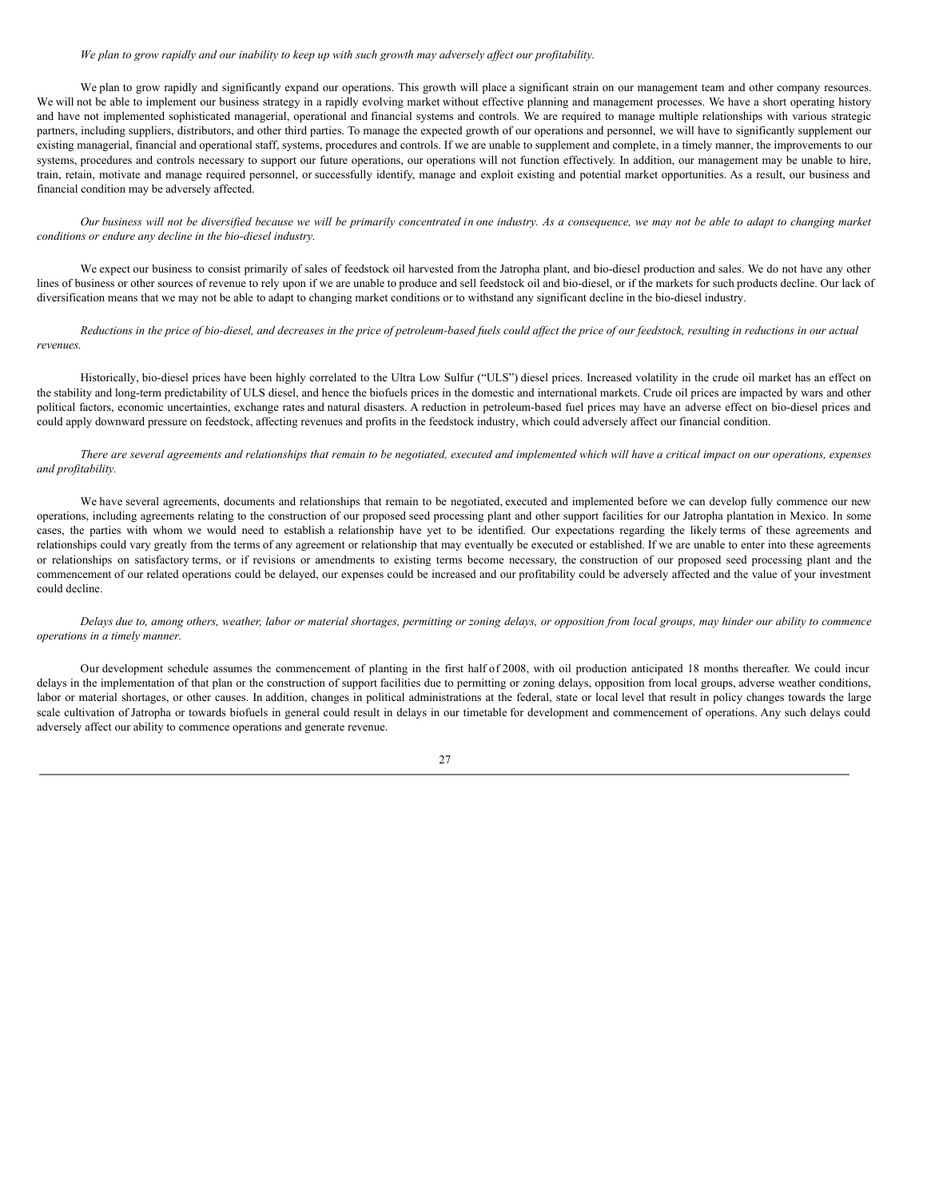#### We plan to grow rapidly and our inability to keep up with such growth may adversely affect our profitability.

We plan to grow rapidly and significantly expand our operations. This growth will place a significant strain on our management team and other company resources. We will not be able to implement our business strategy in a rapidly evolving market without effective planning and management processes. We have a short operating history and have not implemented sophisticated managerial, operational and financial systems and controls. We are required to manage multiple relationships with various strategic partners, including suppliers, distributors, and other third parties. To manage the expected growth of our operations and personnel, we will have to significantly supplement our existing managerial, financial and operational staff, systems, procedures and controls. If we are unable to supplement and complete, in a timely manner, the improvements to our systems, procedures and controls necessary to support our future operations, our operations will not function effectively. In addition, our management may be unable to hire, train, retain, motivate and manage required personnel, or successfully identify, manage and exploit existing and potential market opportunities. As a result, our business and financial condition may be adversely affected.

Our business will not be diversified because we will be primarily concentrated in one industry. As a consequence, we may not be able to adapt to changing market *conditions or endure any decline in the bio-diesel industry.*

We expect our business to consist primarily of sales of feedstock oil harvested from the Jatropha plant, and bio-diesel production and sales. We do not have any other lines of business or other sources of revenue to rely upon if we are unable to produce and sell feedstock oil and bio-diesel, or if the markets for such products decline. Our lack of diversification means that we may not be able to adapt to changing market conditions or to withstand any significant decline in the bio-diesel industry.

Reductions in the price of bio-diesel, and decreases in the price of petroleum-based fuels could affect the price of our feedstock, resulting in reductions in our actual *revenues.*

Historically, bio-diesel prices have been highly correlated to the Ultra Low Sulfur ("ULS") diesel prices. Increased volatility in the crude oil market has an effect on the stability and long-term predictability of ULS diesel, and hence the biofuels prices in the domestic and international markets. Crude oil prices are impacted by wars and other political factors, economic uncertainties, exchange rates and natural disasters. A reduction in petroleum-based fuel prices may have an adverse effect on bio-diesel prices and could apply downward pressure on feedstock, affecting revenues and profits in the feedstock industry, which could adversely affect our financial condition.

There are several agreements and relationships that remain to be negotiated, executed and implemented which will have a critical impact on our operations, expenses *and profitability.*

We have several agreements, documents and relationships that remain to be negotiated, executed and implemented before we can develop fully commence our new operations, including agreements relating to the construction of our proposed seed processing plant and other support facilities for our Jatropha plantation in Mexico. In some cases, the parties with whom we would need to establish a relationship have yet to be identified. Our expectations regarding the likely terms of these agreements and relationships could vary greatly from the terms of any agreement or relationship that may eventually be executed or established. If we are unable to enter into these agreements or relationships on satisfactory terms, or if revisions or amendments to existing terms become necessary, the construction of our proposed seed processing plant and the commencement of our related operations could be delayed, our expenses could be increased and our profitability could be adversely affected and the value of your investment could decline.

Delays due to, among others, weather, labor or material shortages, permitting or zoning delays, or opposition from local groups, may hinder our ability to commence *operations in a timely manner.*

Our development schedule assumes the commencement of planting in the first half of 2008, with oil production anticipated 18 months thereafter. We could incur delays in the implementation of that plan or the construction of support facilities due to permitting or zoning delays, opposition from local groups, adverse weather conditions, labor or material shortages, or other causes. In addition, changes in political administrations at the federal, state or local level that result in policy changes towards the large scale cultivation of Jatropha or towards biofuels in general could result in delays in our timetable for development and commencement of operations. Any such delays could adversely affect our ability to commence operations and generate revenue.

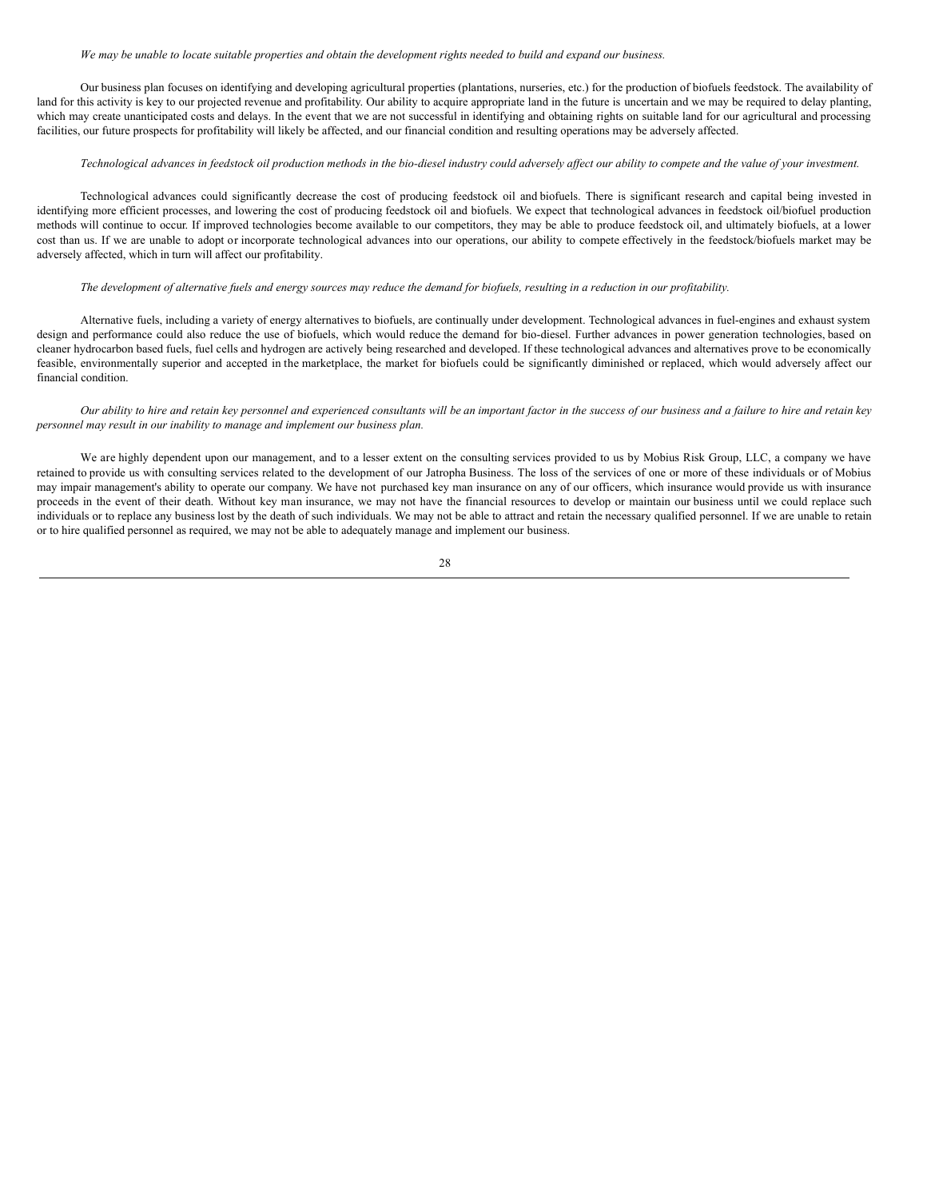#### We may be unable to locate suitable properties and obtain the development rights needed to build and expand our business.

Our business plan focuses on identifying and developing agricultural properties (plantations, nurseries, etc.) for the production of biofuels feedstock. The availability of land for this activity is key to our projected revenue and profitability. Our ability to acquire appropriate land in the future is uncertain and we may be required to delay planting, which may create unanticipated costs and delays. In the event that we are not successful in identifying and obtaining rights on suitable land for our agricultural and processing facilities, our future prospects for profitability will likely be affected, and our financial condition and resulting operations may be adversely affected.

## Technological advances in feedstock oil production methods in the bio-diesel industry could adversely affect our ability to compete and the value of your investment.

Technological advances could significantly decrease the cost of producing feedstock oil and biofuels. There is significant research and capital being invested in identifying more efficient processes, and lowering the cost of producing feedstock oil and biofuels. We expect that technological advances in feedstock oil/biofuel production methods will continue to occur. If improved technologies become available to our competitors, they may be able to produce feedstock oil, and ultimately biofuels, at a lower cost than us. If we are unable to adopt or incorporate technological advances into our operations, our ability to compete effectively in the feedstock/biofuels market may be adversely affected, which in turn will affect our profitability.

#### The development of alternative fuels and energy sources may reduce the demand for biofuels, resulting in a reduction in our profitability.

Alternative fuels, including a variety of energy alternatives to biofuels, are continually under development. Technological advances in fuel-engines and exhaust system design and performance could also reduce the use of biofuels, which would reduce the demand for bio-diesel. Further advances in power generation technologies, based on cleaner hydrocarbon based fuels, fuel cells and hydrogen are actively being researched and developed. If these technological advances and alternatives prove to be economically feasible, environmentally superior and accepted in the marketplace, the market for biofuels could be significantly diminished or replaced, which would adversely affect our financial condition.

### Our ability to hire and retain key personnel and experienced consultants will be an important factor in the success of our business and a failure to hire and retain key *personnel may result in our inability to manage and implement our business plan.*

We are highly dependent upon our management, and to a lesser extent on the consulting services provided to us by Mobius Risk Group, LLC, a company we have retained to provide us with consulting services related to the development of our Jatropha Business. The loss of the services of one or more of these individuals or of Mobius may impair management's ability to operate our company. We have not purchased key man insurance on any of our officers, which insurance would provide us with insurance proceeds in the event of their death. Without key man insurance, we may not have the financial resources to develop or maintain our business until we could replace such individuals or to replace any business lost by the death of such individuals. We may not be able to attract and retain the necessary qualified personnel. If we are unable to retain or to hire qualified personnel as required, we may not be able to adequately manage and implement our business.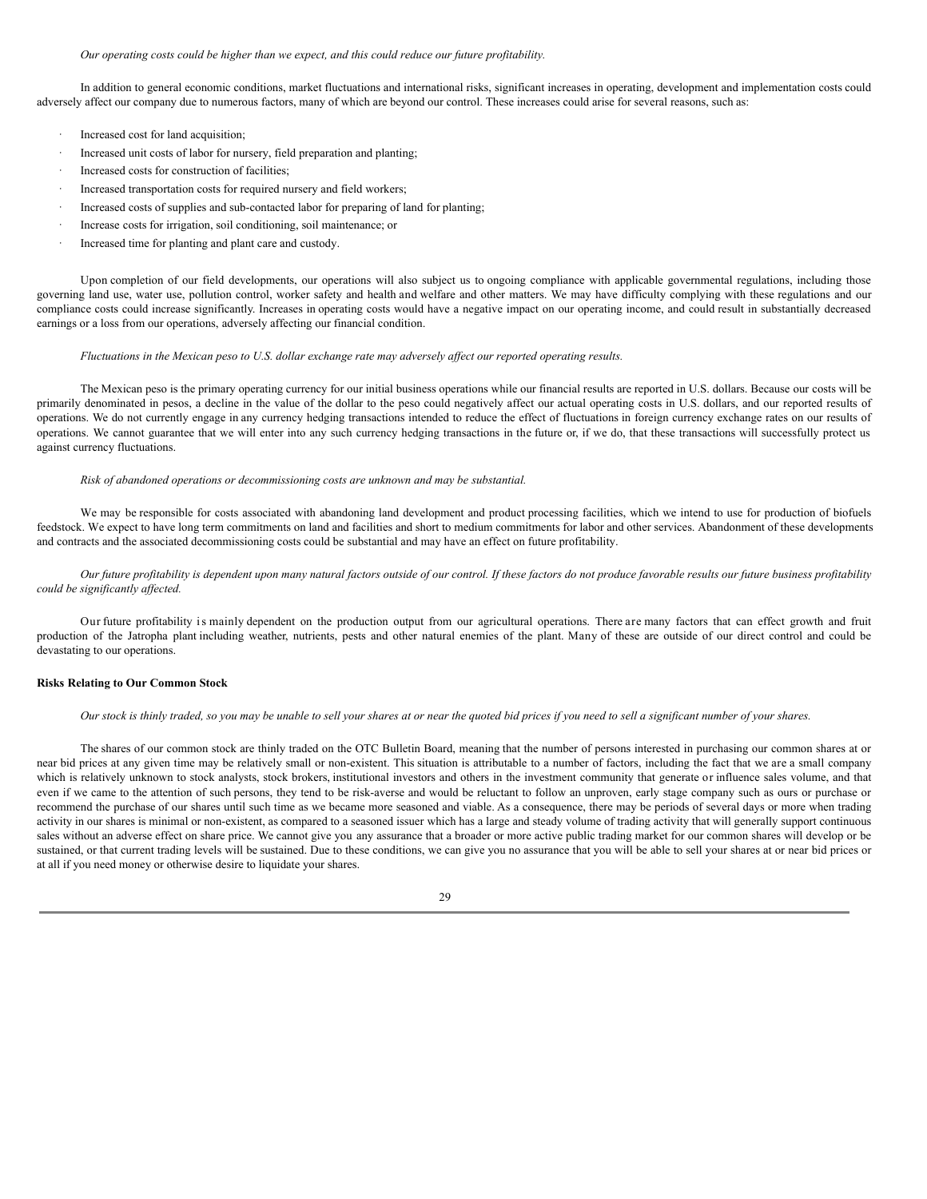#### *Our operating costs could be higher than we expect, and this could reduce our future profitability.*

In addition to general economic conditions, market fluctuations and international risks, significant increases in operating, development and implementation costs could adversely affect our company due to numerous factors, many of which are beyond our control. These increases could arise for several reasons, such as:

- Increased cost for land acquisition;
- Increased unit costs of labor for nursery, field preparation and planting;
- Increased costs for construction of facilities;
- Increased transportation costs for required nursery and field workers;
- Increased costs of supplies and sub-contacted labor for preparing of land for planting;
- · Increase costs for irrigation, soil conditioning, soil maintenance; or
- Increased time for planting and plant care and custody.

Upon completion of our field developments, our operations will also subject us to ongoing compliance with applicable governmental regulations, including those governing land use, water use, pollution control, worker safety and health and welfare and other matters. We may have difficulty complying with these regulations and our compliance costs could increase significantly. Increases in operating costs would have a negative impact on our operating income, and could result in substantially decreased earnings or a loss from our operations, adversely affecting our financial condition.

## Fluctuations in the Mexican peso to U.S. dollar exchange rate may adversely affect our reported operating results.

The Mexican peso is the primary operating currency for our initial business operations while our financial results are reported in U.S. dollars. Because our costs will be primarily denominated in pesos, a decline in the value of the dollar to the peso could negatively affect our actual operating costs in U.S. dollars, and our reported results of operations. We do not currently engage in any currency hedging transactions intended to reduce the effect of fluctuations in foreign currency exchange rates on our results of operations. We cannot guarantee that we will enter into any such currency hedging transactions in the future or, if we do, that these transactions will successfully protect us against currency fluctuations.

#### *Risk of abandoned operations or decommissioning costs are unknown and may be substantial.*

We may be responsible for costs associated with abandoning land development and product processing facilities, which we intend to use for production of biofuels feedstock. We expect to have long term commitments on land and facilities and short to medium commitments for labor and other services. Abandonment of these developments and contracts and the associated decommissioning costs could be substantial and may have an effect on future profitability.

### Our future profitability is dependent upon many natural factors outside of our control. If these factors do not produce favorable results our future business profitability *could be significantly af ected.*

Our future profitability is mainly dependent on the production output from our agricultural operations. There are many factors that can effect growth and fruit production of the Jatropha plant including weather, nutrients, pests and other natural enemies of the plant. Many of these are outside of our direct control and could be devastating to our operations.

## **Risks Relating to Our Common Stock**

#### Our stock is thinly traded, so you may be unable to sell your shares at or near the quoted bid prices if you need to sell a significant number of your shares.

The shares of our common stock are thinly traded on the OTC Bulletin Board, meaning that the number of persons interested in purchasing our common shares at or near bid prices at any given time may be relatively small or non-existent. This situation is attributable to a number of factors, including the fact that we are a small company which is relatively unknown to stock analysts, stock brokers, institutional investors and others in the investment community that generate or influence sales volume, and that even if we came to the attention of such persons, they tend to be risk-averse and would be reluctant to follow an unproven, early stage company such as ours or purchase or recommend the purchase of our shares until such time as we became more seasoned and viable. As a consequence, there may be periods of several days or more when trading activity in our shares is minimal or non-existent, as compared to a seasoned issuer which has a large and steady volume of trading activity that will generally support continuous sales without an adverse effect on share price. We cannot give you any assurance that a broader or more active public trading market for our common shares will develop or be sustained, or that current trading levels will be sustained. Due to these conditions, we can give you no assurance that you will be able to sell your shares at or near bid prices or at all if you need money or otherwise desire to liquidate your shares.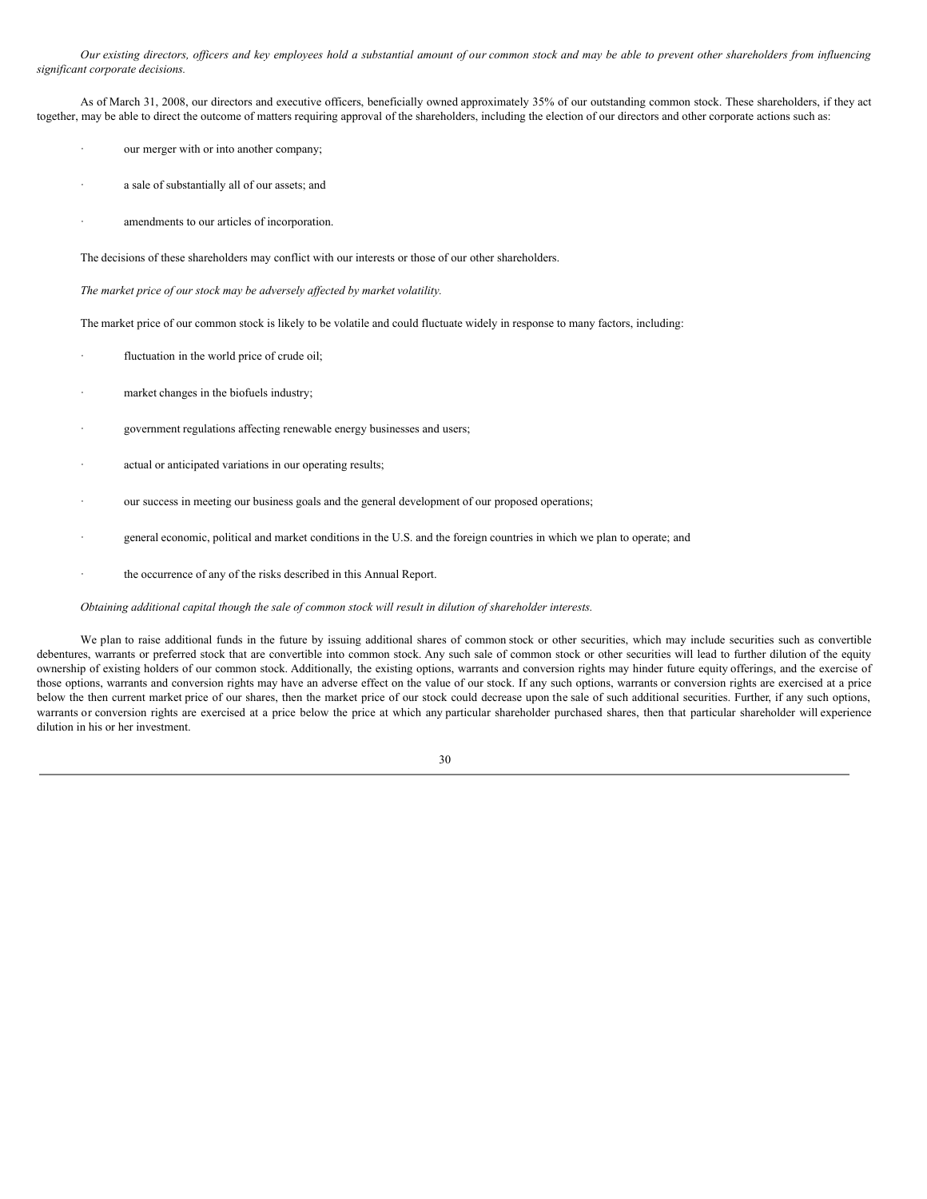Our existing directors, officers and key employees hold a substantial amount of our common stock and may be able to prevent other shareholders from influencing *significant corporate decisions.*

As of March 31, 2008, our directors and executive officers, beneficially owned approximately 35% of our outstanding common stock. These shareholders, if they act together, may be able to direct the outcome of matters requiring approval of the shareholders, including the election of our directors and other corporate actions such as:

- our merger with or into another company;
- a sale of substantially all of our assets; and
- amendments to our articles of incorporation.

The decisions of these shareholders may conflict with our interests or those of our other shareholders.

*The market price of our stock may be adversely af ected by market volatility.*

The market price of our common stock is likely to be volatile and could fluctuate widely in response to many factors, including:

- fluctuation in the world price of crude oil;
- market changes in the biofuels industry;
- government regulations affecting renewable energy businesses and users;
- actual or anticipated variations in our operating results;
- our success in meeting our business goals and the general development of our proposed operations;
- general economic, political and market conditions in the U.S. and the foreign countries in which we plan to operate; and
- the occurrence of any of the risks described in this Annual Report.

## *Obtaining additional capital though the sale of common stock will result in dilution of shareholder interests.*

We plan to raise additional funds in the future by issuing additional shares of common stock or other securities, which may include securities such as convertible debentures, warrants or preferred stock that are convertible into common stock. Any such sale of common stock or other securities will lead to further dilution of the equity ownership of existing holders of our common stock. Additionally, the existing options, warrants and conversion rights may hinder future equity offerings, and the exercise of those options, warrants and conversion rights may have an adverse effect on the value of our stock. If any such options, warrants or conversion rights are exercised at a price below the then current market price of our shares, then the market price of our stock could decrease upon the sale of such additional securities. Further, if any such options, warrants or conversion rights are exercised at a price below the price at which any particular shareholder purchased shares, then that particular shareholder will experience dilution in his or her investment.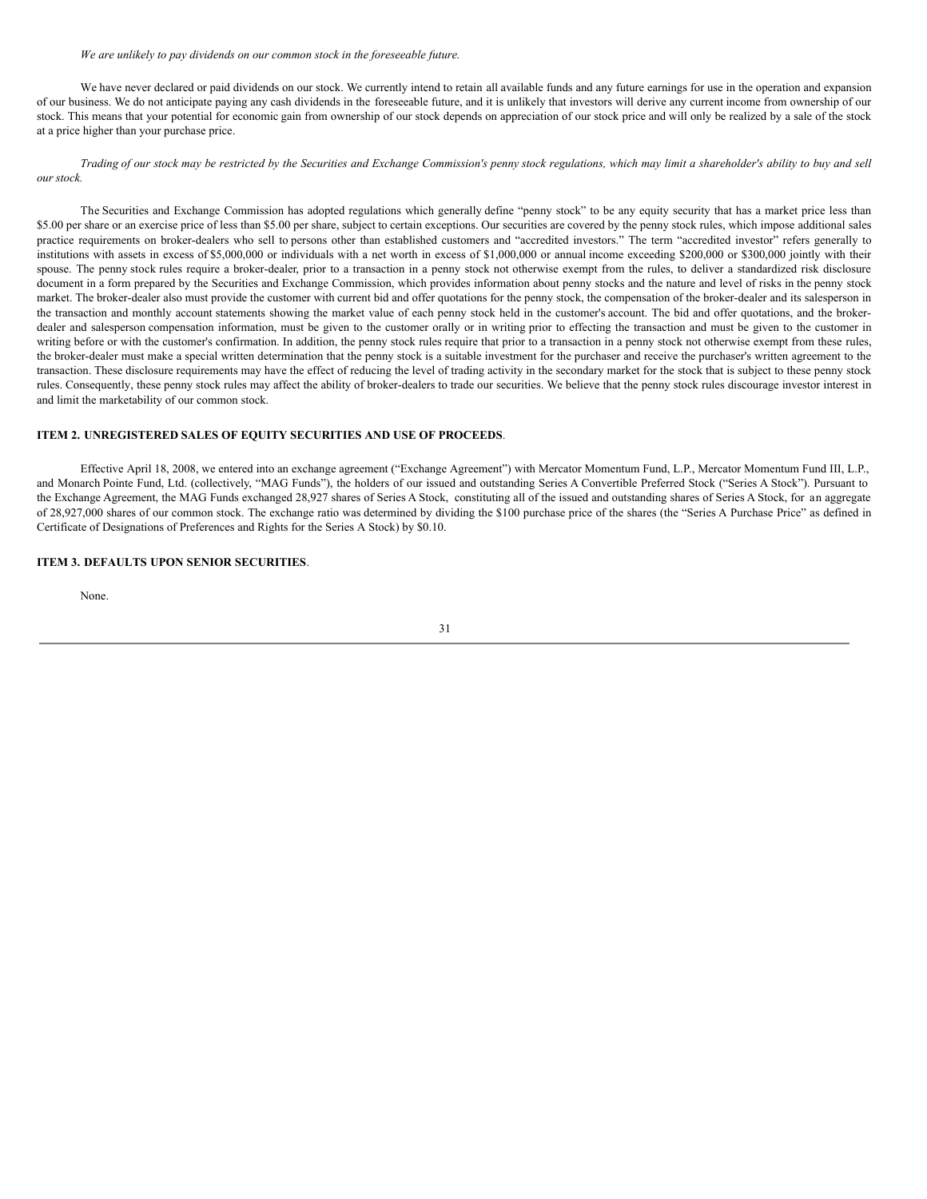#### *We are unlikely to pay dividends on our common stock in the foreseeable future.*

We have never declared or paid dividends on our stock. We currently intend to retain all available funds and any future earnings for use in the operation and expansion of our business. We do not anticipate paying any cash dividends in the foreseeable future, and it is unlikely that investors will derive any current income from ownership of our stock. This means that your potential for economic gain from ownership of our stock depends on appreciation of our stock price and will only be realized by a sale of the stock at a price higher than your purchase price.

Trading of our stock may be restricted by the Securities and Exchange Commission's penny stock regulations, which may limit a shareholder's ability to buy and sell *our stock.*

The Securities and Exchange Commission has adopted regulations which generally define "penny stock" to be any equity security that has a market price less than \$5.00 per share or an exercise price of less than \$5.00 per share, subject to certain exceptions. Our securities are covered by the penny stock rules, which impose additional sales practice requirements on broker-dealers who sell to persons other than established customers and "accredited investors." The term "accredited investor" refers generally to institutions with assets in excess of \$5,000,000 or individuals with a net worth in excess of \$1,000,000 or annual income exceeding \$200,000 or \$300,000 jointly with their spouse. The penny stock rules require a broker-dealer, prior to a transaction in a penny stock not otherwise exempt from the rules, to deliver a standardized risk disclosure document in a form prepared by the Securities and Exchange Commission, which provides information about penny stocks and the nature and level of risks in the penny stock market. The broker-dealer also must provide the customer with current bid and offer quotations for the penny stock, the compensation of the broker-dealer and its salesperson in the transaction and monthly account statements showing the market value of each penny stock held in the customer's account. The bid and offer quotations, and the brokerdealer and salesperson compensation information, must be given to the customer orally or in writing prior to effecting the transaction and must be given to the customer in writing before or with the customer's confirmation. In addition, the penny stock rules require that prior to a transaction in a penny stock not otherwise exempt from these rules, the broker-dealer must make a special written determination that the penny stock is a suitable investment for the purchaser and receive the purchaser's written agreement to the transaction. These disclosure requirements may have the effect of reducing the level of trading activity in the secondary market for the stock that is subject to these penny stock rules. Consequently, these penny stock rules may affect the ability of broker-dealers to trade our securities. We believe that the penny stock rules discourage investor interest in and limit the marketability of our common stock.

## **ITEM 2. UNREGISTERED SALES OF EQUITY SECURITIES AND USE OF PROCEEDS**.

Effective April 18, 2008, we entered into an exchange agreement ("Exchange Agreement") with Mercator Momentum Fund, L.P., Mercator Momentum Fund III, L.P., and Monarch Pointe Fund, Ltd. (collectively, "MAG Funds"), the holders of our issued and outstanding Series A Convertible Preferred Stock ("Series A Stock"). Pursuant to the Exchange Agreement, the MAG Funds exchanged 28,927 shares of Series A Stock, constituting all of the issued and outstanding shares of Series A Stock, for an aggregate of 28,927,000 shares of our common stock. The exchange ratio was determined by dividing the \$100 purchase price of the shares (the "Series A Purchase Price" as defined in Certificate of Designations of Preferences and Rights for the Series A Stock) by \$0.10.

## **ITEM 3. DEFAULTS UPON SENIOR SECURITIES**.

None.

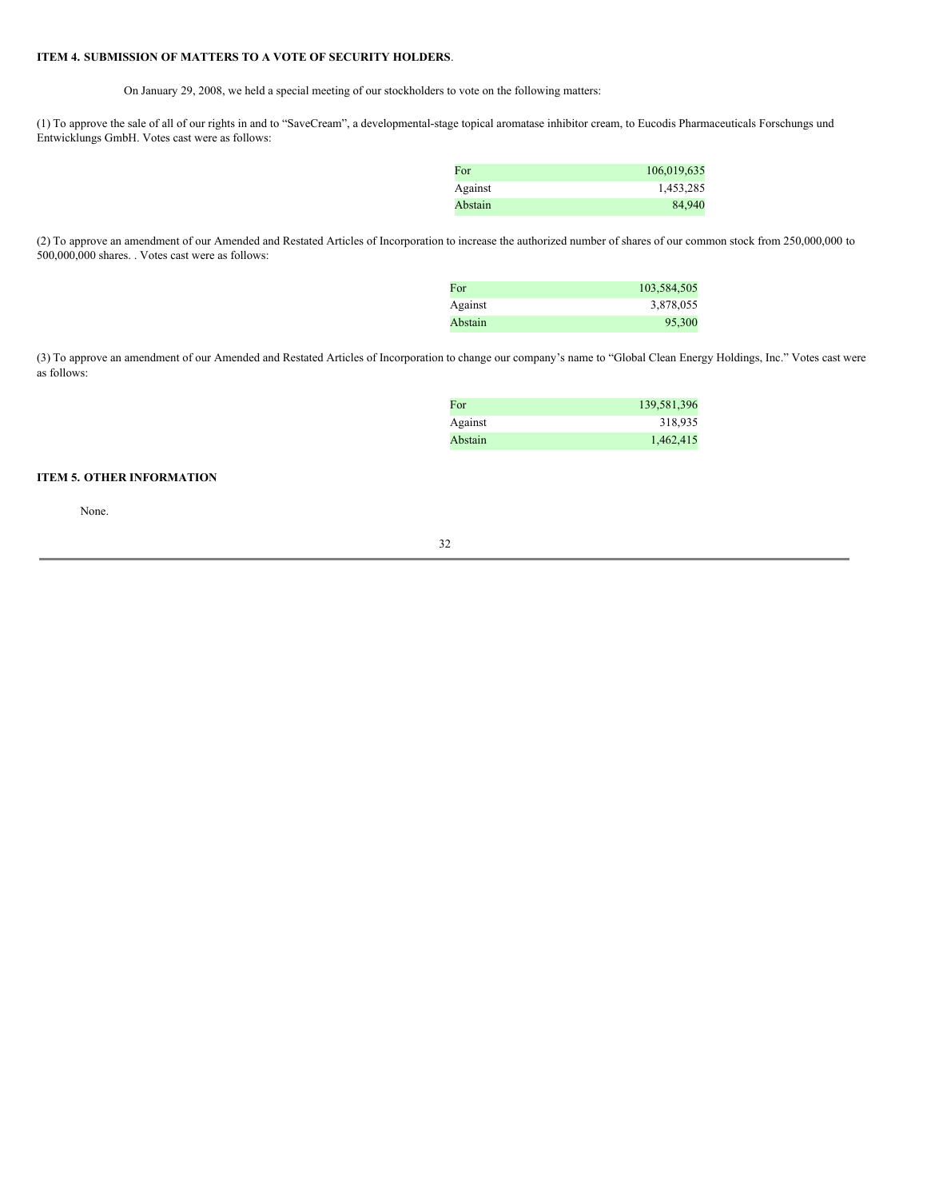## **ITEM 4. SUBMISSION OF MATTERS TO A VOTE OF SECURITY HOLDERS**.

On January 29, 2008, we held a special meeting of our stockholders to vote on the following matters:

(1) To approve the sale of all of our rights in and to "SaveCream", a developmental-stage topical aromatase inhibitor cream, to Eucodis Pharmaceuticals Forschungs und Entwicklungs GmbH. Votes cast were as follows:

| For     | 106,019,635 |
|---------|-------------|
| Against | 1,453,285   |
| Abstain | 84,940      |

(2) To approve an amendment of our Amended and Restated Articles of Incorporation to increase the authorized number of shares of our common stock from 250,000,000 to 500,000,000 shares. . Votes cast were as follows:

| For     | 103,584,505 |
|---------|-------------|
| Against | 3,878,055   |
| Abstain | 95,300      |

(3) To approve an amendment of our Amended and Restated Articles of Incorporation to change our company's name to "Global Clean Energy Holdings, Inc." Votes cast were as follows:

| For     | 139,581,396 |
|---------|-------------|
| Against | 318,935     |
| Abstain | 1,462,415   |

# **ITEM 5. OTHER INFORMATION**

None.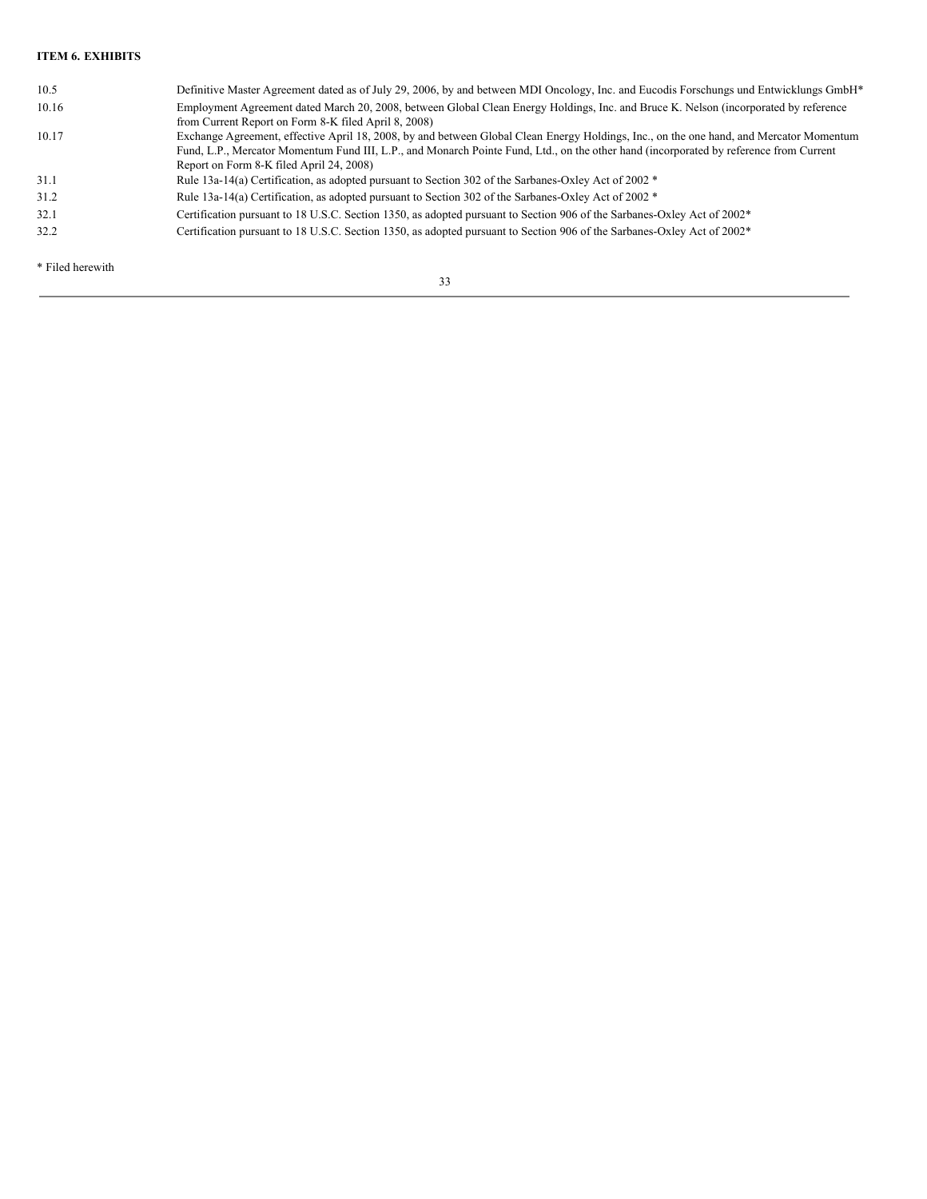# **ITEM 6. EXHIBITS**

| 10.5  | Definitive Master Agreement dated as of July 29, 2006, by and between MDI Oncology, Inc. and Eucodis Forschungs und Entwicklungs GmbH*                                                                                                                                                                                        |
|-------|-------------------------------------------------------------------------------------------------------------------------------------------------------------------------------------------------------------------------------------------------------------------------------------------------------------------------------|
| 10.16 | Employment Agreement dated March 20, 2008, between Global Clean Energy Holdings, Inc. and Bruce K. Nelson (incorporated by reference<br>from Current Report on Form 8-K filed April 8, 2008)                                                                                                                                  |
| 10.17 | Exchange Agreement, effective April 18, 2008, by and between Global Clean Energy Holdings, Inc., on the one hand, and Mercator Momentum<br>Fund, L.P., Mercator Momentum Fund III, L.P., and Monarch Pointe Fund, Ltd., on the other hand (incorporated by reference from Current<br>Report on Form 8-K filed April 24, 2008) |
| 31.1  | Rule 13a-14(a) Certification, as adopted pursuant to Section 302 of the Sarbanes-Oxley Act of 2002 $*$                                                                                                                                                                                                                        |
| 31.2  | Rule 13a-14(a) Certification, as adopted pursuant to Section 302 of the Sarbanes-Oxley Act of 2002 *                                                                                                                                                                                                                          |
| 32.1  | Certification pursuant to 18 U.S.C. Section 1350, as adopted pursuant to Section 906 of the Sarbanes-Oxley Act of 2002 <sup>*</sup>                                                                                                                                                                                           |
| 32.2  | Certification pursuant to 18 U.S.C. Section 1350, as adopted pursuant to Section 906 of the Sarbanes-Oxley Act of 2002 <sup>*</sup>                                                                                                                                                                                           |

\* Filed herewith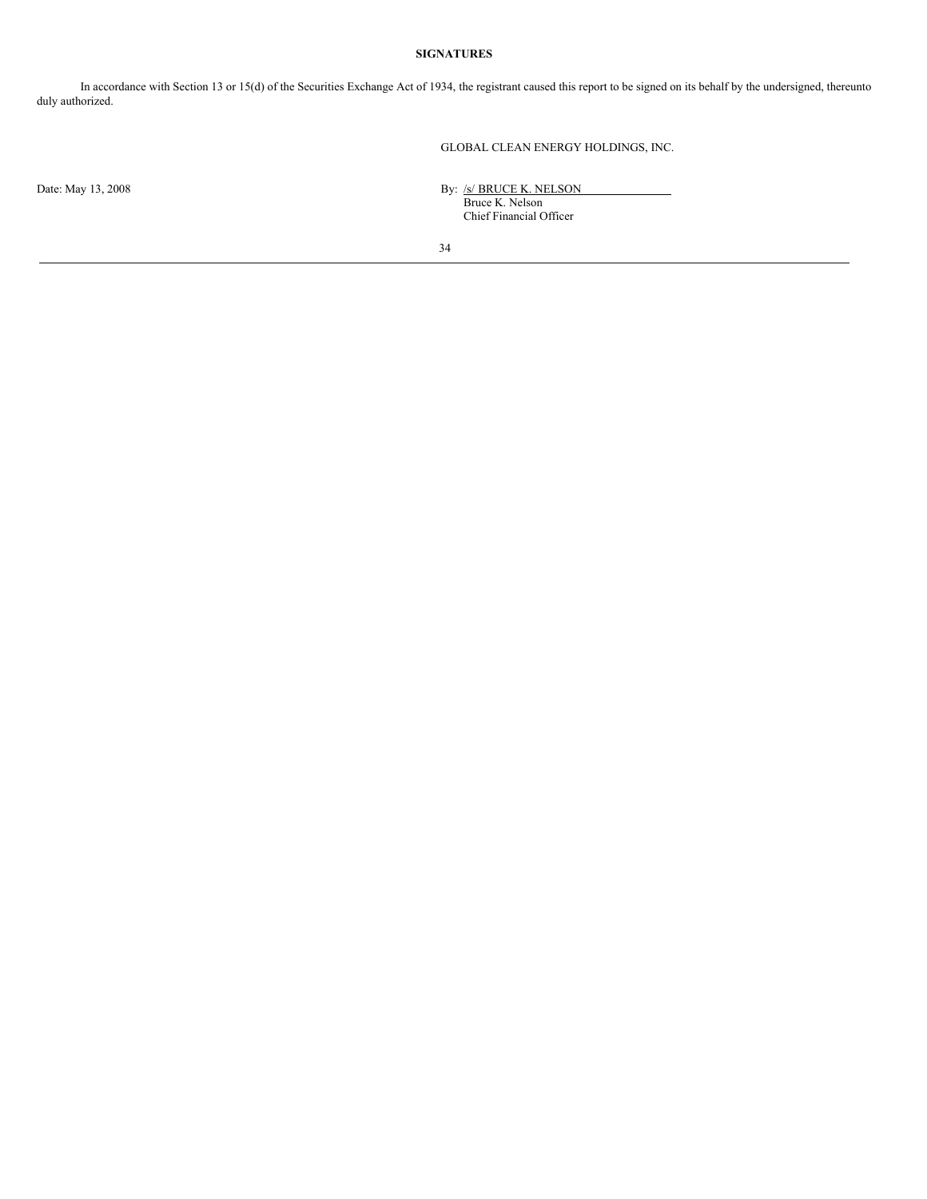# **SIGNATURES**

In accordance with Section 13 or 15(d) of the Securities Exchange Act of 1934, the registrant caused this report to be signed on its behalf by the undersigned, thereunto duly authorized.

GLOBAL CLEAN ENERGY HOLDINGS, INC.

Date: May 13, 2008 By: /s/ BRUCE K. NELSON Bruce K. Nelson Chief Financial Officer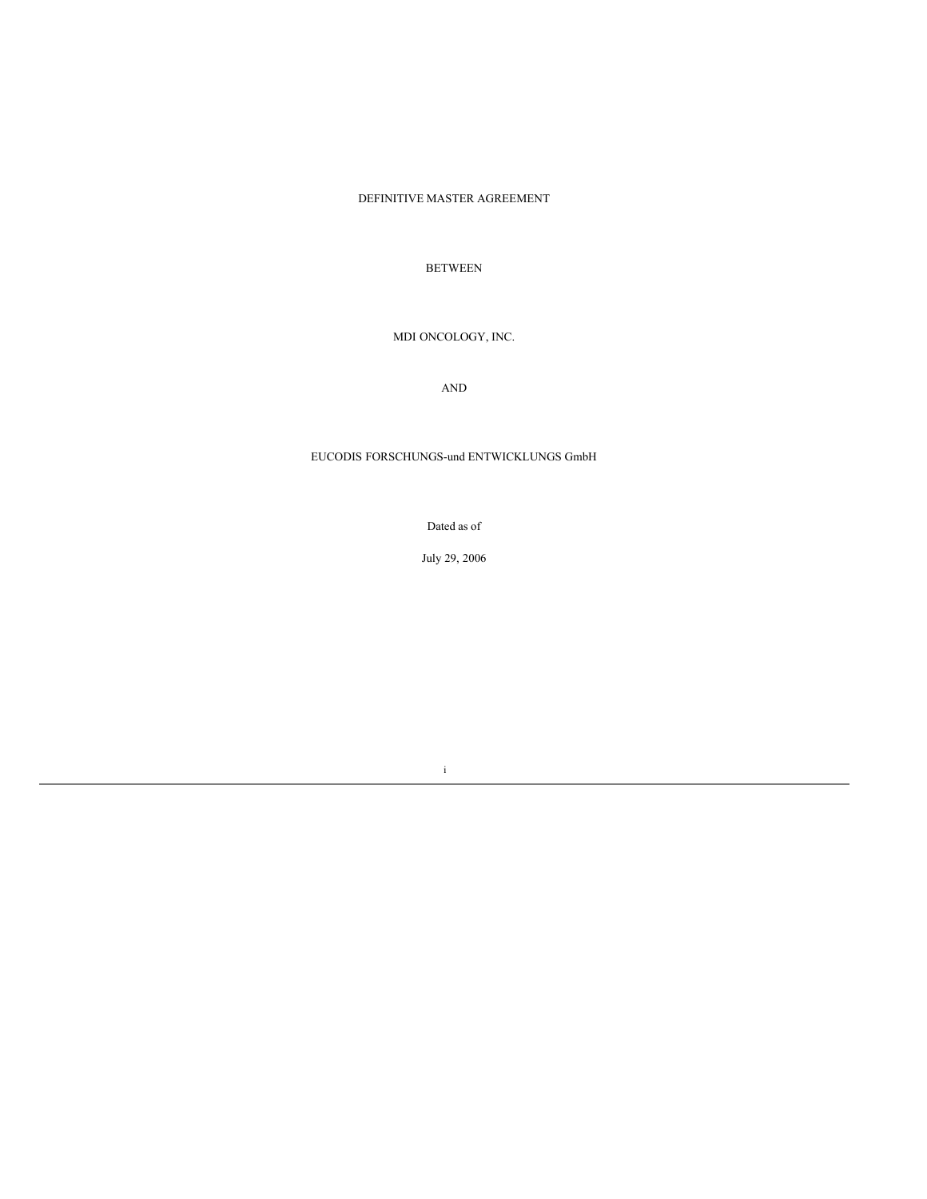# DEFINITIVE MASTER AGREEMENT

# BETWEEN

# MDI ONCOLOGY, INC.

AND

# EUCODIS FORSCHUNGS-und ENTWICKLUNGS GmbH

Dated as of

July 29, 2006

i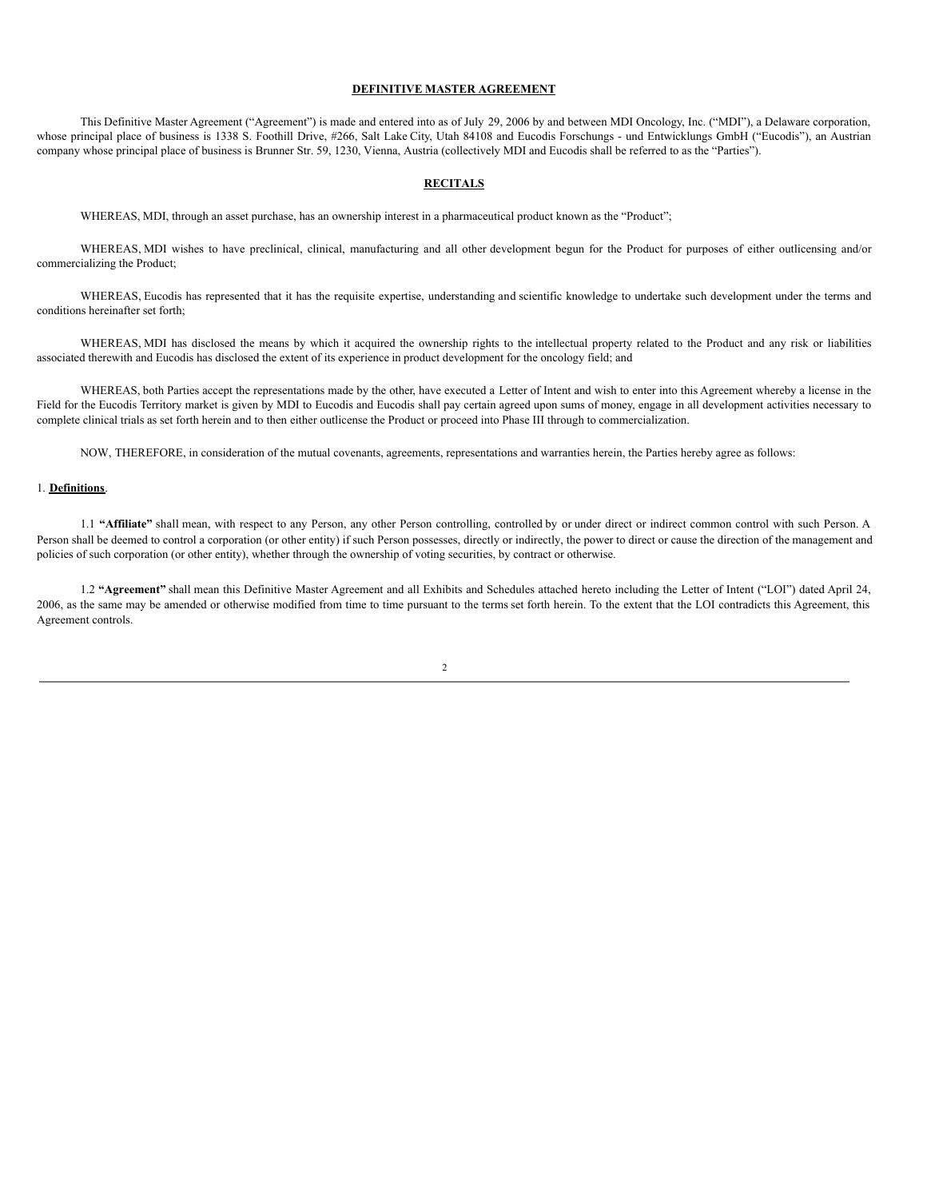## **DEFINITIVE MASTER AGREEMENT**

This Definitive Master Agreement ("Agreement") is made and entered into as of July 29, 2006 by and between MDI Oncology, Inc. ("MDI"), a Delaware corporation, whose principal place of business is 1338 S. Foothill Drive, #266, Salt Lake City, Utah 84108 and Eucodis Forschungs - und Entwicklungs GmbH ("Eucodis"), an Austrian company whose principal place of business is Brunner Str. 59, 1230, Vienna, Austria (collectively MDI and Eucodis shall be referred to as the "Parties").

## **RECITALS**

WHEREAS, MDI, through an asset purchase, has an ownership interest in a pharmaceutical product known as the "Product";

WHEREAS, MDI wishes to have preclinical, clinical, manufacturing and all other development begun for the Product for purposes of either outlicensing and/or commercializing the Product;

WHEREAS, Eucodis has represented that it has the requisite expertise, understanding and scientific knowledge to undertake such development under the terms and conditions hereinafter set forth;

WHEREAS, MDI has disclosed the means by which it acquired the ownership rights to the intellectual property related to the Product and any risk or liabilities associated therewith and Eucodis has disclosed the extent of its experience in product development for the oncology field; and

WHEREAS, both Parties accept the representations made by the other, have executed a Letter of Intent and wish to enter into this Agreement whereby a license in the Field for the Eucodis Territory market is given by MDI to Eucodis and Eucodis shall pay certain agreed upon sums of money, engage in all development activities necessary to complete clinical trials as set forth herein and to then either outlicense the Product or proceed into Phase III through to commercialization.

NOW, THEREFORE, in consideration of the mutual covenants, agreements, representations and warranties herein, the Parties hereby agree as follows:

## 1. **Definitions**.

1.1 "Affiliate" shall mean, with respect to any Person, any other Person controlling, controlled by or under direct or indirect common control with such Person. A Person shall be deemed to control a corporation (or other entity) if such Person possesses, directly or indirectly, the power to direct or cause the direction of the management and policies of such corporation (or other entity), whether through the ownership of voting securities, by contract or otherwise.

1.2 **"Agreement"** shall mean this Definitive Master Agreement and all Exhibits and Schedules attached hereto including the Letter of Intent ("LOI") dated April 24, 2006, as the same may be amended or otherwise modified from time to time pursuant to the terms set forth herein. To the extent that the LOI contradicts this Agreement, this Agreement controls.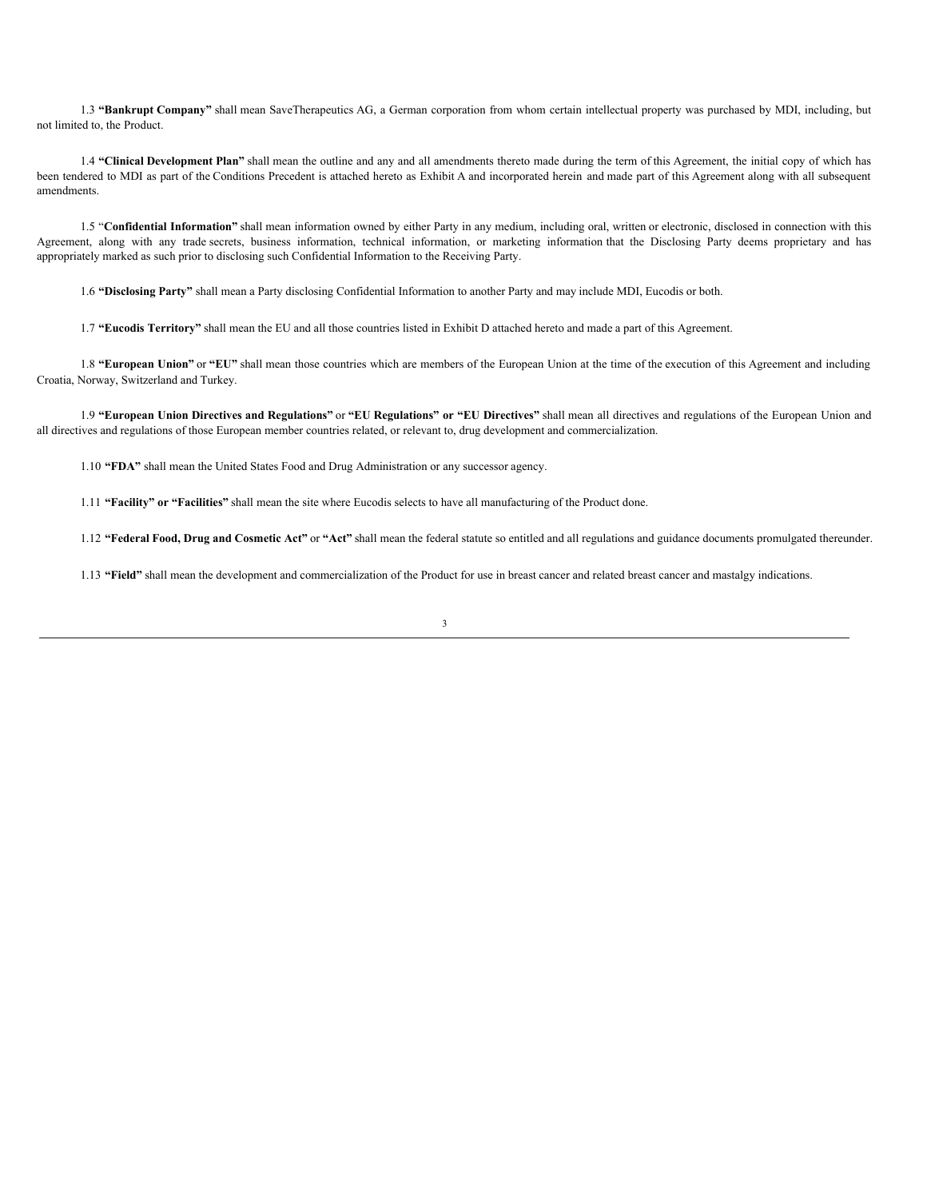1.3 **"Bankrupt Company"** shall mean SaveTherapeutics AG, a German corporation from whom certain intellectual property was purchased by MDI, including, but not limited to, the Product.

1.4 **"Clinical Development Plan"** shall mean the outline and any and all amendments thereto made during the term of this Agreement, the initial copy of which has been tendered to MDI as part of the Conditions Precedent is attached hereto as Exhibit A and incorporated herein and made part of this Agreement along with all subsequent amendments.

1.5 "**Confidential Information"** shall mean information owned by either Party in any medium, including oral, written or electronic, disclosed in connection with this Agreement, along with any trade secrets, business information, technical information, or marketing information that the Disclosing Party deems proprietary and has appropriately marked as such prior to disclosing such Confidential Information to the Receiving Party.

1.6 **"Disclosing Party"** shall mean a Party disclosing Confidential Information to another Party and may include MDI, Eucodis or both.

1.7 **"Eucodis Territory"** shall mean the EU and all those countries listed in Exhibit D attached hereto and made a part of this Agreement.

1.8 **"European Union"** or **"EU"** shall mean those countries which are members of the European Union at the time of the execution of this Agreement and including Croatia, Norway, Switzerland and Turkey.

1.9 **"European Union Directives and Regulations"** or **"EU Regulations" or "EU Directives"** shall mean all directives and regulations of the European Union and all directives and regulations of those European member countries related, or relevant to, drug development and commercialization.

1.10 **"FDA"** shall mean the United States Food and Drug Administration or any successor agency.

1.11 **"Facility" or "Facilities"** shall mean the site where Eucodis selects to have all manufacturing of the Product done.

1.12 **"Federal Food, Drug and Cosmetic Act"** or **"Act"** shall mean the federal statute so entitled and all regulations and guidance documents promulgated thereunder.

1.13 **"Field"** shall mean the development and commercialization of the Product for use in breast cancer and related breast cancer and mastalgy indications.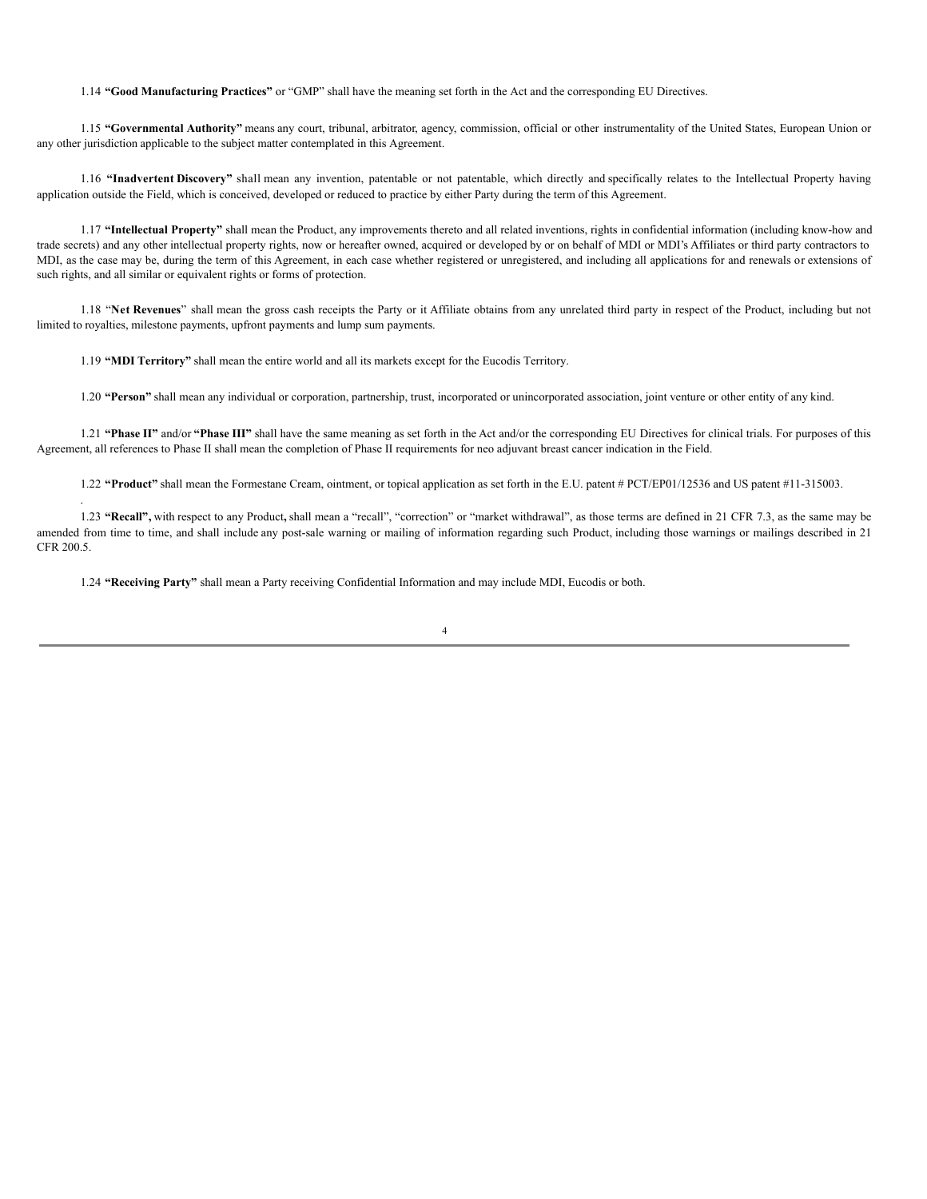1.14 **"Good Manufacturing Practices"** or "GMP" shall have the meaning set forth in the Act and the corresponding EU Directives.

1.15 **"Governmental Authority"** means any court, tribunal, arbitrator, agency, commission, official or other instrumentality of the United States, European Union or any other jurisdiction applicable to the subject matter contemplated in this Agreement.

1.16 **"Inadvertent Discovery"** shall mean any invention, patentable or not patentable, which directly and specifically relates to the Intellectual Property having application outside the Field, which is conceived, developed or reduced to practice by either Party during the term of this Agreement.

1.17 **"Intellectual Property"** shall mean the Product, any improvements thereto and all related inventions, rights in confidential information (including know-how and trade secrets) and any other intellectual property rights, now or hereafter owned, acquired or developed by or on behalf of MDI or MDI's Affiliates or third party contractors to MDI, as the case may be, during the term of this Agreement, in each case whether registered or unregistered, and including all applications for and renewals or extensions of such rights, and all similar or equivalent rights or forms of protection.

1.18 "**Net Revenues**" shall mean the gross cash receipts the Party or it Affiliate obtains from any unrelated third party in respect of the Product, including but not limited to royalties, milestone payments, upfront payments and lump sum payments.

1.19 **"MDI Territory"** shall mean the entire world and all its markets except for the Eucodis Territory.

.

1.20 **"Person"** shall mean any individual or corporation, partnership, trust, incorporated or unincorporated association, joint venture or other entity of any kind.

1.21 **"Phase II"** and/or **"Phase III"** shall have the same meaning as set forth in the Act and/or the corresponding EU Directives for clinical trials. For purposes of this Agreement, all references to Phase II shall mean the completion of Phase II requirements for neo adjuvant breast cancer indication in the Field.

1.22 **"Product"** shall mean the Formestane Cream, ointment, or topical application as set forth in the E.U. patent # PCT/EP01/12536 and US patent #11-315003.

1.23 **"Recall",** with respect to any Product**,** shall mean a "recall", "correction" or "market withdrawal", as those terms are defined in 21 CFR 7.3, as the same may be amended from time to time, and shall include any post-sale warning or mailing of information regarding such Product, including those warnings or mailings described in 21 CFR 200.5.

1.24 **"Receiving Party"** shall mean a Party receiving Confidential Information and may include MDI, Eucodis or both.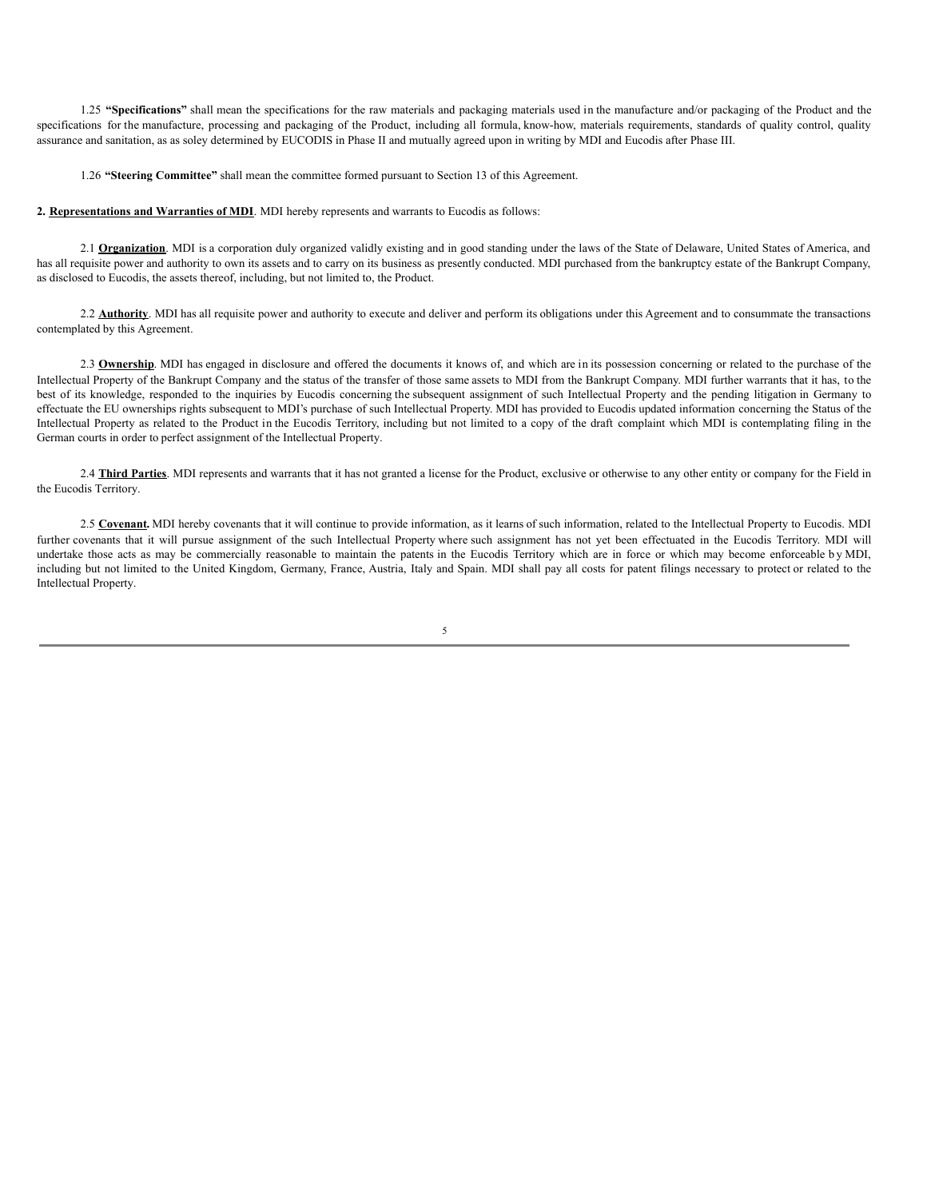1.25 **"Specifications"** shall mean the specifications for the raw materials and packaging materials used in the manufacture and/or packaging of the Product and the specifications for the manufacture, processing and packaging of the Product, including all formula, know-how, materials requirements, standards of quality control, quality assurance and sanitation, as as soley determined by EUCODIS in Phase II and mutually agreed upon in writing by MDI and Eucodis after Phase III.

1.26 **"Steering Committee"** shall mean the committee formed pursuant to Section 13 of this Agreement.

**2. Representations and Warranties of MDI**. MDI hereby represents and warrants to Eucodis as follows:

2.1 **Organization**. MDI is a corporation duly organized validly existing and in good standing under the laws of the State of Delaware, United States of America, and has all requisite power and authority to own its assets and to carry on its business as presently conducted. MDI purchased from the bankruptcy estate of the Bankrupt Company, as disclosed to Eucodis, the assets thereof, including, but not limited to, the Product.

2.2 **Authority**. MDI has all requisite power and authority to execute and deliver and perform its obligations under this Agreement and to consummate the transactions contemplated by this Agreement.

2.3 **Ownership**. MDI has engaged in disclosure and offered the documents it knows of, and which are in its possession concerning or related to the purchase of the Intellectual Property of the Bankrupt Company and the status of the transfer of those same assets to MDI from the Bankrupt Company. MDI further warrants that it has, to the best of its knowledge, responded to the inquiries by Eucodis concerning the subsequent assignment of such Intellectual Property and the pending litigation in Germany to effectuate the EU ownerships rights subsequent to MDI's purchase of such Intellectual Property. MDI has provided to Eucodis updated information concerning the Status of the Intellectual Property as related to the Product in the Eucodis Territory, including but not limited to a copy of the draft complaint which MDI is contemplating filing in the German courts in order to perfect assignment of the Intellectual Property.

2.4 **Third Parties**. MDI represents and warrants that it has not granted a license for the Product, exclusive or otherwise to any other entity or company for the Field in the Eucodis Territory.

2.5 **Covenant.** MDI hereby covenants that it will continue to provide information, as it learns of such information, related to the Intellectual Property to Eucodis. MDI further covenants that it will pursue assignment of the such Intellectual Property where such assignment has not yet been effectuated in the Eucodis Territory. MDI will undertake those acts as may be commercially reasonable to maintain the patents in the Eucodis Territory which are in force or which may become enforceable b y MDI, including but not limited to the United Kingdom, Germany, France, Austria, Italy and Spain. MDI shall pay all costs for patent filings necessary to protect or related to the Intellectual Property.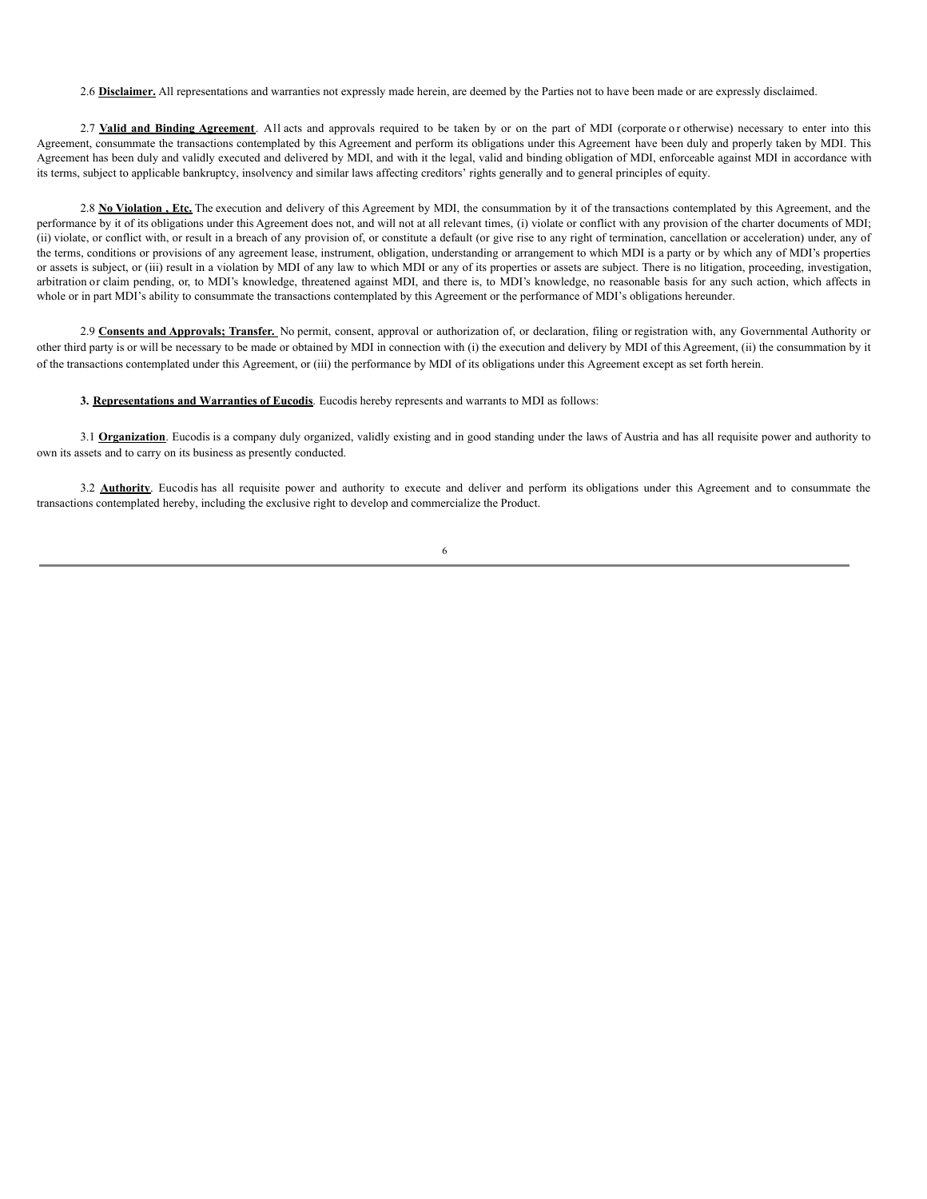2.6 **Disclaimer.** All representations and warranties not expressly made herein, are deemed by the Parties not to have been made or are expressly disclaimed.

2.7 **Valid and Binding Agreement**. All acts and approvals required to be taken by or on the part of MDI (corporate o r otherwise) necessary to enter into this Agreement, consummate the transactions contemplated by this Agreement and perform its obligations under this Agreement have been duly and properly taken by MDI. This Agreement has been duly and validly executed and delivered by MDI, and with it the legal, valid and binding obligation of MDI, enforceable against MDI in accordance with its terms, subject to applicable bankruptcy, insolvency and similar laws affecting creditors' rights generally and to general principles of equity.

2.8 **No Violation**, Etc. The execution and delivery of this Agreement by MDI, the consummation by it of the transactions contemplated by this Agreement, and the performance by it of its obligations under this Agreement does not, and will not at all relevant times, (i) violate or conflict with any provision of the charter documents of MDI; (ii) violate, or conflict with, or result in a breach of any provision of, or constitute a default (or give rise to any right of termination, cancellation or acceleration) under, any of the terms, conditions or provisions of any agreement lease, instrument, obligation, understanding or arrangement to which MDI is a party or by which any of MDI's properties or assets is subject, or (iii) result in a violation by MDI of any law to which MDI or any of its properties or assets are subject. There is no litigation, proceeding, investigation, arbitration or claim pending, or, to MDI's knowledge, threatened against MDI, and there is, to MDI's knowledge, no reasonable basis for any such action, which affects in whole or in part MDI's ability to consummate the transactions contemplated by this Agreement or the performance of MDI's obligations hereunder.

2.9 **Consents and Approvals; Transfer.** No permit, consent, approval or authorization of, or declaration, filing or registration with, any Governmental Authority or other third party is or will be necessary to be made or obtained by MDI in connection with (i) the execution and delivery by MDI of this Agreement, (ii) the consummation by it of the transactions contemplated under this Agreement, or (iii) the performance by MDI of its obligations under this Agreement except as set forth herein.

## **3. Representations and Warranties of Eucodis**. Eucodis hereby represents and warrants to MDI as follows:

3.1 **Organization**. Eucodis is a company duly organized, validly existing and in good standing under the laws of Austria and has all requisite power and authority to own its assets and to carry on its business as presently conducted.

3.2 **Authority**. Eucodis has all requisite power and authority to execute and deliver and perform its obligations under this Agreement and to consummate the transactions contemplated hereby, including the exclusive right to develop and commercialize the Product.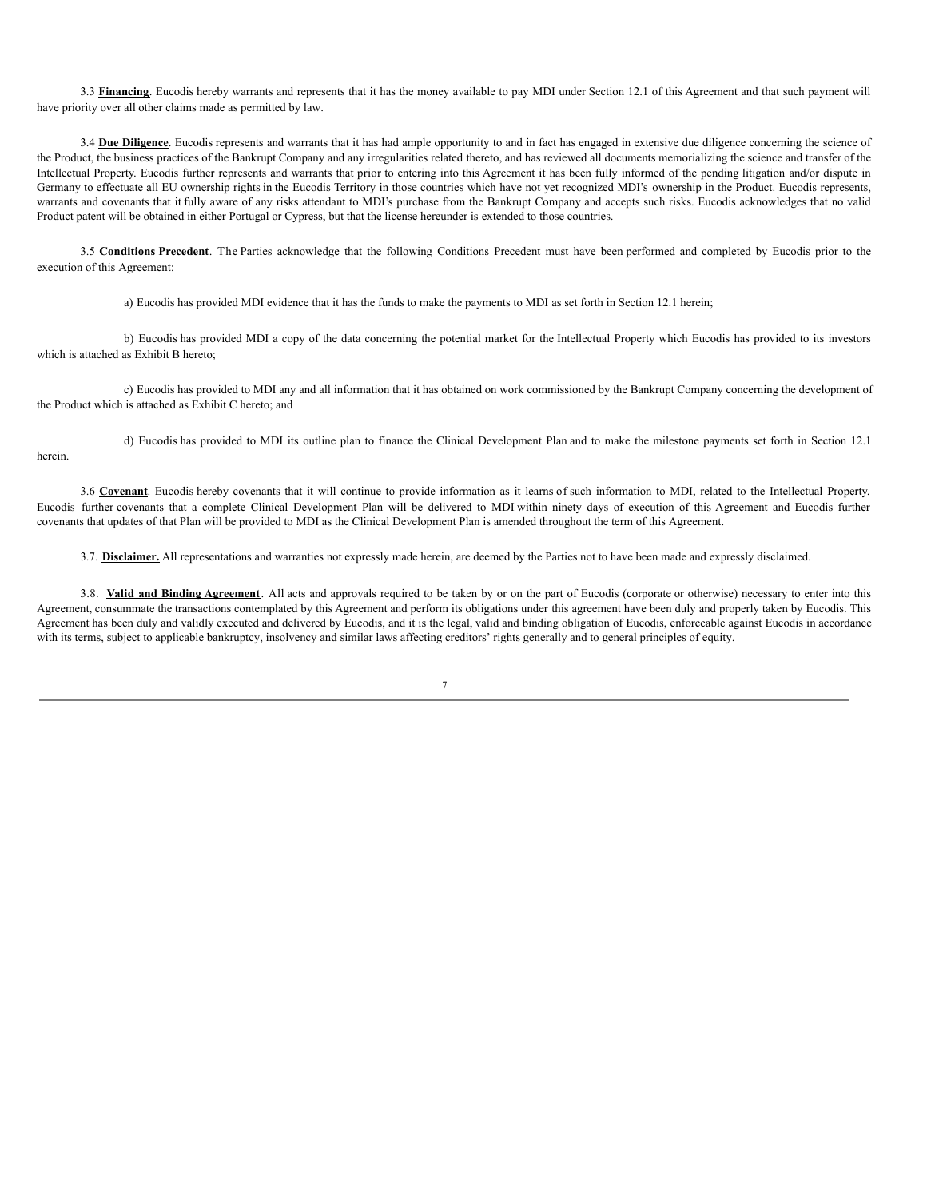3.3 Financing. Eucodis hereby warrants and represents that it has the money available to pay MDI under Section 12.1 of this Agreement and that such payment will have priority over all other claims made as permitted by law.

3.4 **Due Diligence**. Eucodis represents and warrants that it has had ample opportunity to and in fact has engaged in extensive due diligence concerning the science of the Product, the business practices of the Bankrupt Company and any irregularities related thereto, and has reviewed all documents memorializing the science and transfer of the Intellectual Property. Eucodis further represents and warrants that prior to entering into this Agreement it has been fully informed of the pending litigation and/or dispute in Germany to effectuate all EU ownership rights in the Eucodis Territory in those countries which have not yet recognized MDI's ownership in the Product. Eucodis represents, warrants and covenants that it fully aware of any risks attendant to MDI's purchase from the Bankrupt Company and accepts such risks. Eucodis acknowledges that no valid Product patent will be obtained in either Portugal or Cypress, but that the license hereunder is extended to those countries.

3.5 **Conditions Precedent**. The Parties acknowledge that the following Conditions Precedent must have been performed and completed by Eucodis prior to the execution of this Agreement:

a) Eucodis has provided MDI evidence that it has the funds to make the payments to MDI as set forth in Section 12.1 herein;

b) Eucodis has provided MDI a copy of the data concerning the potential market for the Intellectual Property which Eucodis has provided to its investors which is attached as Exhibit B hereto;

c) Eucodis has provided to MDI any and all information that it has obtained on work commissioned by the Bankrupt Company concerning the development of the Product which is attached as Exhibit C hereto; and

d) Eucodis has provided to MDI its outline plan to finance the Clinical Development Plan and to make the milestone payments set forth in Section 12.1 herein.

3.6 **Covenant**. Eucodis hereby covenants that it will continue to provide information as it learns of such information to MDI, related to the Intellectual Property. Eucodis further covenants that a complete Clinical Development Plan will be delivered to MDI within ninety days of execution of this Agreement and Eucodis further covenants that updates of that Plan will be provided to MDI as the Clinical Development Plan is amended throughout the term of this Agreement.

3.7. **Disclaimer**. All representations and warranties not expressly made herein, are deemed by the Parties not to have been made and expressly disclaimed.

3.8. **Valid and Binding Agreement**. All acts and approvals required to be taken by or on the part of Eucodis (corporate or otherwise) necessary to enter into this Agreement, consummate the transactions contemplated by this Agreement and perform its obligations under this agreement have been duly and properly taken by Eucodis. This Agreement has been duly and validly executed and delivered by Eucodis, and it is the legal, valid and binding obligation of Eucodis, enforceable against Eucodis in accordance with its terms, subject to applicable bankruptcy, insolvency and similar laws affecting creditors' rights generally and to general principles of equity.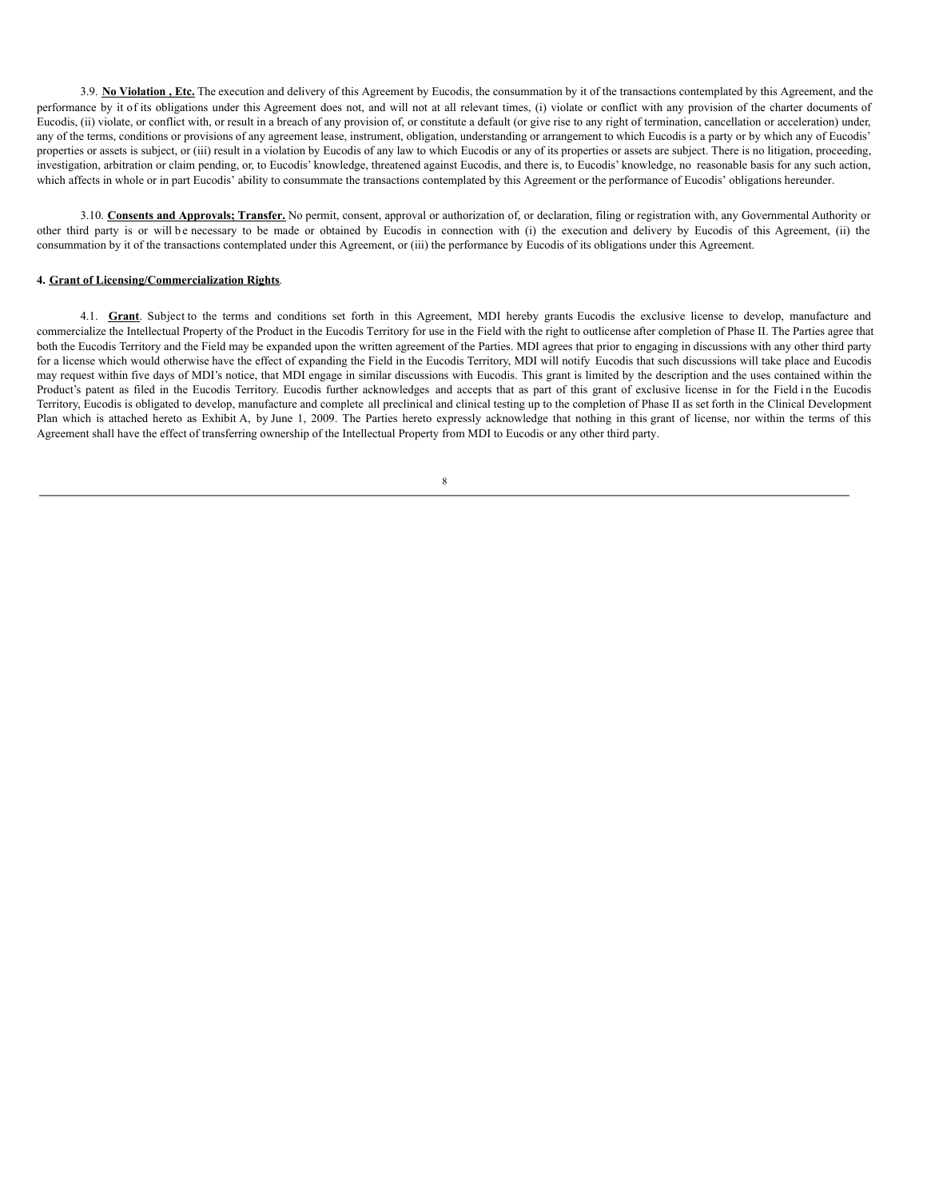3.9. No Violation, Etc. The execution and delivery of this Agreement by Eucodis, the consummation by it of the transactions contemplated by this Agreement, and the performance by it of its obligations under this Agreement does not, and will not at all relevant times, (i) violate or conflict with any provision of the charter documents of Eucodis, (ii) violate, or conflict with, or result in a breach of any provision of, or constitute a default (or give rise to any right of termination, cancellation or acceleration) under, any of the terms, conditions or provisions of any agreement lease, instrument, obligation, understanding or arrangement to which Eucodis is a party or by which any of Eucodis' properties or assets is subject, or (iii) result in a violation by Eucodis of any law to which Eucodis or any of its properties or assets are subject. There is no litigation, proceeding, investigation, arbitration or claim pending, or, to Eucodis' knowledge, threatened against Eucodis, and there is, to Eucodis' knowledge, no reasonable basis for any such action, which affects in whole or in part Eucodis' ability to consummate the transactions contemplated by this Agreement or the performance of Eucodis' obligations hereunder.

3.10. **Consents and Approvals; Transfer.** No permit, consent, approval or authorization of, or declaration, filing or registration with, any Governmental Authority or other third party is or will b e necessary to be made or obtained by Eucodis in connection with (i) the execution and delivery by Eucodis of this Agreement, (ii) the consummation by it of the transactions contemplated under this Agreement, or (iii) the performance by Eucodis of its obligations under this Agreement.

### **4. Grant of Licensing/Commercialization Rights**.

4.1. **Grant**. Subject to the terms and conditions set forth in this Agreement, MDI hereby grants Eucodis the exclusive license to develop, manufacture and commercialize the Intellectual Property of the Product in the Eucodis Territory for use in the Field with the right to outlicense after completion of Phase II. The Parties agree that both the Eucodis Territory and the Field may be expanded upon the written agreement of the Parties. MDI agrees that prior to engaging in discussions with any other third party for a license which would otherwise have the effect of expanding the Field in the Eucodis Territory, MDI will notify Eucodis that such discussions will take place and Eucodis may request within five days of MDI's notice, that MDI engage in similar discussions with Eucodis. This grant is limited by the description and the uses contained within the Product's patent as filed in the Eucodis Territory. Eucodis further acknowledges and accepts that as part of this grant of exclusive license in for the Field in the Eucodis Territory, Eucodis is obligated to develop, manufacture and complete all preclinical and clinical testing up to the completion of Phase II as set forth in the Clinical Development Plan which is attached hereto as Exhibit A, by June 1, 2009. The Parties hereto expressly acknowledge that nothing in this grant of license, nor within the terms of this Agreement shall have the effect of transferring ownership of the Intellectual Property from MDI to Eucodis or any other third party.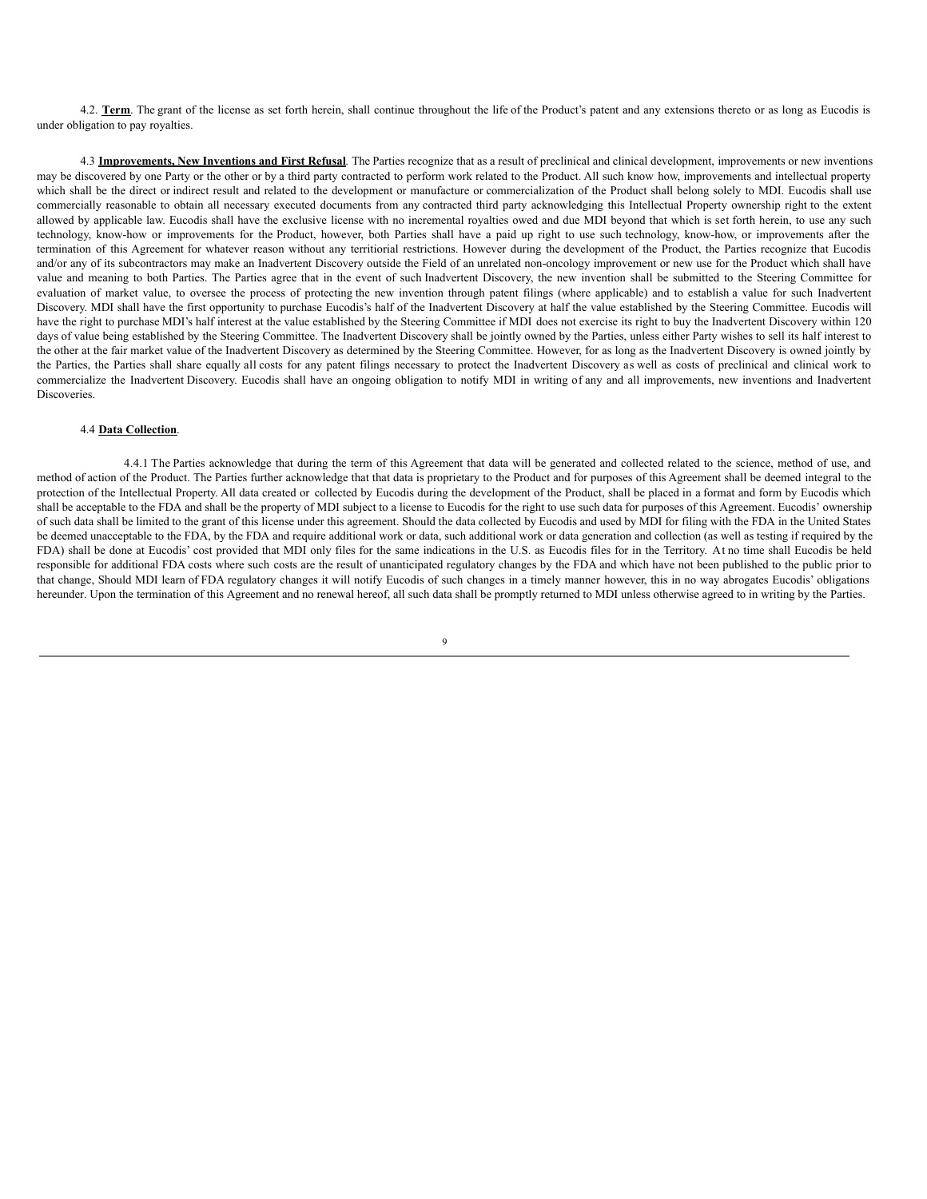4.2. Term. The grant of the license as set forth herein, shall continue throughout the life of the Product's patent and any extensions thereto or as long as Eucodis is under obligation to pay royalties.

4.3 **Improvements, New Inventions and First Refusal**. The Parties recognize that as a result of preclinical and clinical development, improvements or new inventions may be discovered by one Party or the other or by a third party contracted to perform work related to the Product. All such know how, improvements and intellectual property which shall be the direct or indirect result and related to the development or manufacture or commercialization of the Product shall belong solely to MDI. Eucodis shall use commercially reasonable to obtain all necessary executed documents from any contracted third party acknowledging this Intellectual Property ownership right to the extent allowed by applicable law. Eucodis shall have the exclusive license with no incremental royalties owed and due MDI beyond that which is set forth herein, to use any such technology, know-how or improvements for the Product, however, both Parties shall have a paid up right to use such technology, know-how, or improvements after the termination of this Agreement for whatever reason without any territiorial restrictions. However during the development of the Product, the Parties recognize that Eucodis and/or any of its subcontractors may make an Inadvertent Discovery outside the Field of an unrelated non-oncology improvement or new use for the Product which shall have value and meaning to both Parties. The Parties agree that in the event of such Inadvertent Discovery, the new invention shall be submitted to the Steering Committee for evaluation of market value, to oversee the process of protecting the new invention through patent filings (where applicable) and to establish a value for such Inadvertent Discovery. MDI shall have the first opportunity to purchase Eucodis's half of the Inadvertent Discovery at half the value established by the Steering Committee. Eucodis will have the right to purchase MDI's half interest at the value established by the Steering Committee if MDI does not exercise its right to buy the Inadvertent Discovery within 120 days of value being established by the Steering Committee. The Inadvertent Discovery shall be jointly owned by the Parties, unless either Party wishes to sell its half interest to the other at the fair market value of the Inadvertent Discovery as determined by the Steering Committee. However, for as long as the Inadvertent Discovery is owned jointly by the Parties, the Parties shall share equally all costs for any patent filings necessary to protect the Inadvertent Discovery as well as costs of preclinical and clinical work to commercialize the Inadvertent Discovery. Eucodis shall have an ongoing obligation to notify MDI in writing of any and all improvements, new inventions and Inadvertent **Discoveries** 

#### 4.4 **Data Collection**.

4.4.1 The Parties acknowledge that during the term of this Agreement that data will be generated and collected related to the science, method of use, and method of action of the Product. The Parties further acknowledge that that data is proprietary to the Product and for purposes of this Agreement shall be deemed integral to the protection of the Intellectual Property. All data created or collected by Eucodis during the development of the Product, shall be placed in a format and form by Eucodis which shall be acceptable to the FDA and shall be the property of MDI subject to a license to Eucodis for the right to use such data for purposes of this Agreement. Eucodis' ownership of such data shall be limited to the grant of this license under this agreement. Should the data collected by Eucodis and used by MDI for filing with the FDA in the United States be deemed unacceptable to the FDA, by the FDA and require additional work or data, such additional work or data generation and collection (as well as testing if required by the FDA) shall be done at Eucodis' cost provided that MDI only files for the same indications in the U.S. as Eucodis files for in the Territory. At no time shall Eucodis be held responsible for additional FDA costs where such costs are the result of unanticipated regulatory changes by the FDA and which have not been published to the public prior to that change, Should MDI learn of FDA regulatory changes it will notify Eucodis of such changes in a timely manner however, this in no way abrogates Eucodis' obligations hereunder. Upon the termination of this Agreement and no renewal hereof, all such data shall be promptly returned to MDI unless otherwise agreed to in writing by the Parties.

 $\overline{Q}$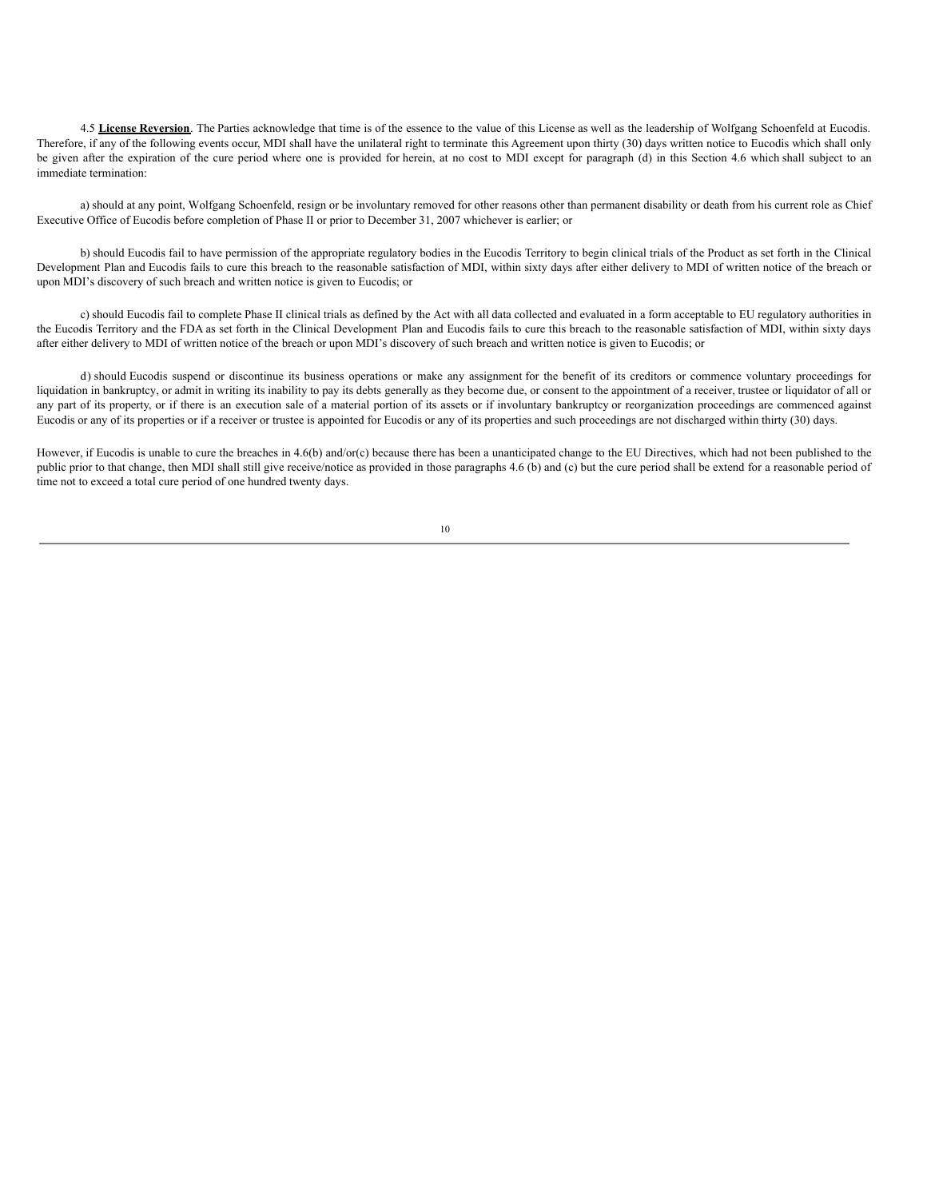4.5 **License Reversion**. The Parties acknowledge that time is of the essence to the value of this License as well as the leadership of Wolfgang Schoenfeld at Eucodis. Therefore, if any of the following events occur, MDI shall have the unilateral right to terminate this Agreement upon thirty (30) days written notice to Eucodis which shall only be given after the expiration of the cure period where one is provided for herein, at no cost to MDI except for paragraph (d) in this Section 4.6 which shall subject to an immediate termination:

a) should at any point, Wolfgang Schoenfeld, resign or be involuntary removed for other reasons other than permanent disability or death from his current role as Chief Executive Office of Eucodis before completion of Phase II or prior to December 31, 2007 whichever is earlier; or

b) should Eucodis fail to have permission of the appropriate regulatory bodies in the Eucodis Territory to begin clinical trials of the Product as set forth in the Clinical Development Plan and Eucodis fails to cure this breach to the reasonable satisfaction of MDI, within sixty days after either delivery to MDI of written notice of the breach or upon MDI's discovery of such breach and written notice is given to Eucodis; or

c) should Eucodis fail to complete Phase II clinical trials as defined by the Act with all data collected and evaluated in a form acceptable to EU regulatory authorities in the Eucodis Territory and the FDA as set forth in the Clinical Development Plan and Eucodis fails to cure this breach to the reasonable satisfaction of MDI, within sixty days after either delivery to MDI of written notice of the breach or upon MDI's discovery of such breach and written notice is given to Eucodis; or

d) should Eucodis suspend or discontinue its business operations or make any assignment for the benefit of its creditors or commence voluntary proceedings for liquidation in bankruptcy, or admit in writing its inability to pay its debts generally as they become due, or consent to the appointment of a receiver, trustee or liquidator of all or any part of its property, or if there is an execution sale of a material portion of its assets or if involuntary bankruptcy or reorganization proceedings are commenced against Eucodis or any of its properties or if a receiver or trustee is appointed for Eucodis or any of its properties and such proceedings are not discharged within thirty (30) days.

However, if Eucodis is unable to cure the breaches in 4.6(b) and/or(c) because there has been a unanticipated change to the EU Directives, which had not been published to the public prior to that change, then MDI shall still give receive/notice as provided in those paragraphs 4.6 (b) and (c) but the cure period shall be extend for a reasonable period of time not to exceed a total cure period of one hundred twenty days.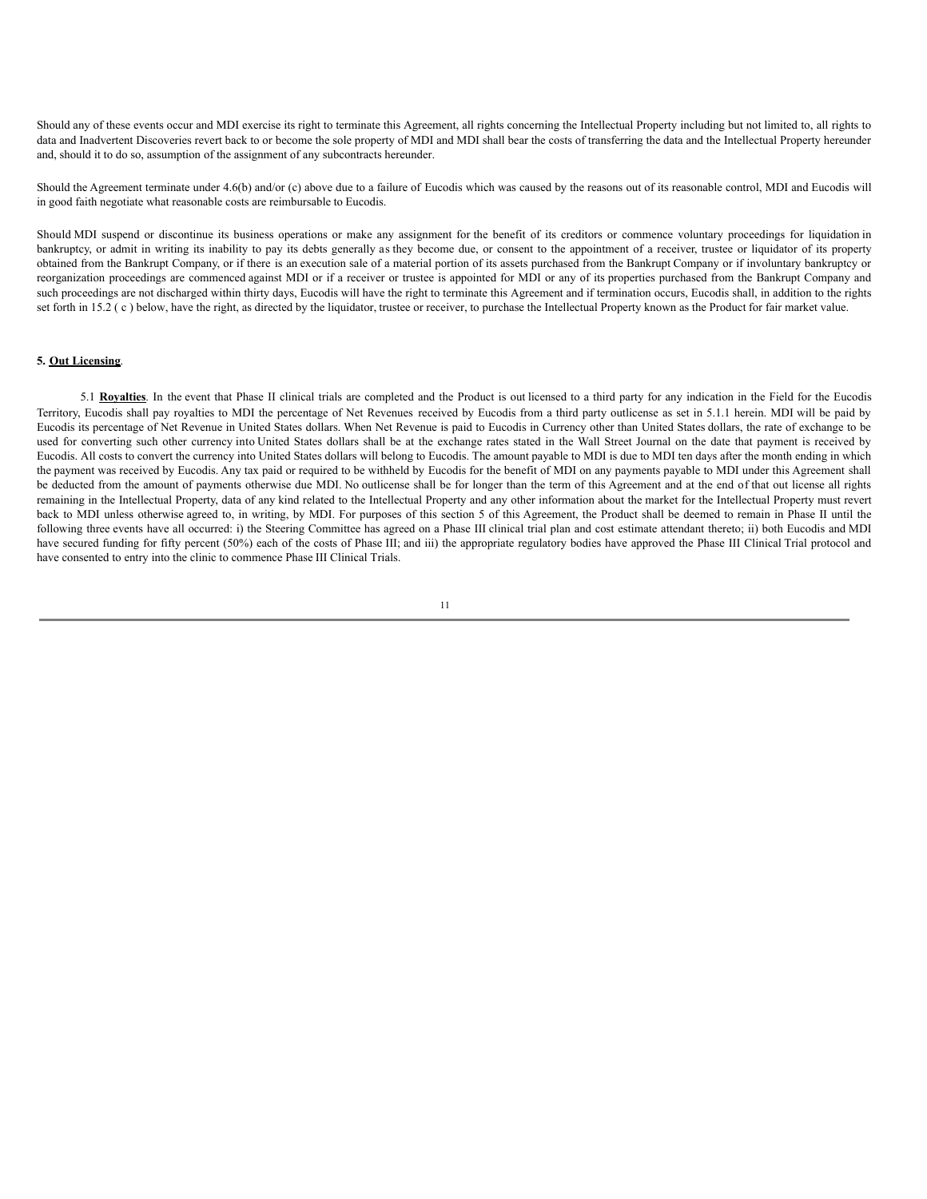Should any of these events occur and MDI exercise its right to terminate this Agreement, all rights concerning the Intellectual Property including but not limited to, all rights to data and Inadvertent Discoveries revert back to or become the sole property of MDI and MDI shall bear the costs of transferring the data and the Intellectual Property hereunder and, should it to do so, assumption of the assignment of any subcontracts hereunder.

Should the Agreement terminate under 4.6(b) and/or (c) above due to a failure of Eucodis which was caused by the reasons out of its reasonable control, MDI and Eucodis will in good faith negotiate what reasonable costs are reimbursable to Eucodis.

Should MDI suspend or discontinue its business operations or make any assignment for the benefit of its creditors or commence voluntary proceedings for liquidation in bankruptcy, or admit in writing its inability to pay its debts generally as they become due, or consent to the appointment of a receiver, trustee or liquidator of its property obtained from the Bankrupt Company, or if there is an execution sale of a material portion of its assets purchased from the Bankrupt Company or if involuntary bankruptcy or reorganization proceedings are commenced against MDI or if a receiver or trustee is appointed for MDI or any of its properties purchased from the Bankrupt Company and such proceedings are not discharged within thirty days, Eucodis will have the right to terminate this Agreement and if termination occurs, Eucodis shall, in addition to the rights set forth in 15.2 (c) below, have the right, as directed by the liquidator, trustee or receiver, to purchase the Intellectual Property known as the Product for fair market value.

## **5. Out Licensing**.

5.1 **Royalties**. In the event that Phase II clinical trials are completed and the Product is out licensed to a third party for any indication in the Field for the Eucodis Territory, Eucodis shall pay royalties to MDI the percentage of Net Revenues received by Eucodis from a third party outlicense as set in 5.1.1 herein. MDI will be paid by Eucodis its percentage of Net Revenue in United States dollars. When Net Revenue is paid to Eucodis in Currency other than United States dollars, the rate of exchange to be used for converting such other currency into United States dollars shall be at the exchange rates stated in the Wall Street Journal on the date that payment is received by Eucodis. All costs to convert the currency into United States dollars will belong to Eucodis. The amount payable to MDI is due to MDI ten days after the month ending in which the payment was received by Eucodis. Any tax paid or required to be withheld by Eucodis for the benefit of MDI on any payments payable to MDI under this Agreement shall be deducted from the amount of payments otherwise due MDI. No outlicense shall be for longer than the term of this Agreement and at the end of that out license all rights remaining in the Intellectual Property, data of any kind related to the Intellectual Property and any other information about the market for the Intellectual Property must revert back to MDI unless otherwise agreed to, in writing, by MDI. For purposes of this section 5 of this Agreement, the Product shall be deemed to remain in Phase II until the following three events have all occurred: i) the Steering Committee has agreed on a Phase III clinical trial plan and cost estimate attendant thereto; ii) both Eucodis and MDI have secured funding for fifty percent (50%) each of the costs of Phase III; and iii) the appropriate regulatory bodies have approved the Phase III Clinical Trial protocol and have consented to entry into the clinic to commence Phase III Clinical Trials.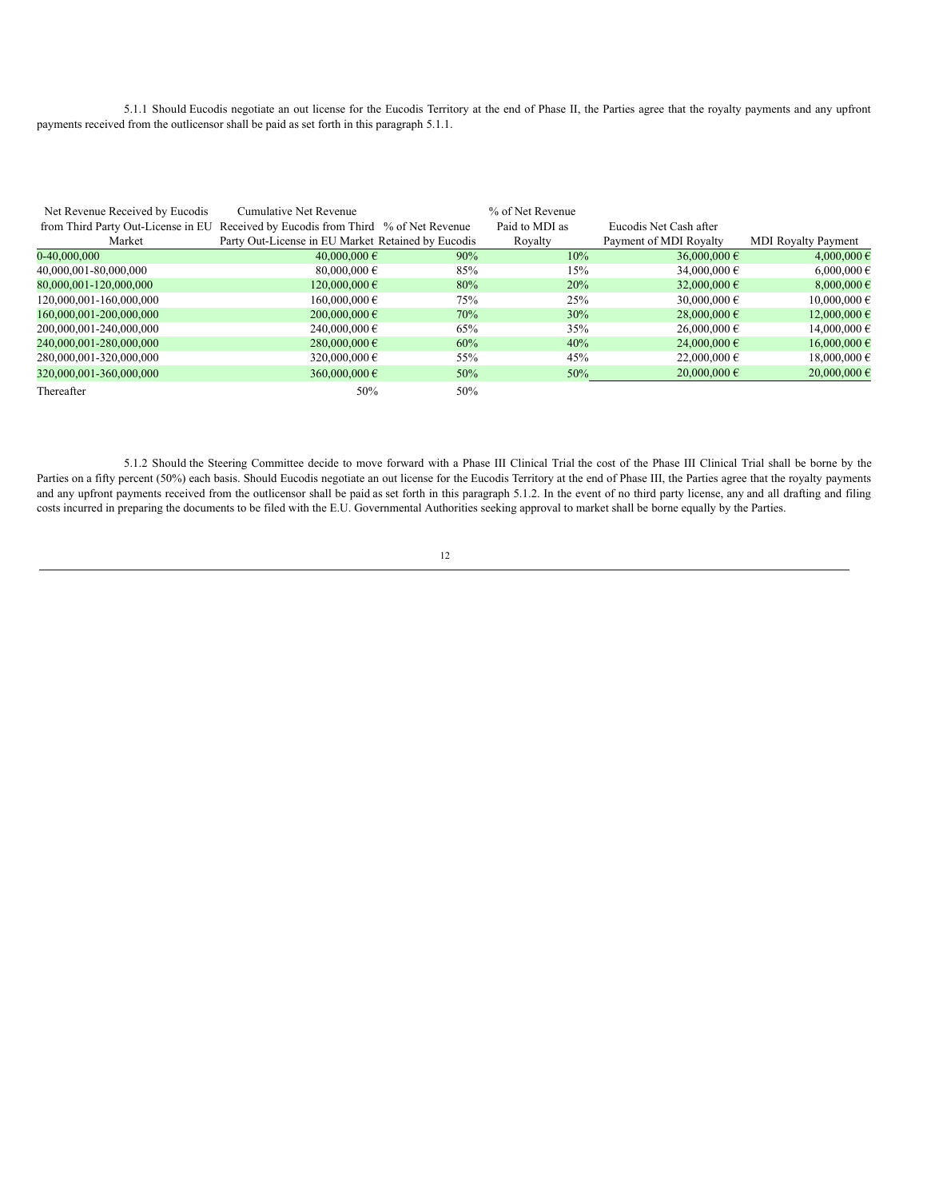5.1.1 Should Eucodis negotiate an out license for the Eucodis Territory at the end of Phase II, the Parties agree that the royalty payments and any upfront payments received from the outlicensor shall be paid as set forth in this paragraph 5.1.1.

| Net Revenue Received by Eucodis<br>from Third Party Out-License in EU Received by Eucodis from Third % of Net Revenue | Cumulative Net Revenue                             |        | % of Net Revenue<br>Paid to MDI as | Eucodis Net Cash after |                            |
|-----------------------------------------------------------------------------------------------------------------------|----------------------------------------------------|--------|------------------------------------|------------------------|----------------------------|
| Market                                                                                                                | Party Out-License in EU Market Retained by Eucodis |        | Royalty                            | Payment of MDI Royalty | <b>MDI</b> Royalty Payment |
|                                                                                                                       |                                                    |        |                                    |                        |                            |
| 0-40.000.000                                                                                                          | 40,000,000 $\epsilon$                              | $90\%$ | $10\%$                             | 36,000,000 $\epsilon$  | 4,000,000 $\epsilon$       |
| 40,000,001-80,000,000                                                                                                 | 80,000,000 $\epsilon$                              | 85%    | 15%                                | 34,000,000 $\epsilon$  | $6,000,000 \in$            |
| 80,000,001-120,000,000                                                                                                | $120,000,000 \in$                                  | 80%    | 20%                                | 32,000,000 $\in$       | 8,000,000 $\epsilon$       |
| 120,000,001-160,000,000                                                                                               | $160,000,000 \in$                                  | 75%    | 25%                                | 30,000,000 $\in$       | $10,000,000 \in$           |
| 160,000,001-200,000,000                                                                                               | $200,000,000 \in$                                  | 70%    | 30%                                | $28,000,000 \in$       | 12,000,000 €               |
| 200,000,001-240,000,000                                                                                               | 240,000,000 $\in$                                  | 65%    | 35%                                | $26,000,000 \in$       | 14,000,000 $\in$           |
| 240,000,001-280,000,000                                                                                               | 280,000,000 $\in$                                  | 60%    | 40%                                | 24,000,000 $\epsilon$  | 16,000,000 €               |
| 280,000,001-320,000,000                                                                                               | 320,000,000 $\in$                                  | 55%    | 45%                                | 22,000,000 $\in$       | 18,000,000 $\in$           |
| 320,000,001-360,000,000                                                                                               | 360,000,000 $\in$                                  | 50%    | 50%                                | $20,000,000 \in$       | $20,000,000 \in$           |
| Thereafter                                                                                                            | 50%                                                | 50%    |                                    |                        |                            |

5.1.2 Should the Steering Committee decide to move forward with a Phase III Clinical Trial the cost of the Phase III Clinical Trial shall be borne by the Parties on a fifty percent (50%) each basis. Should Eucodis negotiate an out license for the Eucodis Territory at the end of Phase III, the Parties agree that the royalty payments and any upfront payments received from the outlicensor shall be paid as set forth in this paragraph 5.1.2. In the event of no third party license, any and all drafting and filing costs incurred in preparing the documents to be filed with the E.U. Governmental Authorities seeking approval to market shall be borne equally by the Parties.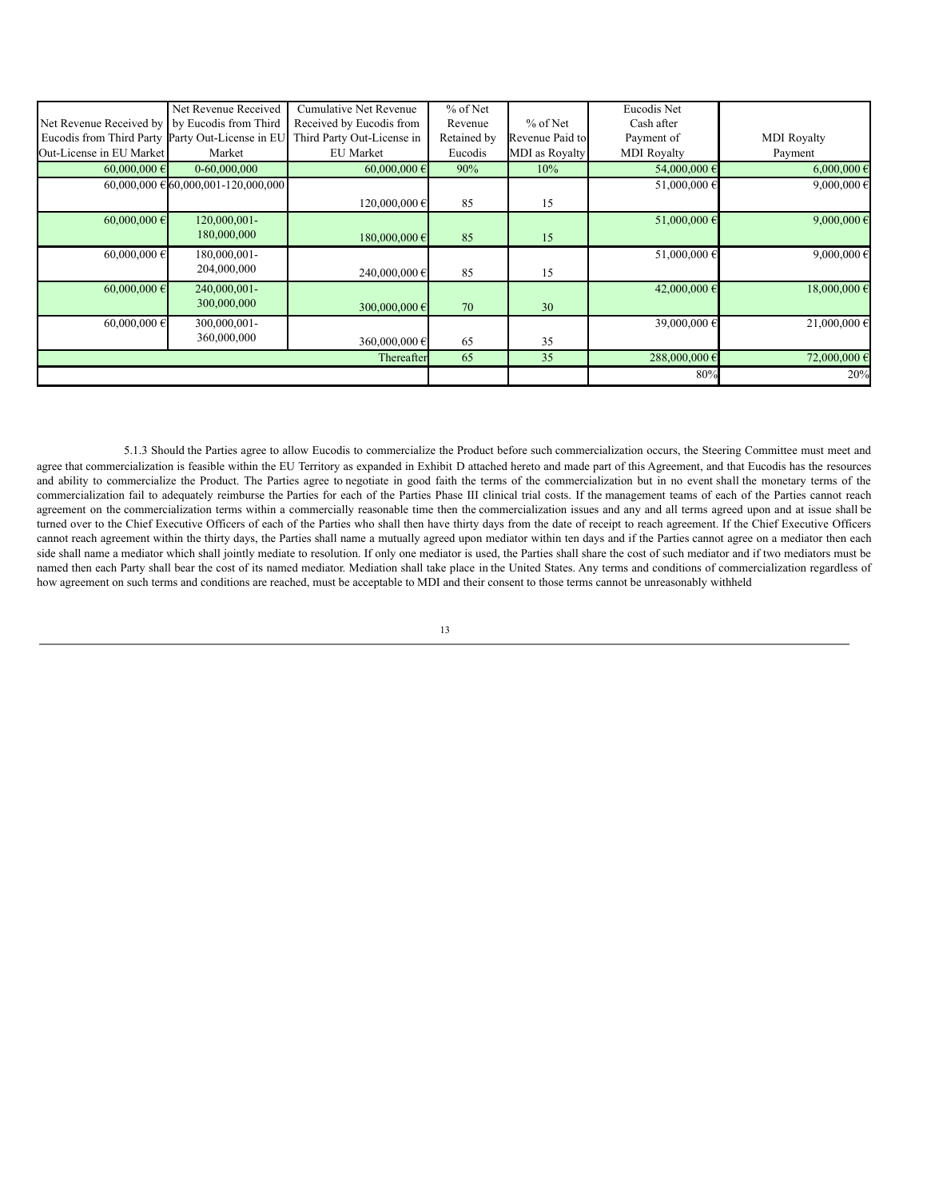|                                                  | Net Revenue Received                | <b>Cumulative Net Revenue</b> | % of Net    |                       | Eucodis Net           |                      |
|--------------------------------------------------|-------------------------------------|-------------------------------|-------------|-----------------------|-----------------------|----------------------|
| Net Revenue Received by by Eucodis from Third    |                                     | Received by Eucodis from      | Revenue     | $%$ of Net            | Cash after            |                      |
| Eucodis from Third Party Party Out-License in EU |                                     | Third Party Out-License in    | Retained by | Revenue Paid to       | Payment of            | <b>MDI</b> Royalty   |
| Out-License in EU Market                         | Market                              | <b>EU</b> Market              | Eucodis     | <b>MDI</b> as Royalty | <b>MDI</b> Royalty    | Payment              |
| $60,000,000 \in$                                 | 0-60,000,000                        | $60,000,000 \in$              | 90%         | 10%                   | 54,000,000 €          | $6,000,000 \in$      |
|                                                  | 60,000,000 € 60,000,001-120,000,000 |                               |             |                       | 51,000,000 €          | 9,000,000 $\in$      |
|                                                  |                                     | 120,000,000 €                 | 85          | 15                    |                       |                      |
| 60,000,000 $\epsilon$                            | 120,000,001-                        |                               |             |                       | 51,000,000 $\epsilon$ | 9,000,000 $\epsilon$ |
|                                                  | 180,000,000                         | 180,000,000€                  | 85          | 15                    |                       |                      |
| 60,000,000 $\in$                                 | 180,000,001-                        |                               |             |                       | 51,000,000 €          | 9,000,000 $\epsilon$ |
|                                                  | 204,000,000                         | 240,000,000 €                 | 85          | 15                    |                       |                      |
| 60,000,000 $\in$                                 | 240,000,001-                        |                               |             |                       | 42,000,000 $\epsilon$ | 18,000,000 €         |
|                                                  | 300,000,000                         | 300,000,000€                  | 70          | 30                    |                       |                      |
| 60,000,000 $\in$                                 | 300,000,001-                        |                               |             |                       | 39,000,000 €          | 21,000,000 $\in$     |
|                                                  | 360,000,000                         | 360,000,000 €                 | 65          | 35                    |                       |                      |
|                                                  |                                     | Thereafter                    | 65          | 35                    | 288,000,000€          | 72,000,000 €         |
|                                                  |                                     |                               |             |                       | 80%                   | 20%                  |

5.1.3 Should the Parties agree to allow Eucodis to commercialize the Product before such commercialization occurs, the Steering Committee must meet and agree that commercialization is feasible within the EU Territory as expanded in Exhibit D attached hereto and made part of this Agreement, and that Eucodis has the resources and ability to commercialize the Product. The Parties agree to negotiate in good faith the terms of the commercialization but in no event shall the monetary terms of the commercialization fail to adequately reimburse the Parties for each of the Parties Phase III clinical trial costs. If the management teams of each of the Parties cannot reach agreement on the commercialization terms within a commercially reasonable time then the commercialization issues and any and all terms agreed upon and at issue shall be turned over to the Chief Executive Officers of each of the Parties who shall then have thirty days from the date of receipt to reach agreement. If the Chief Executive Officers cannot reach agreement within the thirty days, the Parties shall name a mutually agreed upon mediator within ten days and if the Parties cannot agree on a mediator then each side shall name a mediator which shall jointly mediate to resolution. If only one mediator is used, the Parties shall share the cost of such mediator and if two mediators must be named then each Party shall bear the cost of its named mediator. Mediation shall take place in the United States. Any terms and conditions of commercialization regardless of how agreement on such terms and conditions are reached, must be acceptable to MDI and their consent to those terms cannot be unreasonably withheld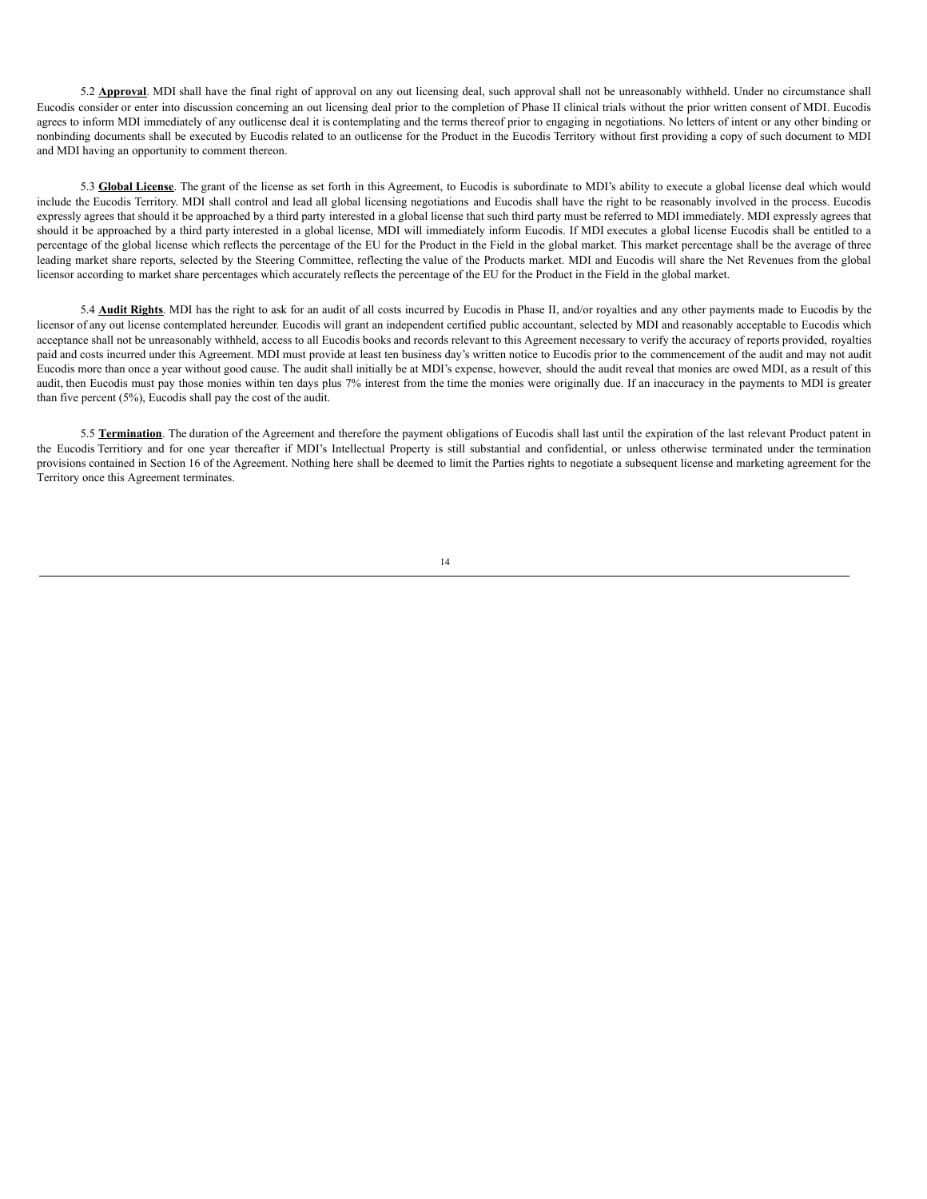5.2 **Approval**. MDI shall have the final right of approval on any out licensing deal, such approval shall not be unreasonably withheld. Under no circumstance shall Eucodis consider or enter into discussion concerning an out licensing deal prior to the completion of Phase II clinical trials without the prior written consent of MDI. Eucodis agrees to inform MDI immediately of any outlicense deal it is contemplating and the terms thereof prior to engaging in negotiations. No letters of intent or any other binding or nonbinding documents shall be executed by Eucodis related to an outlicense for the Product in the Eucodis Territory without first providing a copy of such document to MDI and MDI having an opportunity to comment thereon.

5.3 **Global License**. The grant of the license as set forth in this Agreement, to Eucodis is subordinate to MDI's ability to execute a global license deal which would include the Eucodis Territory. MDI shall control and lead all global licensing negotiations and Eucodis shall have the right to be reasonably involved in the process. Eucodis expressly agrees that should it be approached by a third party interested in a global license that such third party must be referred to MDI immediately. MDI expressly agrees that should it be approached by a third party interested in a global license, MDI will immediately inform Eucodis. If MDI executes a global license Eucodis shall be entitled to a percentage of the global license which reflects the percentage of the EU for the Product in the Field in the global market. This market percentage shall be the average of three leading market share reports, selected by the Steering Committee, reflecting the value of the Products market. MDI and Eucodis will share the Net Revenues from the global licensor according to market share percentages which accurately reflects the percentage of the EU for the Product in the Field in the global market.

5.4 **Audit Rights**. MDI has the right to ask for an audit of all costs incurred by Eucodis in Phase II, and/or royalties and any other payments made to Eucodis by the licensor of any out license contemplated hereunder. Eucodis will grant an independent certified public accountant, selected by MDI and reasonably acceptable to Eucodis which acceptance shall not be unreasonably withheld, access to all Eucodis books and records relevant to this Agreement necessary to verify the accuracy of reports provided, royalties paid and costs incurred under this Agreement. MDI must provide at least ten business day's written notice to Eucodis prior to the commencement of the audit and may not audit Eucodis more than once a year without good cause. The audit shall initially be at MDI's expense, however, should the audit reveal that monies are owed MDI, as a result of this audit, then Eucodis must pay those monies within ten days plus 7% interest from the time the monies were originally due. If an inaccuracy in the payments to MDI is greater than five percent (5%), Eucodis shall pay the cost of the audit.

5.5 Termination. The duration of the Agreement and therefore the payment obligations of Eucodis shall last until the expiration of the last relevant Product patent in the Eucodis Territiory and for one year thereafter if MDI's Intellectual Property is still substantial and confidential, or unless otherwise terminated under the termination provisions contained in Section 16 of the Agreement. Nothing here shall be deemed to limit the Parties rights to negotiate a subsequent license and marketing agreement for the Territory once this Agreement terminates.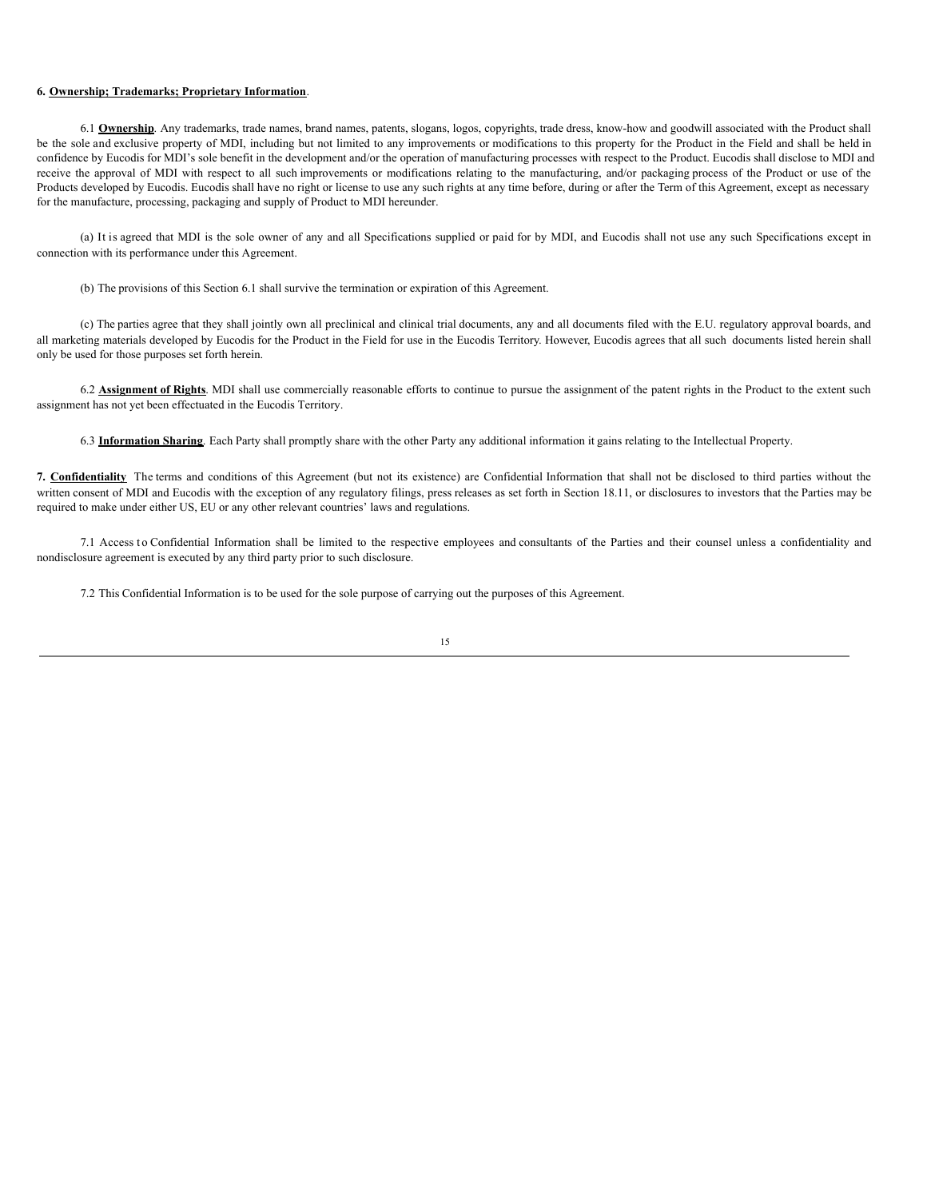## **6. Ownership; Trademarks; Proprietary Information**.

6.1 **Ownership**. Any trademarks, trade names, brand names, patents, slogans, logos, copyrights, trade dress, know-how and goodwill associated with the Product shall be the sole and exclusive property of MDI, including but not limited to any improvements or modifications to this property for the Product in the Field and shall be held in confidence by Eucodis for MDI's sole benefit in the development and/or the operation of manufacturing processes with respect to the Product. Eucodis shall disclose to MDI and receive the approval of MDI with respect to all such improvements or modifications relating to the manufacturing, and/or packaging process of the Product or use of the Products developed by Eucodis. Eucodis shall have no right or license to use any such rights at any time before, during or after the Term of this Agreement, except as necessary for the manufacture, processing, packaging and supply of Product to MDI hereunder.

(a) It is agreed that MDI is the sole owner of any and all Specifications supplied or paid for by MDI, and Eucodis shall not use any such Specifications except in connection with its performance under this Agreement.

(b) The provisions of this Section 6.1 shall survive the termination or expiration of this Agreement.

(c) The parties agree that they shall jointly own all preclinical and clinical trial documents, any and all documents filed with the E.U. regulatory approval boards, and all marketing materials developed by Eucodis for the Product in the Field for use in the Eucodis Territory. However, Eucodis agrees that all such documents listed herein shall only be used for those purposes set forth herein.

6.2 **Assignment of Rights**. MDI shall use commercially reasonable efforts to continue to pursue the assignment of the patent rights in the Product to the extent such assignment has not yet been effectuated in the Eucodis Territory.

6.3 **Information Sharing**. Each Party shall promptly share with the other Party any additional information it gains relating to the Intellectual Property.

**7. Confidentiality** The terms and conditions of this Agreement (but not its existence) are Confidential Information that shall not be disclosed to third parties without the written consent of MDI and Eucodis with the exception of any regulatory filings, press releases as set forth in Section 18.11, or disclosures to investors that the Parties may be required to make under either US, EU or any other relevant countries' laws and regulations.

7.1 Access to Confidential Information shall be limited to the respective employees and consultants of the Parties and their counsel unless a confidentiality and nondisclosure agreement is executed by any third party prior to such disclosure.

7.2 This Confidential Information is to be used for the sole purpose of carrying out the purposes of this Agreement.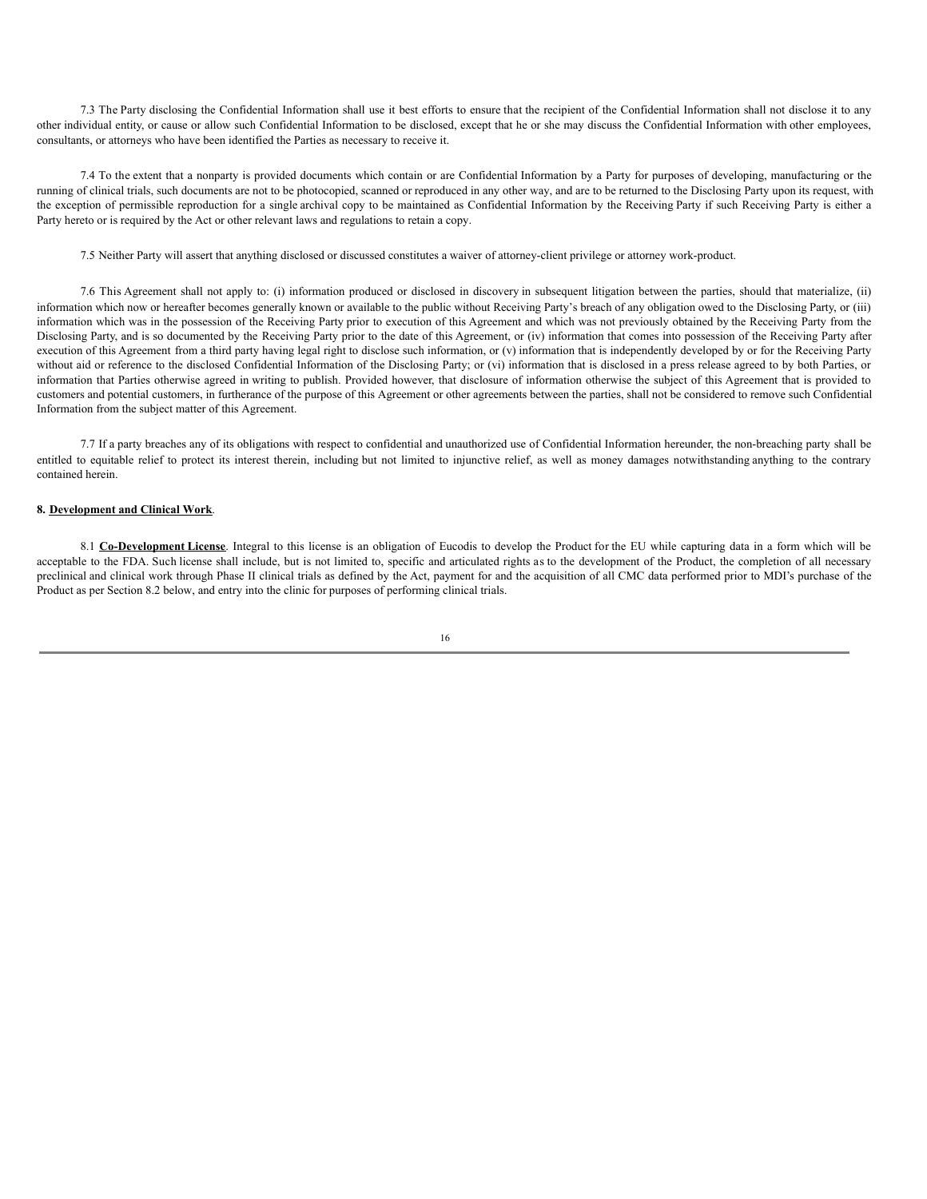7.3 The Party disclosing the Confidential Information shall use it best efforts to ensure that the recipient of the Confidential Information shall not disclose it to any other individual entity, or cause or allow such Confidential Information to be disclosed, except that he or she may discuss the Confidential Information with other employees, consultants, or attorneys who have been identified the Parties as necessary to receive it.

7.4 To the extent that a nonparty is provided documents which contain or are Confidential Information by a Party for purposes of developing, manufacturing or the running of clinical trials, such documents are not to be photocopied, scanned or reproduced in any other way, and are to be returned to the Disclosing Party upon its request, with the exception of permissible reproduction for a single archival copy to be maintained as Confidential Information by the Receiving Party if such Receiving Party is either a Party hereto or is required by the Act or other relevant laws and regulations to retain a copy.

7.5 Neither Party will assert that anything disclosed or discussed constitutes a waiver of attorney-client privilege or attorney work-product.

7.6 This Agreement shall not apply to: (i) information produced or disclosed in discovery in subsequent litigation between the parties, should that materialize, (ii) information which now or hereafter becomes generally known or available to the public without Receiving Party's breach of any obligation owed to the Disclosing Party, or (iii) information which was in the possession of the Receiving Party prior to execution of this Agreement and which was not previously obtained by the Receiving Party from the Disclosing Party, and is so documented by the Receiving Party prior to the date of this Agreement, or (iv) information that comes into possession of the Receiving Party after execution of this Agreement from a third party having legal right to disclose such information, or (v) information that is independently developed by or for the Receiving Party without aid or reference to the disclosed Confidential Information of the Disclosing Party; or (vi) information that is disclosed in a press release agreed to by both Parties, or information that Parties otherwise agreed in writing to publish. Provided however, that disclosure of information otherwise the subject of this Agreement that is provided to customers and potential customers, in furtherance of the purpose of this Agreement or other agreements between the parties, shall not be considered to remove such Confidential Information from the subject matter of this Agreement.

7.7 If a party breaches any of its obligations with respect to confidential and unauthorized use of Confidential Information hereunder, the non-breaching party shall be entitled to equitable relief to protect its interest therein, including but not limited to injunctive relief, as well as money damages notwithstanding anything to the contrary contained herein.

## **8. Development and Clinical Work**.

8.1 **Co-Development License**. Integral to this license is an obligation of Eucodis to develop the Product for the EU while capturing data in a form which will be acceptable to the FDA. Such license shall include, but is not limited to, specific and articulated rights as to the development of the Product, the completion of all necessary preclinical and clinical work through Phase II clinical trials as defined by the Act, payment for and the acquisition of all CMC data performed prior to MDI's purchase of the Product as per Section 8.2 below, and entry into the clinic for purposes of performing clinical trials.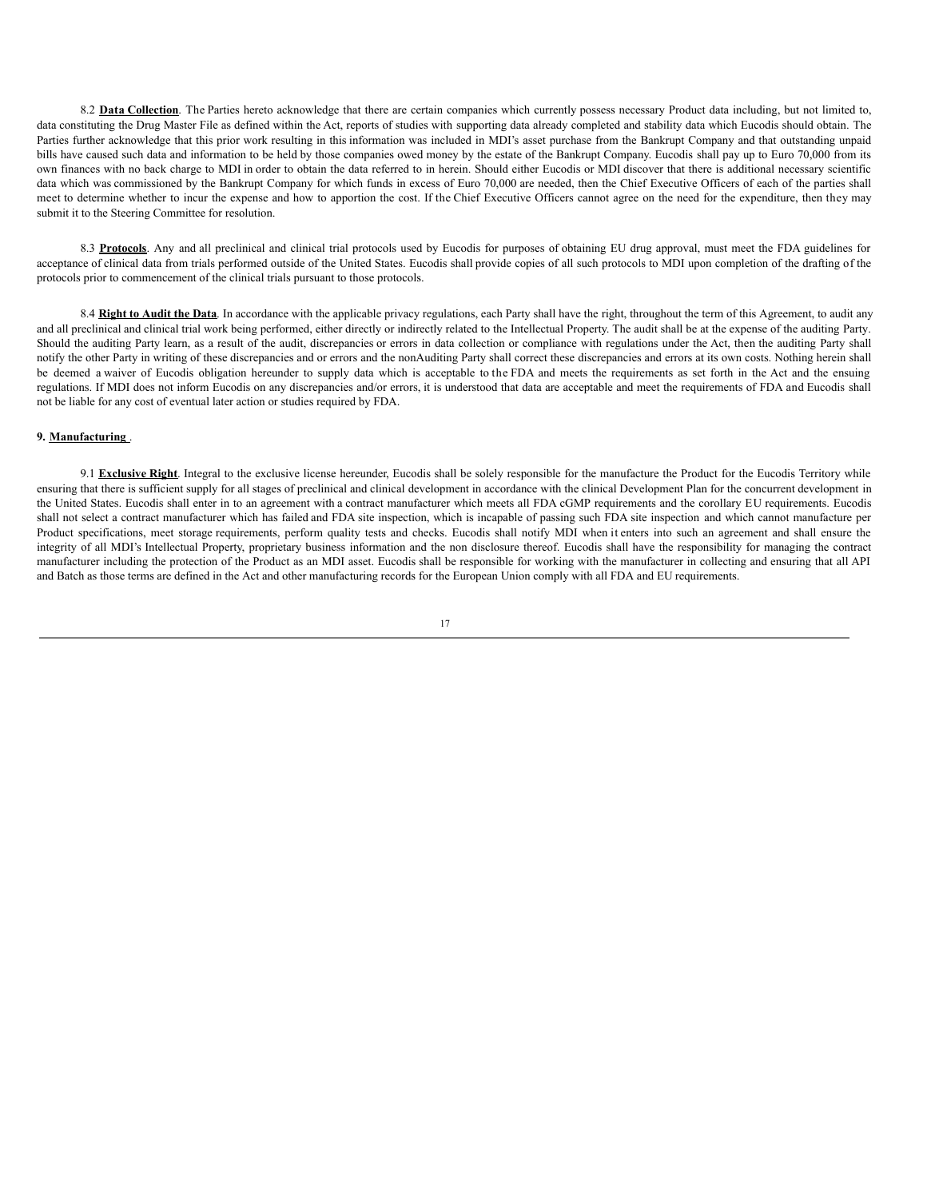8.2 Data Collection. The Parties hereto acknowledge that there are certain companies which currently possess necessary Product data including, but not limited to, data constituting the Drug Master File as defined within the Act, reports of studies with supporting data already completed and stability data which Eucodis should obtain. The Parties further acknowledge that this prior work resulting in this information was included in MDI's asset purchase from the Bankrupt Company and that outstanding unpaid bills have caused such data and information to be held by those companies owed money by the estate of the Bankrupt Company. Eucodis shall pay up to Euro 70,000 from its own finances with no back charge to MDI in order to obtain the data referred to in herein. Should either Eucodis or MDI discover that there is additional necessary scientific data which was commissioned by the Bankrupt Company for which funds in excess of Euro 70,000 are needed, then the Chief Executive Officers of each of the parties shall meet to determine whether to incur the expense and how to apportion the cost. If the Chief Executive Officers cannot agree on the need for the expenditure, then they may submit it to the Steering Committee for resolution.

8.3 **Protocols**. Any and all preclinical and clinical trial protocols used by Eucodis for purposes of obtaining EU drug approval, must meet the FDA guidelines for acceptance of clinical data from trials performed outside of the United States. Eucodis shall provide copies of all such protocols to MDI upon completion of the drafting of the protocols prior to commencement of the clinical trials pursuant to those protocols.

8.4 Right to Audit the Data. In accordance with the applicable privacy regulations, each Party shall have the right, throughout the term of this Agreement, to audit any and all preclinical and clinical trial work being performed, either directly or indirectly related to the Intellectual Property. The audit shall be at the expense of the auditing Party. Should the auditing Party learn, as a result of the audit, discrepancies or errors in data collection or compliance with regulations under the Act, then the auditing Party shall notify the other Party in writing of these discrepancies and or errors and the nonAuditing Party shall correct these discrepancies and errors at its own costs. Nothing herein shall be deemed a waiver of Eucodis obligation hereunder to supply data which is acceptable to the FDA and meets the requirements as set forth in the Act and the ensuing regulations. If MDI does not inform Eucodis on any discrepancies and/or errors, it is understood that data are acceptable and meet the requirements of FDA and Eucodis shall not be liable for any cost of eventual later action or studies required by FDA.

## **9. Manufacturing** .

9.1 **Exclusive Right**. Integral to the exclusive license hereunder, Eucodis shall be solely responsible for the manufacture the Product for the Eucodis Territory while ensuring that there is sufficient supply for all stages of preclinical and clinical development in accordance with the clinical Development Plan for the concurrent development in the United States. Eucodis shall enter in to an agreement with a contract manufacturer which meets all FDA cGMP requirements and the corollary EU requirements. Eucodis shall not select a contract manufacturer which has failed and FDA site inspection, which is incapable of passing such FDA site inspection and which cannot manufacture per Product specifications, meet storage requirements, perform quality tests and checks. Eucodis shall notify MDI when it enters into such an agreement and shall ensure the integrity of all MDI's Intellectual Property, proprietary business information and the non disclosure thereof. Eucodis shall have the responsibility for managing the contract manufacturer including the protection of the Product as an MDI asset. Eucodis shall be responsible for working with the manufacturer in collecting and ensuring that all API and Batch as those terms are defined in the Act and other manufacturing records for the European Union comply with all FDA and EU requirements.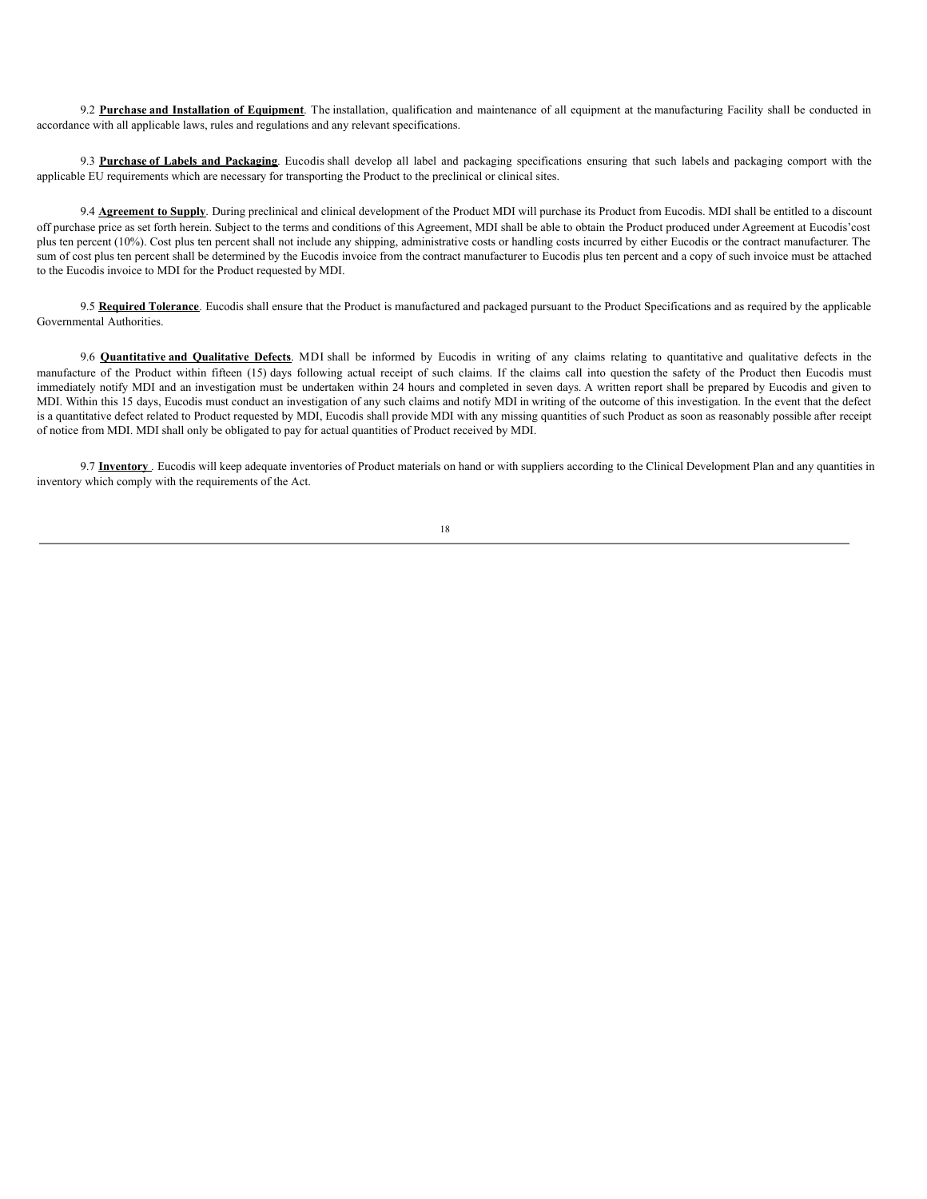9.2 **Purchase and Installation of Equipment**. The installation, qualification and maintenance of all equipment at the manufacturing Facility shall be conducted in accordance with all applicable laws, rules and regulations and any relevant specifications.

9.3 **Purchase of Labels and Packaging**. Eucodis shall develop all label and packaging specifications ensuring that such labels and packaging comport with the applicable EU requirements which are necessary for transporting the Product to the preclinical or clinical sites.

9.4 **Agreement to Supply**. During preclinical and clinical development of the Product MDI will purchase its Product from Eucodis. MDI shall be entitled to a discount off purchase price as set forth herein. Subject to the terms and conditions of this Agreement, MDI shall be able to obtain the Product produced under Agreement at Eucodis'cost plus ten percent (10%). Cost plus ten percent shall not include any shipping, administrative costs or handling costs incurred by either Eucodis or the contract manufacturer. The sum of cost plus ten percent shall be determined by the Eucodis invoice from the contract manufacturer to Eucodis plus ten percent and a copy of such invoice must be attached to the Eucodis invoice to MDI for the Product requested by MDI.

9.5 **Required Tolerance**. Eucodis shall ensure that the Product is manufactured and packaged pursuant to the Product Specifications and as required by the applicable Governmental Authorities.

9.6 **Quantitative and Qualitative Defects**. MDI shall be informed by Eucodis in writing of any claims relating to quantitative and qualitative defects in the manufacture of the Product within fifteen (15) days following actual receipt of such claims. If the claims call into question the safety of the Product then Eucodis must immediately notify MDI and an investigation must be undertaken within 24 hours and completed in seven days. A written report shall be prepared by Eucodis and given to MDI. Within this 15 days, Eucodis must conduct an investigation of any such claims and notify MDI in writing of the outcome of this investigation. In the event that the defect is a quantitative defect related to Product requested by MDI, Eucodis shall provide MDI with any missing quantities of such Product as soon as reasonably possible after receipt of notice from MDI. MDI shall only be obligated to pay for actual quantities of Product received by MDI.

9.7 **Inventory**. Eucodis will keep adequate inventories of Product materials on hand or with suppliers according to the Clinical Development Plan and any quantities in inventory which comply with the requirements of the Act.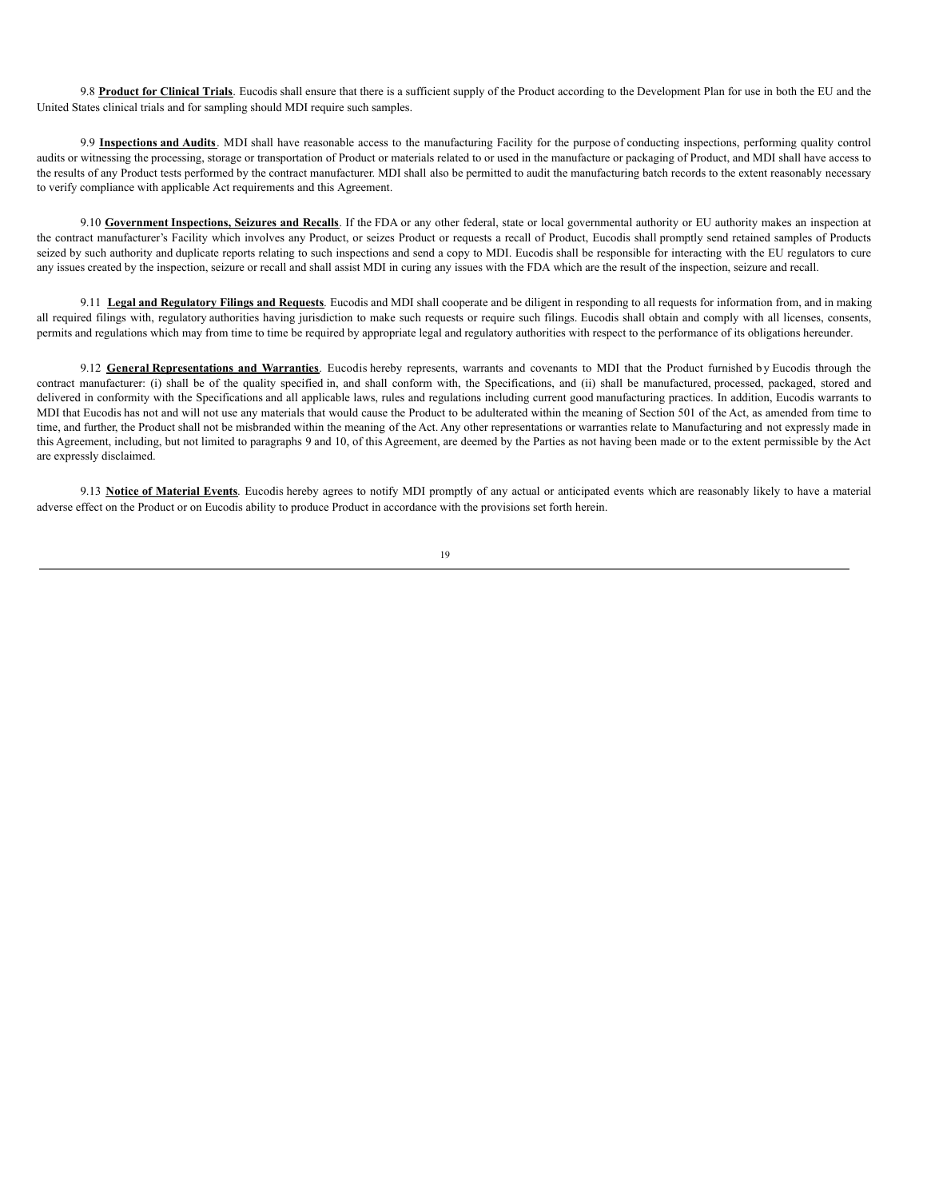9.8 **Product for Clinical Trials**. Eucodis shall ensure that there is a sufficient supply of the Product according to the Development Plan for use in both the EU and the United States clinical trials and for sampling should MDI require such samples.

9.9 **Inspections and Audits**. MDI shall have reasonable access to the manufacturing Facility for the purpose of conducting inspections, performing quality control audits or witnessing the processing, storage or transportation of Product or materials related to or used in the manufacture or packaging of Product, and MDI shall have access to the results of any Product tests performed by the contract manufacturer. MDI shall also be permitted to audit the manufacturing batch records to the extent reasonably necessary to verify compliance with applicable Act requirements and this Agreement.

9.10 **Government Inspections, Seizures and Recalls**. If the FDA or any other federal, state or local governmental authority or EU authority makes an inspection at the contract manufacturer's Facility which involves any Product, or seizes Product or requests a recall of Product, Eucodis shall promptly send retained samples of Products seized by such authority and duplicate reports relating to such inspections and send a copy to MDI. Eucodis shall be responsible for interacting with the EU regulators to cure any issues created by the inspection, seizure or recall and shall assist MDI in curing any issues with the FDA which are the result of the inspection, seizure and recall.

9.11 **Legal and Regulatory Filings and Requests**. Eucodis and MDI shall cooperate and be diligent in responding to all requests for information from, and in making all required filings with, regulatory authorities having jurisdiction to make such requests or require such filings. Eucodis shall obtain and comply with all licenses, consents, permits and regulations which may from time to time be required by appropriate legal and regulatory authorities with respect to the performance of its obligations hereunder.

9.12 General Representations and Warranties. Eucodis hereby represents, warrants and covenants to MDI that the Product furnished by Eucodis through the contract manufacturer: (i) shall be of the quality specified in, and shall conform with, the Specifications, and (ii) shall be manufactured, processed, packaged, stored and delivered in conformity with the Specifications and all applicable laws, rules and regulations including current good manufacturing practices. In addition, Eucodis warrants to MDI that Eucodis has not and will not use any materials that would cause the Product to be adulterated within the meaning of Section 501 of the Act, as amended from time to time, and further, the Product shall not be misbranded within the meaning of the Act. Any other representations or warranties relate to Manufacturing and not expressly made in this Agreement, including, but not limited to paragraphs 9 and 10, of this Agreement, are deemed by the Parties as not having been made or to the extent permissible by the Act are expressly disclaimed.

9.13 **Notice of Material Events**. Eucodis hereby agrees to notify MDI promptly of any actual or anticipated events which are reasonably likely to have a material adverse effect on the Product or on Eucodis ability to produce Product in accordance with the provisions set forth herein.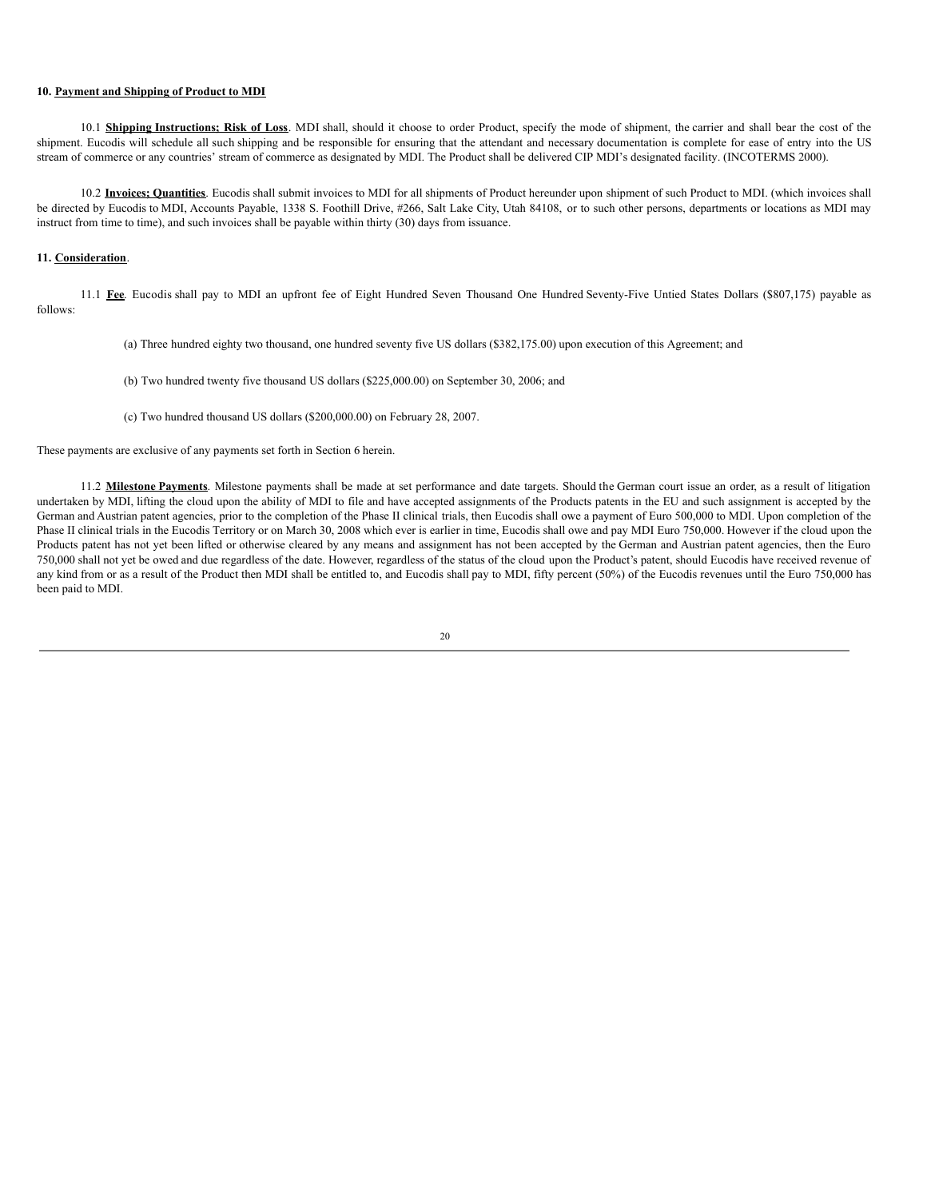## **10. Payment and Shipping of Product to MDI**

10.1 **Shipping Instructions; Risk of Loss**. MDI shall, should it choose to order Product, specify the mode of shipment, the carrier and shall bear the cost of the shipment. Eucodis will schedule all such shipping and be responsible for ensuring that the attendant and necessary documentation is complete for ease of entry into the US stream of commerce or any countries' stream of commerce as designated by MDI. The Product shall be delivered CIP MDI's designated facility. (INCOTERMS 2000).

10.2 **Invoices; Quantities**. Eucodis shall submit invoices to MDI for all shipments of Product hereunder upon shipment of such Product to MDI. (which invoices shall be directed by Eucodis to MDI, Accounts Payable, 1338 S. Foothill Drive, #266, Salt Lake City, Utah 84108, or to such other persons, departments or locations as MDI may instruct from time to time), and such invoices shall be payable within thirty (30) days from issuance.

## **11. Consideration**.

11.1 **Fee**. Eucodis shall pay to MDI an upfront fee of Eight Hundred Seven Thousand One Hundred Seventy-Five Untied States Dollars (\$807,175) payable as follows:

- (a) Three hundred eighty two thousand, one hundred seventy five US dollars (\$382,175.00) upon execution of this Agreement; and
- (b) Two hundred twenty five thousand US dollars (\$225,000.00) on September 30, 2006; and
- (c) Two hundred thousand US dollars (\$200,000.00) on February 28, 2007.

These payments are exclusive of any payments set forth in Section 6 herein.

11.2 **Milestone Payments**. Milestone payments shall be made at set performance and date targets. Should the German court issue an order, as a result of litigation undertaken by MDI, lifting the cloud upon the ability of MDI to file and have accepted assignments of the Products patents in the EU and such assignment is accepted by the German and Austrian patent agencies, prior to the completion of the Phase II clinical trials, then Eucodis shall owe a payment of Euro 500,000 to MDI. Upon completion of the Phase II clinical trials in the Eucodis Territory or on March 30, 2008 which ever is earlier in time, Eucodis shall owe and pay MDI Euro 750,000. However if the cloud upon the Products patent has not yet been lifted or otherwise cleared by any means and assignment has not been accepted by the German and Austrian patent agencies, then the Euro 750,000 shall not yet be owed and due regardless of the date. However, regardless of the status of the cloud upon the Product's patent, should Eucodis have received revenue of any kind from or as a result of the Product then MDI shall be entitled to, and Eucodis shall pay to MDI, fifty percent (50%) of the Eucodis revenues until the Euro 750,000 has been paid to MDI.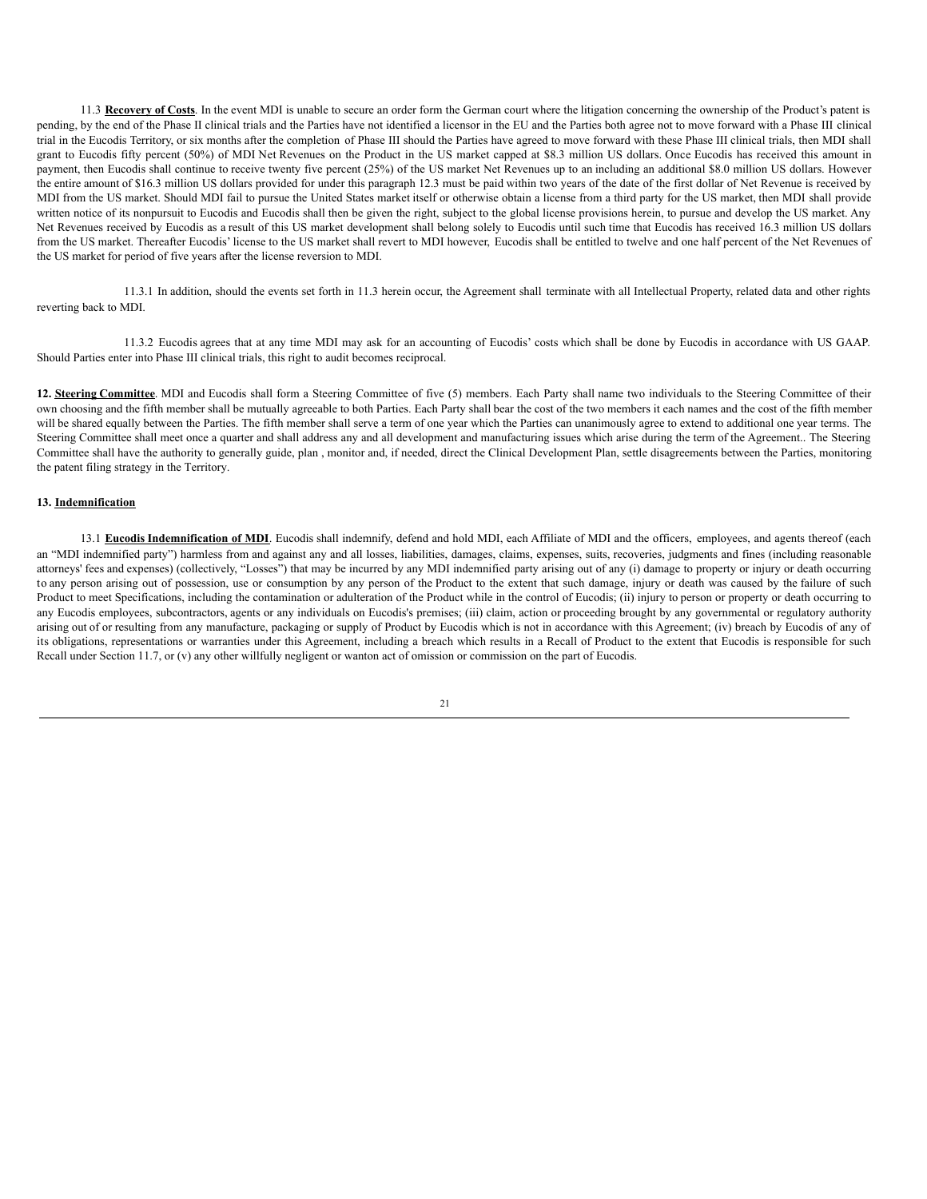11.3 **Recovery of Costs**. In the event MDI is unable to secure an order form the German court where the litigation concerning the ownership of the Product's patent is pending, by the end of the Phase II clinical trials and the Parties have not identified a licensor in the EU and the Parties both agree not to move forward with a Phase III clinical trial in the Eucodis Territory, or six months after the completion of Phase III should the Parties have agreed to move forward with these Phase III clinical trials, then MDI shall grant to Eucodis fifty percent (50%) of MDI Net Revenues on the Product in the US market capped at \$8.3 million US dollars. Once Eucodis has received this amount in payment, then Eucodis shall continue to receive twenty five percent (25%) of the US market Net Revenues up to an including an additional \$8.0 million US dollars. However the entire amount of \$16.3 million US dollars provided for under this paragraph 12.3 must be paid within two years of the date of the first dollar of Net Revenue is received by MDI from the US market. Should MDI fail to pursue the United States market itself or otherwise obtain a license from a third party for the US market, then MDI shall provide written notice of its nonpursuit to Eucodis and Eucodis shall then be given the right, subject to the global license provisions herein, to pursue and develop the US market. Any Net Revenues received by Eucodis as a result of this US market development shall belong solely to Eucodis until such time that Eucodis has received 16.3 million US dollars from the US market. Thereafter Eucodis' license to the US market shall revert to MDI however, Eucodis shall be entitled to twelve and one half percent of the Net Revenues of the US market for period of five years after the license reversion to MDI.

11.3.1 In addition, should the events set forth in 11.3 herein occur, the Agreement shall terminate with all Intellectual Property, related data and other rights reverting back to MDI.

11.3.2 Eucodis agrees that at any time MDI may ask for an accounting of Eucodis' costs which shall be done by Eucodis in accordance with US GAAP. Should Parties enter into Phase III clinical trials, this right to audit becomes reciprocal.

**12. Steering Committee**. MDI and Eucodis shall form a Steering Committee of five (5) members. Each Party shall name two individuals to the Steering Committee of their own choosing and the fifth member shall be mutually agreeable to both Parties. Each Party shall bear the cost of the two members it each names and the cost of the fifth member will be shared equally between the Parties. The fifth member shall serve a term of one year which the Parties can unanimously agree to extend to additional one year terms. The Steering Committee shall meet once a quarter and shall address any and all development and manufacturing issues which arise during the term of the Agreement.. The Steering Committee shall have the authority to generally guide, plan , monitor and, if needed, direct the Clinical Development Plan, settle disagreements between the Parties, monitoring the patent filing strategy in the Territory.

### **13. Indemnification**

13.1 **Eucodis Indemnification of MDI**. Eucodis shall indemnify, defend and hold MDI, each Affiliate of MDI and the officers, employees, and agents thereof (each an "MDI indemnified party") harmless from and against any and all losses, liabilities, damages, claims, expenses, suits, recoveries, judgments and fines (including reasonable attorneys' fees and expenses) (collectively, "Losses") that may be incurred by any MDI indemnified party arising out of any (i) damage to property or injury or death occurring to any person arising out of possession, use or consumption by any person of the Product to the extent that such damage, injury or death was caused by the failure of such Product to meet Specifications, including the contamination or adulteration of the Product while in the control of Eucodis; (ii) injury to person or property or death occurring to any Eucodis employees, subcontractors, agents or any individuals on Eucodis's premises; (iii) claim, action or proceeding brought by any governmental or regulatory authority arising out of or resulting from any manufacture, packaging or supply of Product by Eucodis which is not in accordance with this Agreement; (iv) breach by Eucodis of any of its obligations, representations or warranties under this Agreement, including a breach which results in a Recall of Product to the extent that Eucodis is responsible for such Recall under Section 11.7, or (v) any other willfully negligent or wanton act of omission or commission on the part of Eucodis.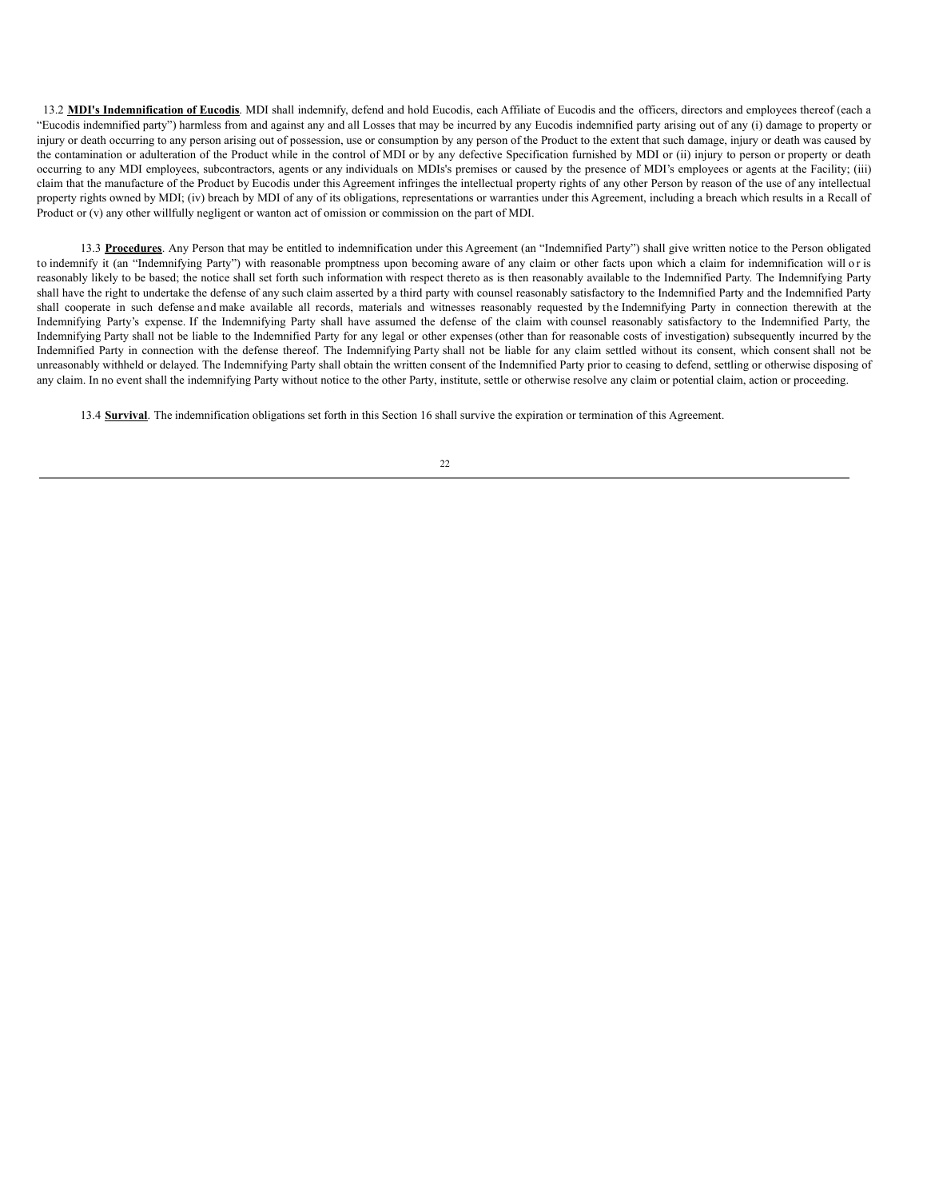13.2 **MDI's Indemnification of Eucodis**. MDI shall indemnify, defend and hold Eucodis, each Affiliate of Eucodis and the officers, directors and employees thereof (each a "Eucodis indemnified party") harmless from and against any and all Losses that may be incurred by any Eucodis indemnified party arising out of any (i) damage to property or injury or death occurring to any person arising out of possession, use or consumption by any person of the Product to the extent that such damage, injury or death was caused by the contamination or adulteration of the Product while in the control of MDI or by any defective Specification furnished by MDI or (ii) injury to person or property or death occurring to any MDI employees, subcontractors, agents or any individuals on MDIs's premises or caused by the presence of MDI's employees or agents at the Facility; (iii) claim that the manufacture of the Product by Eucodis under this Agreement infringes the intellectual property rights of any other Person by reason of the use of any intellectual property rights owned by MDI; (iv) breach by MDI of any of its obligations, representations or warranties under this Agreement, including a breach which results in a Recall of Product or (v) any other willfully negligent or wanton act of omission or commission on the part of MDI.

13.3 **Procedures**. Any Person that may be entitled to indemnification under this Agreement (an "Indemnified Party") shall give written notice to the Person obligated to indemnify it (an "Indemnifying Party") with reasonable promptness upon becoming aware of any claim or other facts upon which a claim for indemnification will o r is reasonably likely to be based; the notice shall set forth such information with respect thereto as is then reasonably available to the Indemnified Party. The Indemnifying Party shall have the right to undertake the defense of any such claim asserted by a third party with counsel reasonably satisfactory to the Indemnified Party and the Indemnified Party shall cooperate in such defense and make available all records, materials and witnesses reasonably requested by the Indemnifying Party in connection therewith at the Indemnifying Party's expense. If the Indemnifying Party shall have assumed the defense of the claim with counsel reasonably satisfactory to the Indemnified Party, the Indemnifying Party shall not be liable to the Indemnified Party for any legal or other expenses (other than for reasonable costs of investigation) subsequently incurred by the Indemnified Party in connection with the defense thereof. The Indemnifying Party shall not be liable for any claim settled without its consent, which consent shall not be unreasonably withheld or delayed. The Indemnifying Party shall obtain the written consent of the Indemnified Party prior to ceasing to defend, settling or otherwise disposing of any claim. In no event shall the indemnifying Party without notice to the other Party, institute, settle or otherwise resolve any claim or potential claim, action or proceeding.

13.4 **Survival**. The indemnification obligations set forth in this Section 16 shall survive the expiration or termination of this Agreement.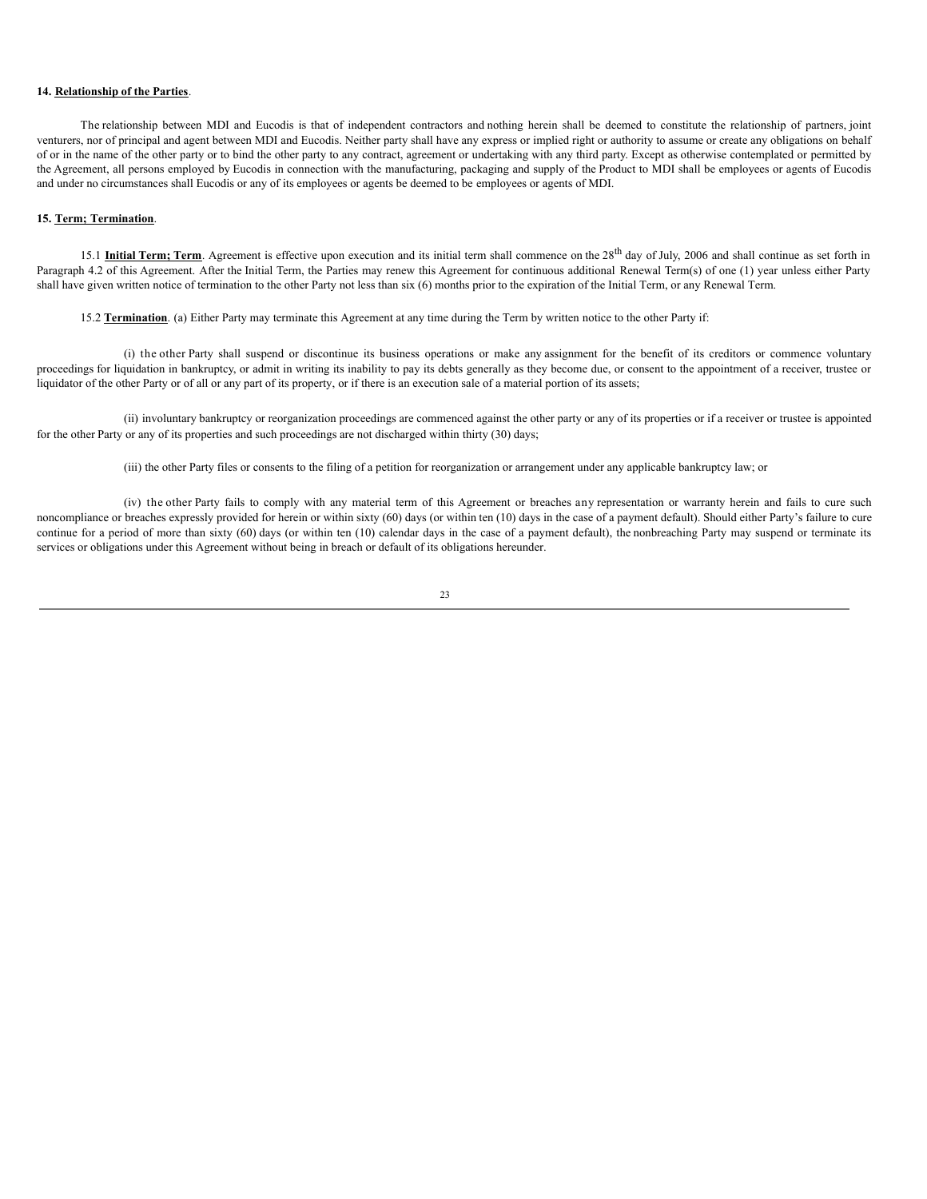## **14. Relationship of the Parties**.

The relationship between MDI and Eucodis is that of independent contractors and nothing herein shall be deemed to constitute the relationship of partners, joint venturers, nor of principal and agent between MDI and Eucodis. Neither party shall have any express or implied right or authority to assume or create any obligations on behalf of or in the name of the other party or to bind the other party to any contract, agreement or undertaking with any third party. Except as otherwise contemplated or permitted by the Agreement, all persons employed by Eucodis in connection with the manufacturing, packaging and supply of the Product to MDI shall be employees or agents of Eucodis and under no circumstances shall Eucodis or any of its employees or agents be deemed to be employees or agents of MDI.

## **15. Term; Termination**.

15.1 **Initial Term; Term**. Agreement is effective upon execution and its initial term shall commence on the 28<sup>th</sup> day of July, 2006 and shall continue as set forth in Paragraph 4.2 of this Agreement. After the Initial Term, the Parties may renew this Agreement for continuous additional Renewal Term(s) of one (1) year unless either Party shall have given written notice of termination to the other Party not less than six (6) months prior to the expiration of the Initial Term, or any Renewal Term.

15.2 **Termination**. (a) Either Party may terminate this Agreement at any time during the Term by written notice to the other Party if:

(i) the other Party shall suspend or discontinue its business operations or make any assignment for the benefit of its creditors or commence voluntary proceedings for liquidation in bankruptcy, or admit in writing its inability to pay its debts generally as they become due, or consent to the appointment of a receiver, trustee or liquidator of the other Party or of all or any part of its property, or if there is an execution sale of a material portion of its assets;

(ii) involuntary bankruptcy or reorganization proceedings are commenced against the other party or any of its properties or if a receiver or trustee is appointed for the other Party or any of its properties and such proceedings are not discharged within thirty (30) days;

(iii) the other Party files or consents to the filing of a petition for reorganization or arrangement under any applicable bankruptcy law; or

(iv) the other Party fails to comply with any material term of this Agreement or breaches any representation or warranty herein and fails to cure such noncompliance or breaches expressly provided for herein or within sixty (60) days (or within ten (10) days in the case of a payment default). Should either Party's failure to cure continue for a period of more than sixty (60) days (or within ten (10) calendar days in the case of a payment default), the nonbreaching Party may suspend or terminate its services or obligations under this Agreement without being in breach or default of its obligations hereunder.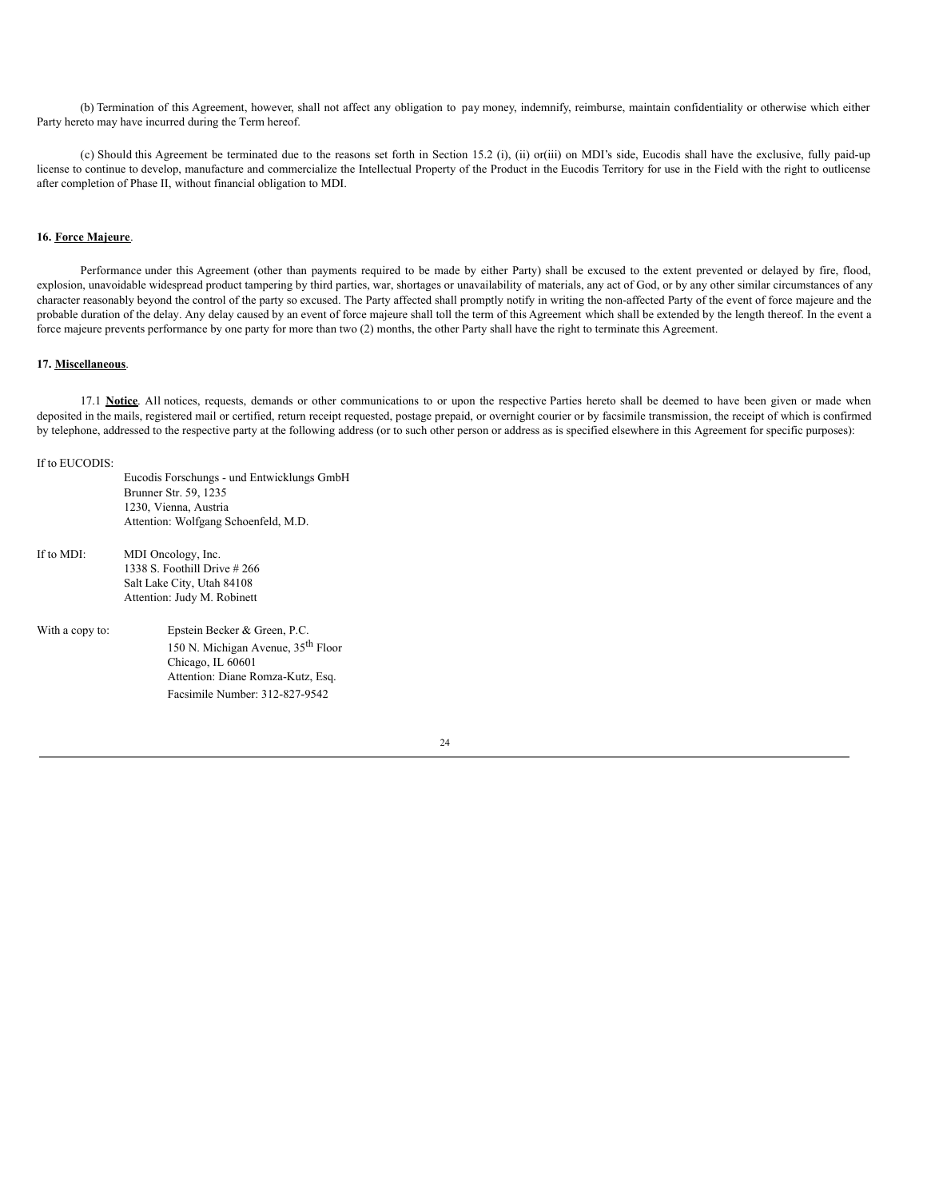(b) Termination of this Agreement, however, shall not affect any obligation to pay money, indemnify, reimburse, maintain confidentiality or otherwise which either Party hereto may have incurred during the Term hereof.

(c) Should this Agreement be terminated due to the reasons set forth in Section 15.2 (i), (ii) or(iii) on MDI's side, Eucodis shall have the exclusive, fully paid-up license to continue to develop, manufacture and commercialize the Intellectual Property of the Product in the Eucodis Territory for use in the Field with the right to outlicense after completion of Phase II, without financial obligation to MDI.

## **16. Force Majeure**.

Performance under this Agreement (other than payments required to be made by either Party) shall be excused to the extent prevented or delayed by fire, flood, explosion, unavoidable widespread product tampering by third parties, war, shortages or unavailability of materials, any act of God, or by any other similar circumstances of any character reasonably beyond the control of the party so excused. The Party affected shall promptly notify in writing the non-affected Party of the event of force majeure and the probable duration of the delay. Any delay caused by an event of force majeure shall toll the term of this Agreement which shall be extended by the length thereof. In the event a force majeure prevents performance by one party for more than two (2) months, the other Party shall have the right to terminate this Agreement.

## **17. Miscellaneous**.

17.1 Notice. All notices, requests, demands or other communications to or upon the respective Parties hereto shall be deemed to have been given or made when deposited in the mails, registered mail or certified, return receipt requested, postage prepaid, or overnight courier or by facsimile transmission, the receipt of which is confirmed by telephone, addressed to the respective party at the following address (or to such other person or address as is specified elsewhere in this Agreement for specific purposes):

#### If to EUCODIS:

|                 | Eucodis Forschungs - und Entwicklungs GmbH<br>Brunner Str. 59, 1235 |
|-----------------|---------------------------------------------------------------------|
|                 | 1230, Vienna, Austria                                               |
|                 | Attention: Wolfgang Schoenfeld, M.D.                                |
| If to MDI:      | MDI Oncology, Inc.                                                  |
|                 | 1338 S. Foothill Drive $\#266$                                      |
|                 | Salt Lake City, Utah 84108                                          |
|                 | Attention: Judy M. Robinett                                         |
| With a copy to: | Epstein Becker & Green, P.C.                                        |
|                 | 150 N. Michigan Avenue, 35 <sup>th</sup> Floor                      |
|                 | Chicago, IL 60601                                                   |
|                 | Attention: Diane Romza-Kutz, Esq.                                   |

Facsimile Number: 312-827-9542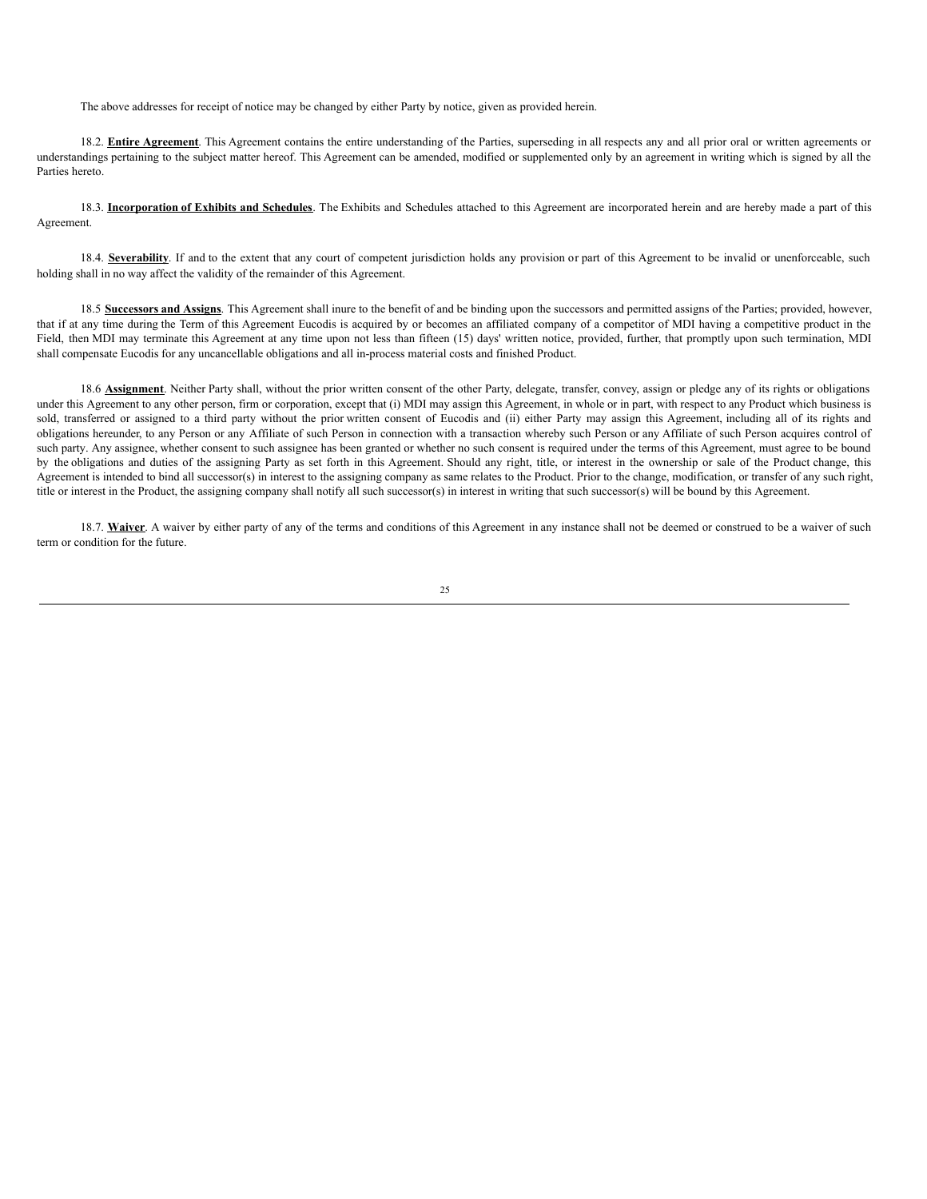The above addresses for receipt of notice may be changed by either Party by notice, given as provided herein.

18.2. **Entire Agreement**. This Agreement contains the entire understanding of the Parties, superseding in all respects any and all prior oral or written agreements or understandings pertaining to the subject matter hereof. This Agreement can be amended, modified or supplemented only by an agreement in writing which is signed by all the Parties hereto.

18.3. **Incorporation of Exhibits and Schedules**. The Exhibits and Schedules attached to this Agreement are incorporated herein and are hereby made a part of this Agreement.

18.4. **Severability**. If and to the extent that any court of competent jurisdiction holds any provision or part of this Agreement to be invalid or unenforceable, such holding shall in no way affect the validity of the remainder of this Agreement.

18.5 **Successors and Assigns**. This Agreement shall inure to the benefit of and be binding upon the successors and permitted assigns of the Parties; provided, however, that if at any time during the Term of this Agreement Eucodis is acquired by or becomes an affiliated company of a competitor of MDI having a competitive product in the Field, then MDI may terminate this Agreement at any time upon not less than fifteen (15) days' written notice, provided, further, that promptly upon such termination, MDI shall compensate Eucodis for any uncancellable obligations and all in-process material costs and finished Product.

18.6 **Assignment**. Neither Party shall, without the prior written consent of the other Party, delegate, transfer, convey, assign or pledge any of its rights or obligations under this Agreement to any other person, firm or corporation, except that (i) MDI may assign this Agreement, in whole or in part, with respect to any Product which business is sold, transferred or assigned to a third party without the prior written consent of Eucodis and (ii) either Party may assign this Agreement, including all of its rights and obligations hereunder, to any Person or any Affiliate of such Person in connection with a transaction whereby such Person or any Affiliate of such Person acquires control of such party. Any assignee, whether consent to such assignee has been granted or whether no such consent is required under the terms of this Agreement, must agree to be bound by the obligations and duties of the assigning Party as set forth in this Agreement. Should any right, title, or interest in the ownership or sale of the Product change, this Agreement is intended to bind all successor(s) in interest to the assigning company as same relates to the Product. Prior to the change, modification, or transfer of any such right, title or interest in the Product, the assigning company shall notify all such successor(s) in interest in writing that such successor(s) will be bound by this Agreement.

18.7. Waiver. A waiver by either party of any of the terms and conditions of this Agreement in any instance shall not be deemed or construed to be a waiver of such term or condition for the future.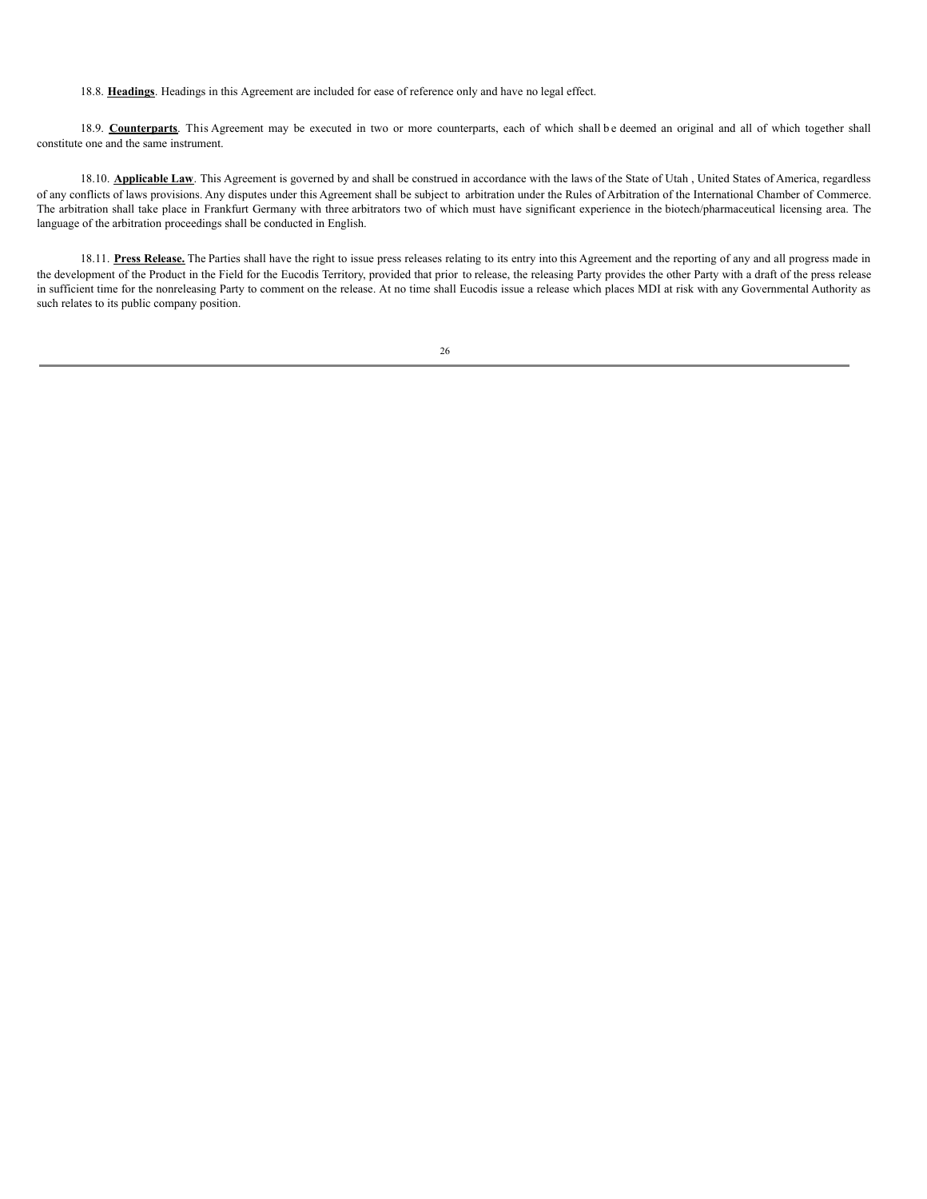18.8. **Headings**. Headings in this Agreement are included for ease of reference only and have no legal effect.

18.9. **Counterparts**. This Agreement may be executed in two or more counterparts, each of which shall be deemed an original and all of which together shall constitute one and the same instrument.

18.10. **Applicable Law**. This Agreement is governed by and shall be construed in accordance with the laws of the State of Utah , United States of America, regardless of any conflicts of laws provisions. Any disputes under this Agreement shall be subject to arbitration under the Rules of Arbitration of the International Chamber of Commerce. The arbitration shall take place in Frankfurt Germany with three arbitrators two of which must have significant experience in the biotech/pharmaceutical licensing area. The language of the arbitration proceedings shall be conducted in English.

18.11. **Press Release.** The Parties shall have the right to issue press releases relating to its entry into this Agreement and the reporting of any and all progress made in the development of the Product in the Field for the Eucodis Territory, provided that prior to release, the releasing Party provides the other Party with a draft of the press release in sufficient time for the nonreleasing Party to comment on the release. At no time shall Eucodis issue a release which places MDI at risk with any Governmental Authority as such relates to its public company position.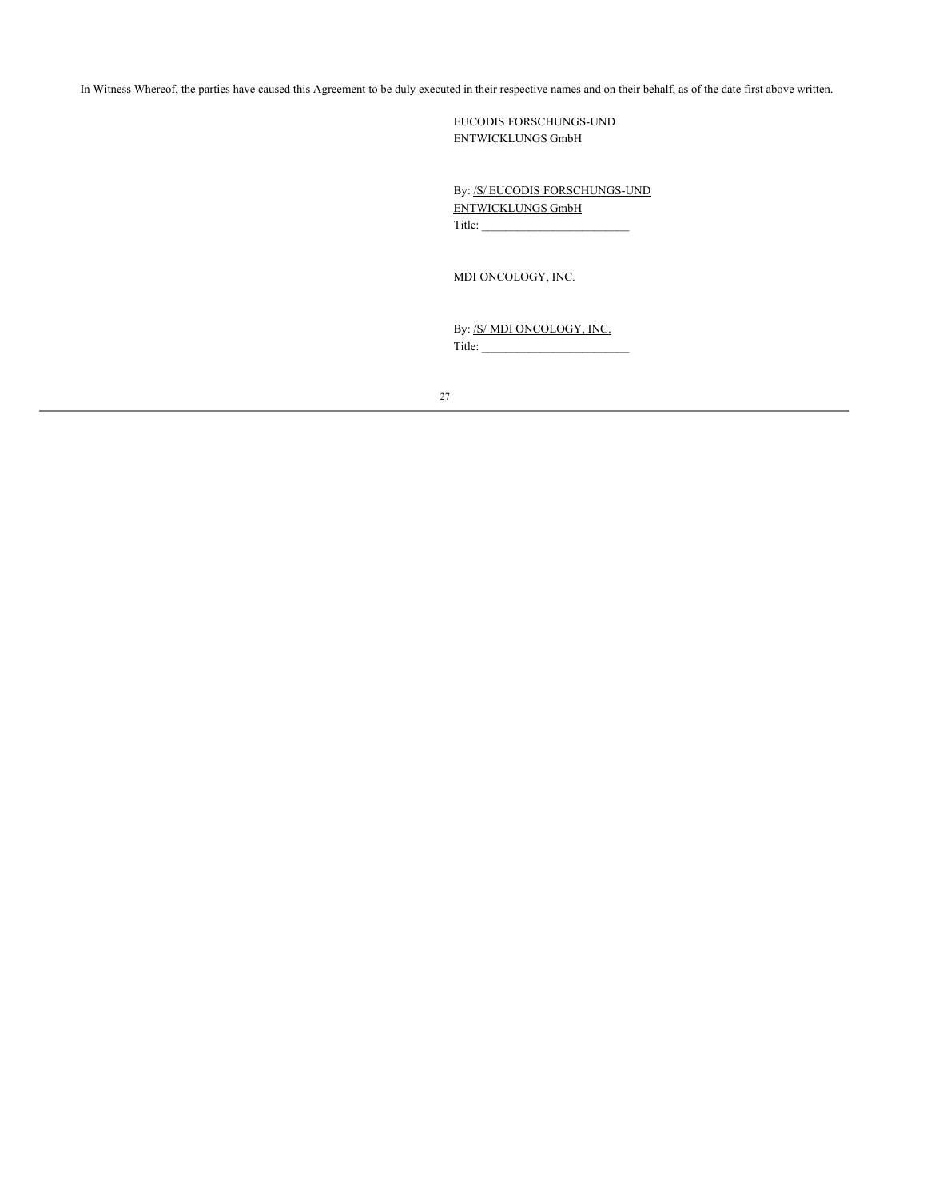In Witness Whereof, the parties have caused this Agreement to be duly executed in their respective names and on their behalf, as of the date first above written.

EUCODIS FORSCHUNGS-UND ENTWICKLUNGS GmbH

By: /S/ EUCODIS FORSCHUNGS-UND ENTWICKLUNGS GmbH Title: \_\_\_\_\_\_\_\_\_\_\_\_\_\_\_\_\_\_\_\_\_\_\_\_\_

MDI ONCOLOGY, INC.

By: /S/ MDI ONCOLOGY, INC.  $Title:$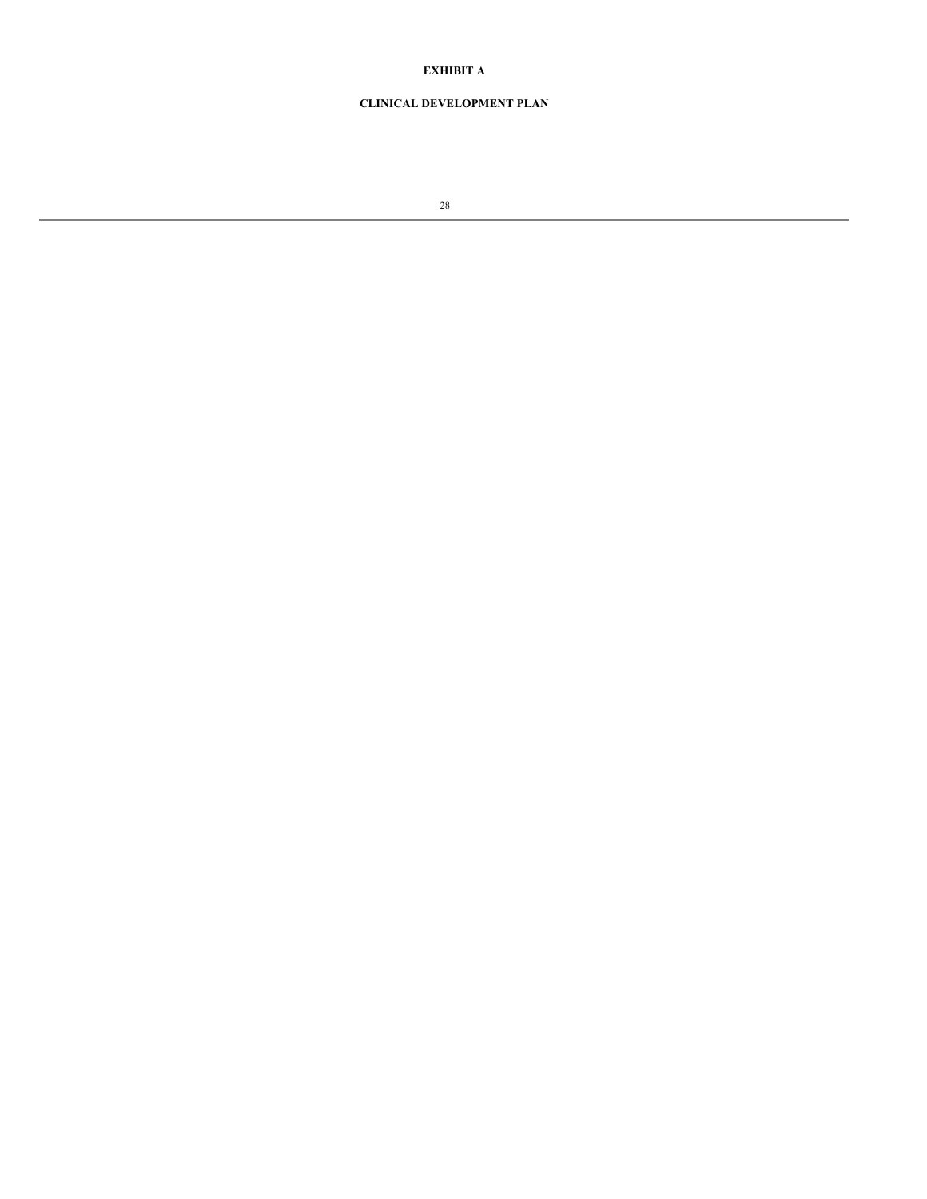# **EXHIBIT A**

# **CLINICAL DEVELOPMENT PLAN**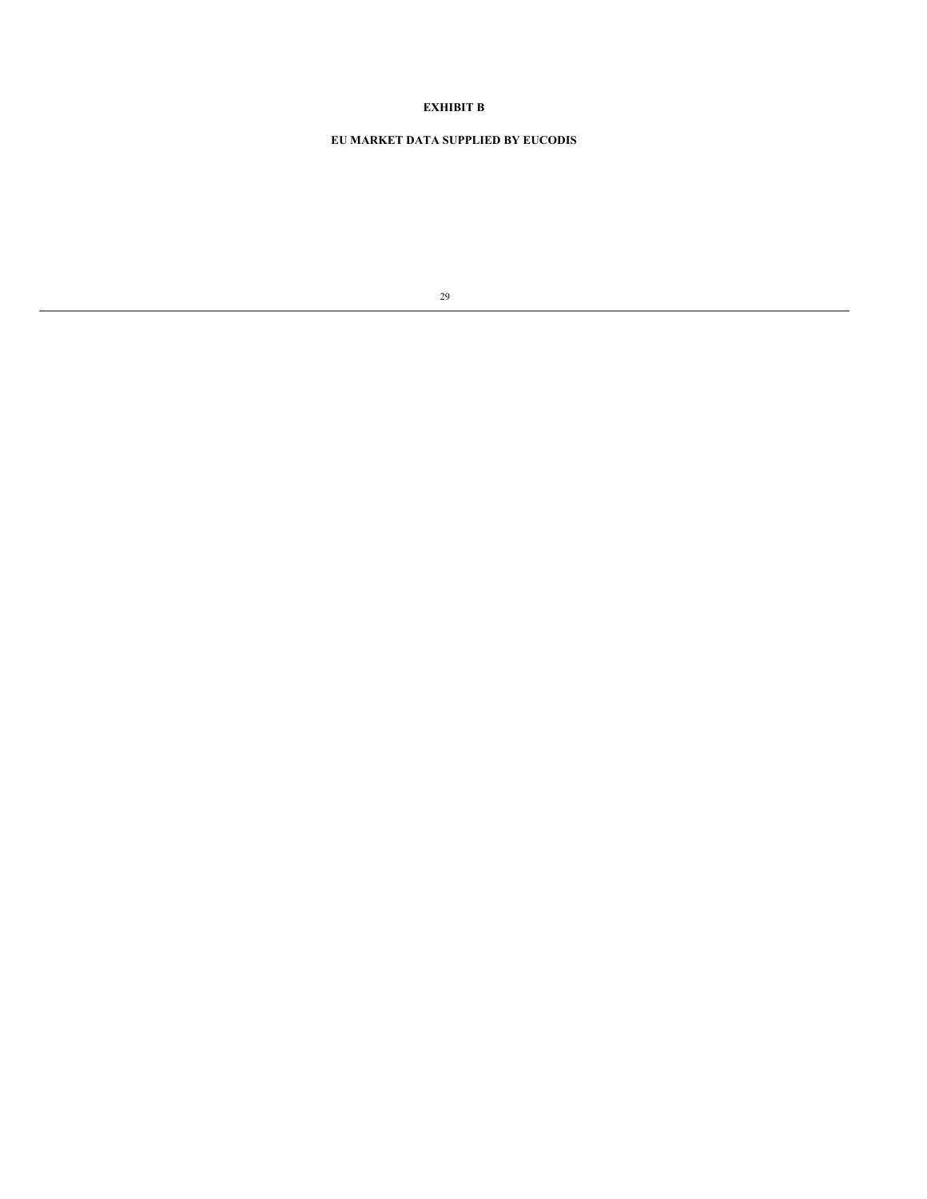# **EXHIBIT B**

# **EU MARKET DATA SUPPLIED BY EUCODIS**

| I       |
|---------|
|         |
| I<br>۰. |
|         |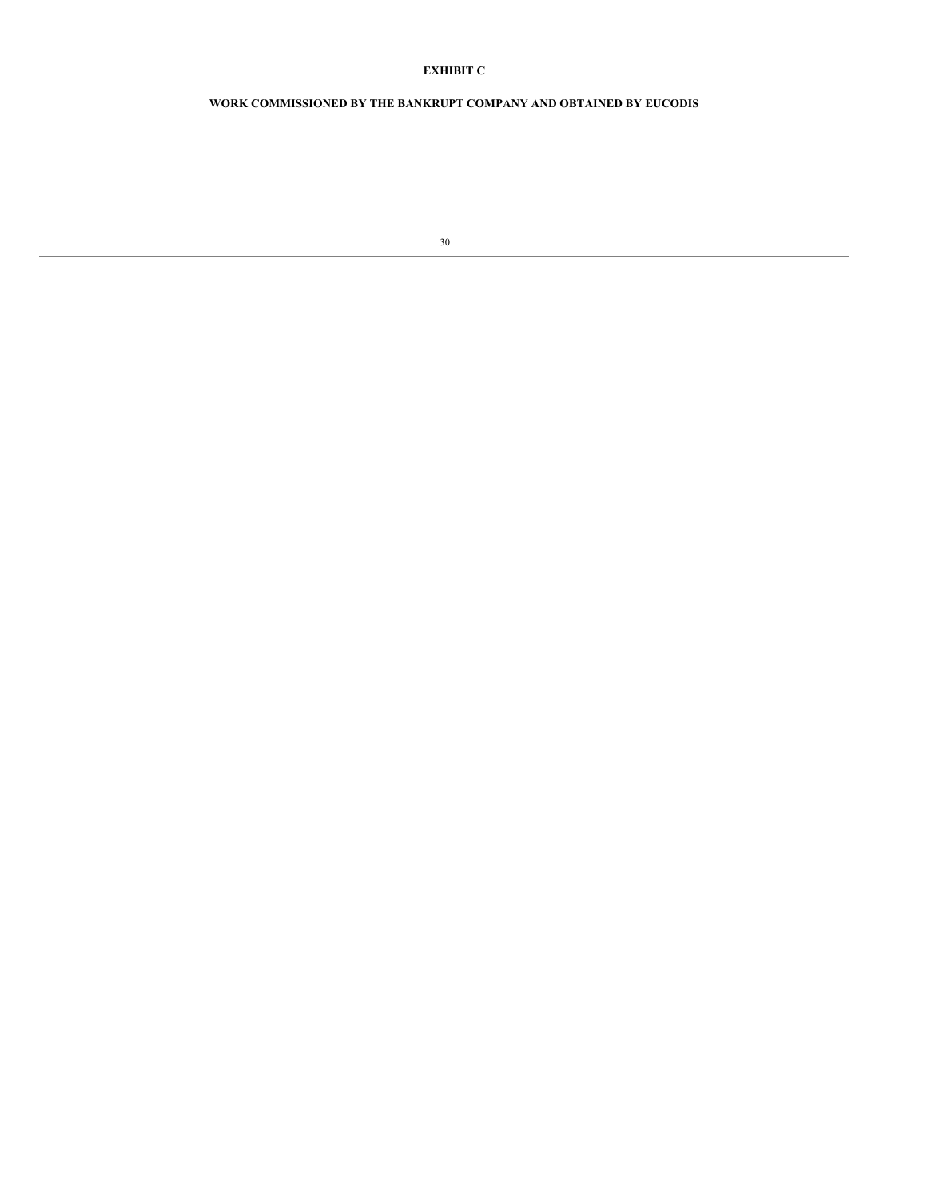# **EXHIBIT C**

# **WORK COMMISSIONED BY THE BANKRUPT COMPANY AND OBTAINED BY EUCODIS**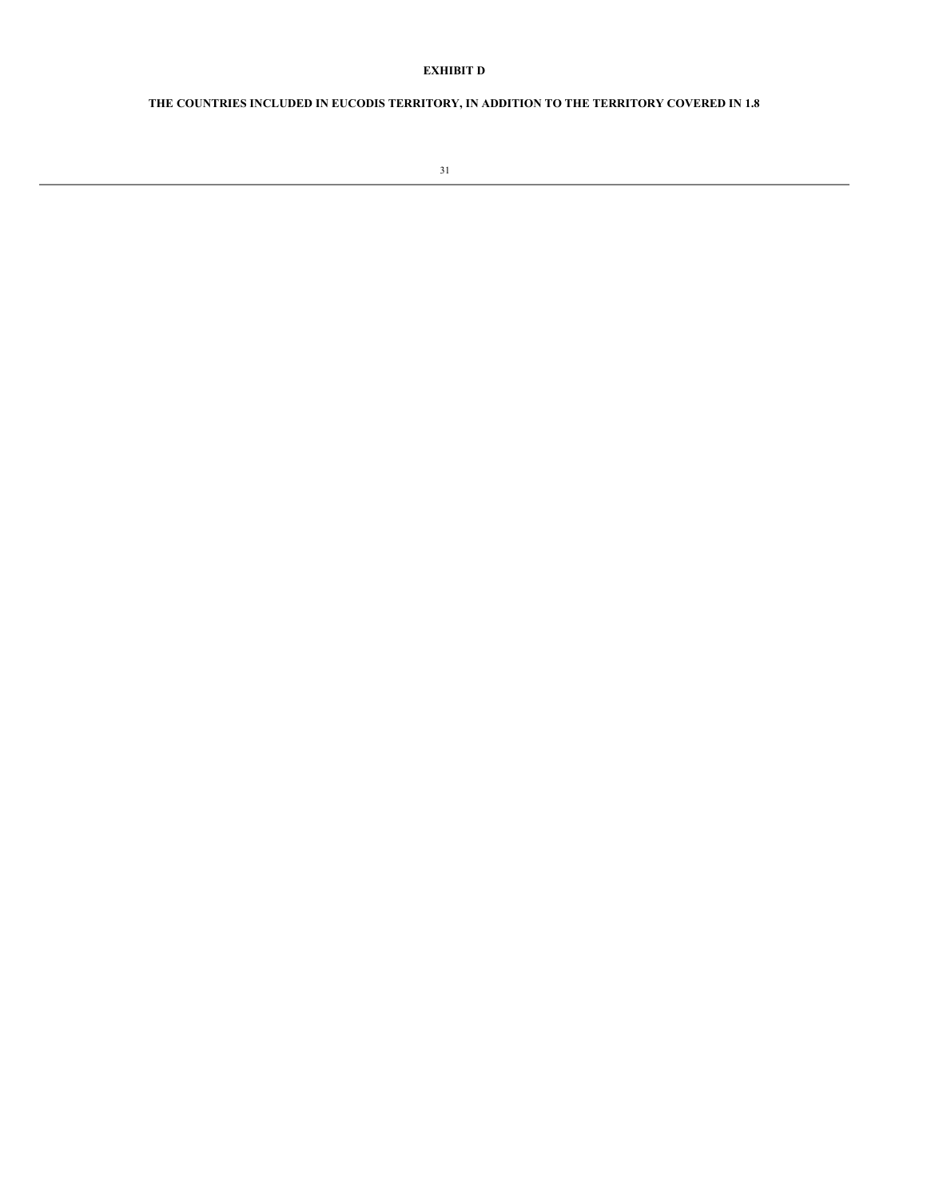# **EXHIBIT D**

# **THE COUNTRIES INCLUDED IN EUCODIS TERRITORY, IN ADDITION TO THE TERRITORY COVERED IN 1.8**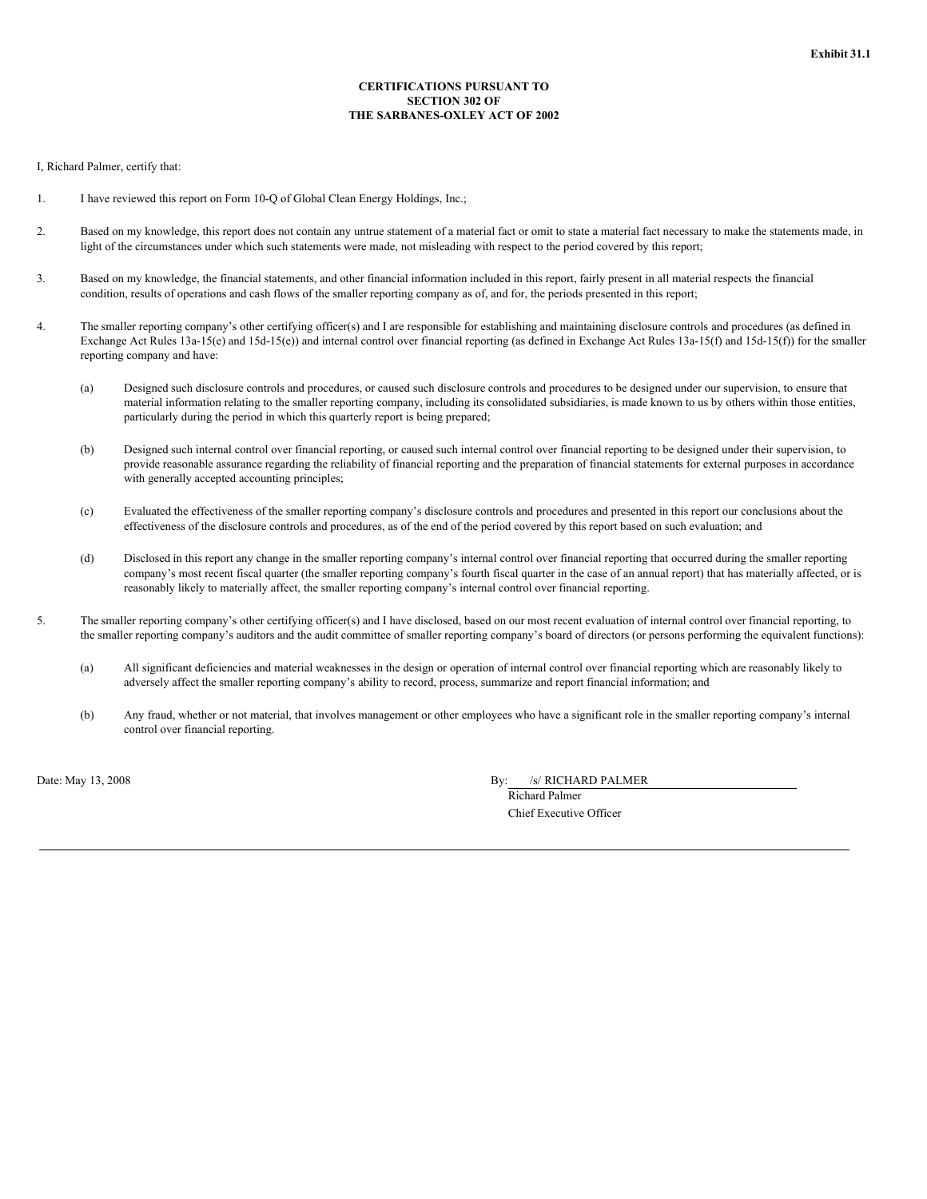## **CERTIFICATIONS PURSUANT TO SECTION 302 OF THE SARBANES-OXLEY ACT OF 2002**

### I, Richard Palmer, certify that:

- 1. I have reviewed this report on Form 10-Q of Global Clean Energy Holdings, Inc.;
- 2. Based on my knowledge, this report does not contain any untrue statement of a material fact or omit to state a material fact necessary to make the statements made, in light of the circumstances under which such statements were made, not misleading with respect to the period covered by this report;
- 3. Based on my knowledge, the financial statements, and other financial information included in this report, fairly present in all material respects the financial condition, results of operations and cash flows of the smaller reporting company as of, and for, the periods presented in this report;
- 4. The smaller reporting company's other certifying officer(s) and I are responsible for establishing and maintaining disclosure controls and procedures (as defined in Exchange Act Rules 13a-15(e) and 15d-15(e)) and internal control over financial reporting (as defined in Exchange Act Rules 13a-15(f) and 15d-15(f)) for the smaller reporting company and have:
	- (a) Designed such disclosure controls and procedures, or caused such disclosure controls and procedures to be designed under our supervision, to ensure that material information relating to the smaller reporting company, including its consolidated subsidiaries, is made known to us by others within those entities, particularly during the period in which this quarterly report is being prepared;
	- (b) Designed such internal control over financial reporting, or caused such internal control over financial reporting to be designed under their supervision, to provide reasonable assurance regarding the reliability of financial reporting and the preparation of financial statements for external purposes in accordance with generally accepted accounting principles;
	- (c) Evaluated the effectiveness of the smaller reporting company's disclosure controls and procedures and presented in this report our conclusions about the effectiveness of the disclosure controls and procedures, as of the end of the period covered by this report based on such evaluation; and
	- (d) Disclosed in this report any change in the smaller reporting company's internal control over financial reporting that occurred during the smaller reporting company's most recent fiscal quarter (the smaller reporting company's fourth fiscal quarter in the case of an annual report) that has materially affected, or is reasonably likely to materially affect, the smaller reporting company's internal control over financial reporting.
- 5. The smaller reporting company's other certifying officer(s) and I have disclosed, based on our most recent evaluation of internal control over financial reporting, to the smaller reporting company's auditors and the audit committee of smaller reporting company's board of directors (or persons performing the equivalent functions):
	- (a) All significant deficiencies and material weaknesses in the design or operation of internal control over financial reporting which are reasonably likely to adversely affect the smaller reporting company's ability to record, process, summarize and report financial information; and
	- (b) Any fraud, whether or not material, that involves management or other employees who have a significant role in the smaller reporting company's internal control over financial reporting.

Date: May 13, 2008 By: /s/ RICHARD PALMER

Richard Palmer Chief Executive Officer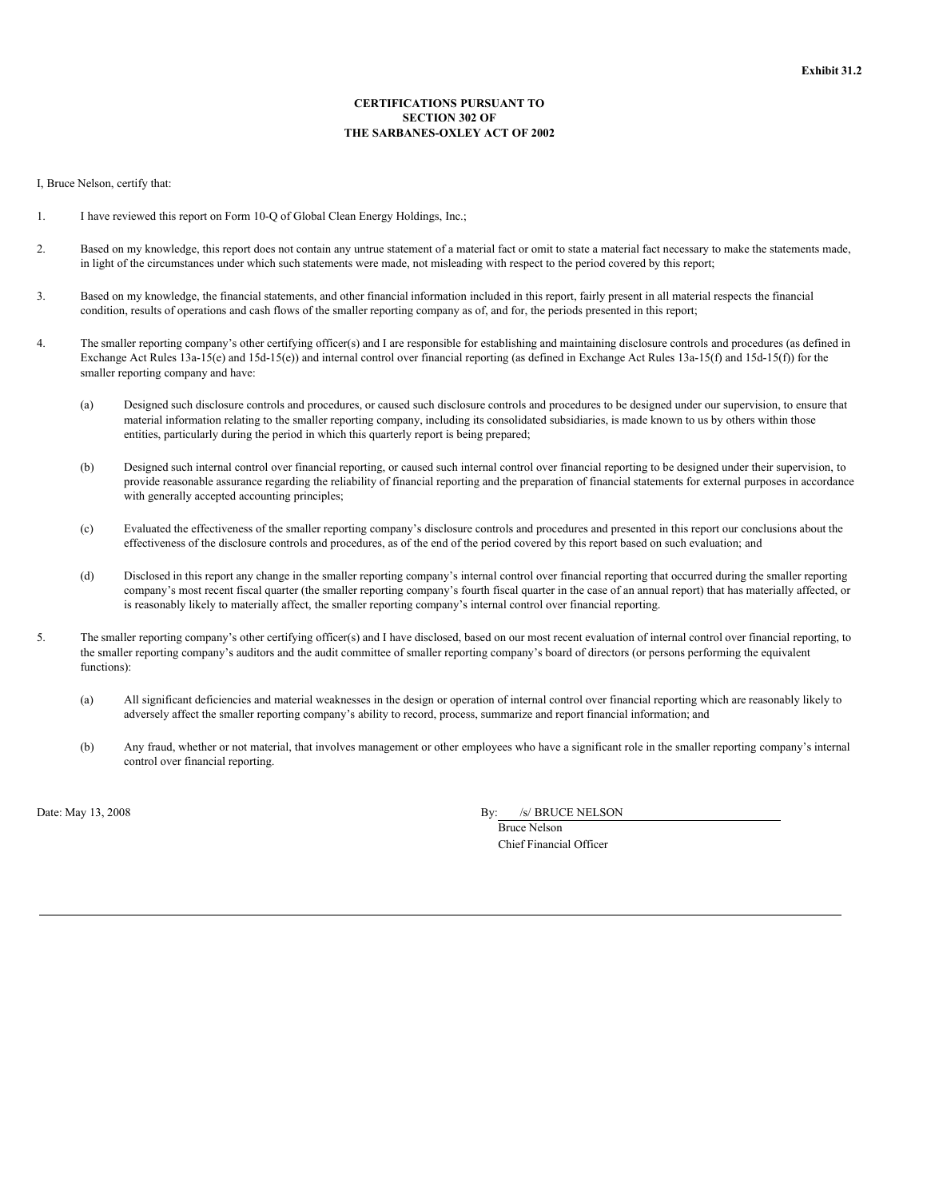## **CERTIFICATIONS PURSUANT TO SECTION 302 OF THE SARBANES-OXLEY ACT OF 2002**

I, Bruce Nelson, certify that:

- 1. I have reviewed this report on Form 10-Q of Global Clean Energy Holdings, Inc.;
- 2. Based on my knowledge, this report does not contain any untrue statement of a material fact or omit to state a material fact necessary to make the statements made, in light of the circumstances under which such statements were made, not misleading with respect to the period covered by this report;
- 3. Based on my knowledge, the financial statements, and other financial information included in this report, fairly present in all material respects the financial condition, results of operations and cash flows of the smaller reporting company as of, and for, the periods presented in this report;
- 4. The smaller reporting company's other certifying officer(s) and I are responsible for establishing and maintaining disclosure controls and procedures (as defined in Exchange Act Rules 13a-15(e) and 15d-15(e)) and internal control over financial reporting (as defined in Exchange Act Rules 13a-15(f) and 15d-15(f)) for the smaller reporting company and have:
	- (a) Designed such disclosure controls and procedures, or caused such disclosure controls and procedures to be designed under our supervision, to ensure that material information relating to the smaller reporting company, including its consolidated subsidiaries, is made known to us by others within those entities, particularly during the period in which this quarterly report is being prepared;
	- (b) Designed such internal control over financial reporting, or caused such internal control over financial reporting to be designed under their supervision, to provide reasonable assurance regarding the reliability of financial reporting and the preparation of financial statements for external purposes in accordance with generally accepted accounting principles;
	- (c) Evaluated the effectiveness of the smaller reporting company's disclosure controls and procedures and presented in this report our conclusions about the effectiveness of the disclosure controls and procedures, as of the end of the period covered by this report based on such evaluation; and
	- (d) Disclosed in this report any change in the smaller reporting company's internal control over financial reporting that occurred during the smaller reporting company's most recent fiscal quarter (the smaller reporting company's fourth fiscal quarter in the case of an annual report) that has materially affected, or is reasonably likely to materially affect, the smaller reporting company's internal control over financial reporting.
- 5. The smaller reporting company's other certifying officer(s) and I have disclosed, based on our most recent evaluation of internal control over financial reporting, to the smaller reporting company's auditors and the audit committee of smaller reporting company's board of directors (or persons performing the equivalent functions):
	- (a) All significant deficiencies and material weaknesses in the design or operation of internal control over financial reporting which are reasonably likely to adversely affect the smaller reporting company's ability to record, process, summarize and report financial information; and
	- (b) Any fraud, whether or not material, that involves management or other employees who have a significant role in the smaller reporting company's internal control over financial reporting.

Date: May  $13, 2008$ 

| Зy: | /s/ BRUCE NELSON |
|-----|------------------|
|     |                  |

Bruce Nelson Chief Financial Officer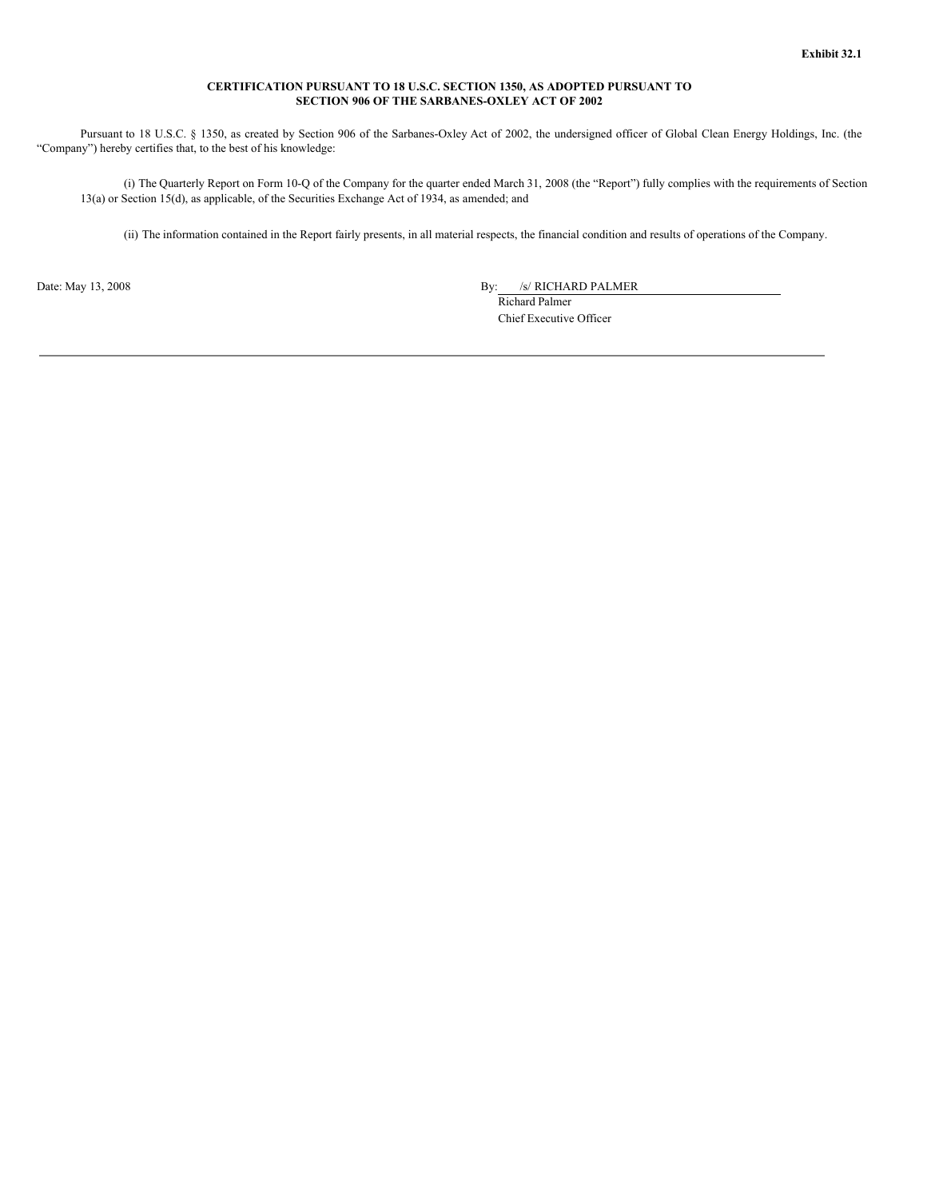## **CERTIFICATION PURSUANT TO 18 U.S.C. SECTION 1350, AS ADOPTED PURSUANT TO SECTION 906 OF THE SARBANES-OXLEY ACT OF 2002**

Pursuant to 18 U.S.C. § 1350, as created by Section 906 of the Sarbanes-Oxley Act of 2002, the undersigned officer of Global Clean Energy Holdings, Inc. (the "Company") hereby certifies that, to the best of his knowledge:

(i) The Quarterly Report on Form 10-Q of the Company for the quarter ended March 31, 2008 (the "Report") fully complies with the requirements of Section 13(a) or Section 15(d), as applicable, of the Securities Exchange Act of 1934, as amended; and

(ii) The information contained in the Report fairly presents, in all material respects, the financial condition and results of operations of the Company.

Date: May 13, 2008 By: /s/ RICHARD PALMER

Richard Palmer Chief Executive Officer